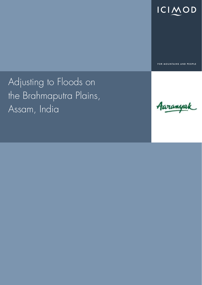ICIMOD

FOR MOUNTAINS AND PEOPLE

Adjusting to Floods on the Brahmaputra Plains, Assam, India

Aaranyak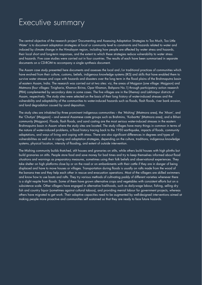## Executive summary

The central objective of the research project 'Documenting and Assessing Adaptation Strategies to Too Much, Too Little Water' is to document adaptation strategies at local or community level to constraints and hazards related to water and induced by climate change in the Himalayan region, including how people are affected by water stress and hazards, their local short and long-term responses, and the extent to which these strategies reduce vulnerability to water stress and hazards. Five case studies were carried out in four countries. The results of each have been summarised in separate documents on a CD-ROM to accompany a single synthesis document.

The Assam case study presented here documents and assesses the local and /or traditional practices of communities which have evolved from their culture, customs, beliefs, indigenous knowledge systems (IKS) and skills that have enabled them to survive water stresses and cope with hazards and disasters over the long term in the flood plains of the Brahmaputra basin of eastern Assam, India. The research was carried out at two sites: viz, the areas of Majgaon (one village: Majgaon) and Matmora (four villages: Tinigharia, Khamon Birina, Opar Khamon, Bahpora No.1) through participatory action research (PRA) complemented by secondary data in some cases. The five villages are in the Dhemaji and Lakhimpur districts of Assam, respectively. The study sites were selected on the basis of their long history of water-induced stresses and the vulnerability and adaptability of the communities to water-induced hazards such as floods, flash floods, river bank erosion, and land degradation caused by sand deposition.

The study sites are inhabited by three prominent indigenous communities – the 'Mishing' (Matmora area), the 'Ahom', and the 'Chutiya' (Majgaon) – and several Assamese caste groups such as Brahmins, 'Koibartta' (Matmora area), and a Bihari community (Majgaon). Floods, flash floods, and sand casting are the most serious water-induced stresses in the eastern Brahmaputra basin in Assam where the study sites are located. The study villages have many things in common in terms of the nature of water-induced problems, a flood history tracing back to the 1950 earthquake, impacts of floods, community adaptations, and ways of living and coping with stress. There are also significant differences in degrees and types of vulnerabilities as well as in coping and adaptation strategies, depending on the culture, traditions, indigenous knowledge systems, physical location, intensity of flooding, and extent of outside intervention.

The Mishing community builds thatched, stilt houses and granaries on stilts, while others build houses with high plinths but build granaries on stilts. People store food and save money for bad times and try to keep themselves informed about flood situations and warnings as preparatory measures, sometimes using their folk beliefs and observational experiences. They take shelter on high platforms close by or on the road or on embankments with their cattle if they are in danger of being displaced and have to move houses or villages. Transportation during floods is usually on rafts made from the wood of the banana tree and they help each other in rescue and evacuation operations. Most of the villagers are skilled swimmers and know how to use boats and rafts. They try various methods of cultivating paddy of different varieties whenever there is a slight respite from floods. Some of them have grown alternative crops and vegetables with consistent efforts but on a subsistence scale. Other villagers have engaged in alternative livelihoods, such as daily-wage labour, fishing, selling dry fish and country liquor (sometimes against cultural taboos), and providing menial labour for government projects, whereas others have migrated to get work. Their adaptive capacities need to be augmented by well-designed interventions aimed at making people more proactive and communities self sustained so that they are ready to face future hazards.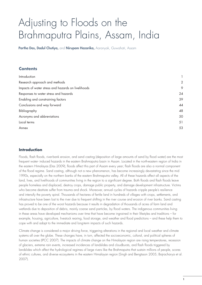# Adjusting to Floods on the Brahmaputra Plains, Assam, India

**Partha Das, Dadul Chutiya,** and **Nirupam Hazarika,** Aaranyak, Guwahati, Assam

### **Contents**

| Introduction                                       |    |
|----------------------------------------------------|----|
| Research approach and methods                      | 2  |
| Impacts of water stress and hazards on livelihoods | 9  |
| Responses to water stress and hazards              | 24 |
| Enabling and constraining factors                  | 39 |
| Conclusions and way forward                        | 44 |
| Bibliography                                       | 48 |
| Acronyms and abbreviations                         | 50 |
| Local terms                                        | 51 |
| Annex                                              | 53 |

## **Introduction**

Floods, flash floods, river-bank erosion, and sand casting (deposition of large amounts of sand by flood water) are the most frequent water- induced hazards in the eastern Brahmaputra basin in Assam. Located in the north-eastern region of India in the eastern Himalayas (Das 2009), floods affect this part of Assam every year; flash floods are also a normal component of the fl ood regime. Sand casting, although not a new phenomenon, has become increasingly devastating since the mid 1990s, especially on the northern banks of the eastern Brahmaputra valley. All of these hazards affect all aspects of the land, lives, and livelihoods of communities living in the region to a significant degree. Both floods and flash floods leave people homeless and displaced, destroy crops, damage public property, and damage development infrastructure. Victims who become destitute suffer from trauma and shock. Moreover, annual cycles of hazards cripple people's resilience and intensify the poverty spiral. Thousands of hectares of fertile land in hundreds of villages with crops, settlements, and infrastructure have been lost to the river due to frequent shifting in the river course and erosion of river banks. Sand casting has proved to be one of the worst hazards because it results in degradation of thousands of acres of farm land and wetlands due to deposition of debris, mainly coarse sand particles, by flood waters. The indigenous communities living in these areas have developed mechanisms over time that have become ingrained in their lifestyles and traditions – for example, housing, agriculture, livestock rearing, food storage, and weather and flood predictions – and these help them to cope with and adapt to the immediate and long-term impacts of such hazards.

Climate change is considered a major driving force, triggering alterations in the regional and local weather and climate systems all over the globe. These changes have, in turn, affected the socioeconomic, cultural, and political spheres of human societies (IPCC 2007). The impacts of climate change on the Himalayan region are rising temperatures, recession of glaciers, extreme rain events, increased incidences of landslides and cloudbursts, and flash floods triggered by landslides which affect the hydrological regimes of large rivers like the Brahmaputra that sustain millions of people, scores of ethnic cultures, and diverse ecosystems in the eastern Himalayan region (Singh and Bengtsson 2005; Bajracharya et al. 2007).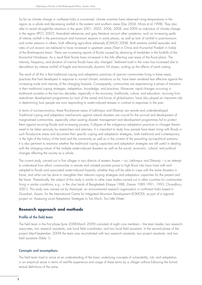So far as climate change in northeast India is concerned, climate scientists have observed rising temperatures in the region as a whole and decreasing rainfall in the eastern and southern areas (Das 2004, Mirza et al.1998). They also refer to recent drought-like situations in the years 2001, 2005, 2006, 2008, and 2009 as indicators of climate change in the region (IPCC 2007). Anecdotal references and grey literature recount other symptoms, such as increasing spells of intense rainfall in the pre-monsoon and monsoon seasons in some places, as well as lack of rainfall in post-monsoon and winter seasons in others, both affecting agriculture adversely (ICIMOD 2008). Both extreme rainfall episodes and rates of soil erosion are believed to have increased in upstream areas (Tibet in China and Arunachal Pradesh in India) of the Brahmaputra basin. There are increasing reports of floods caused by damming of landslides in the foothills of the Arunachal Himalayas. As a result flash floods have increased in the hills affecting vast areas of the flood plains. The intensity, frequency, and duration of riverine floods have also changed. Sediment load in the rivers has increased due to denudation by intense rainfall of fragile and tectonically dynamic hill slopes, scaling up the affects of sand casting.

The result of all this is that traditional coping and adaptation practices of riparian communities living in these areas, practices that had developed in response to normal climatic variations so far, have been rendered less effective against the increasing scale and intensity of the changing hazards. Consequently, communities are experiencing a phase of transition in their traditional coping strategies, adaptation, knowledge, and practices. Moreover, rapid changes occurring in traditional societies in the last two decades, especially in the economy, livelihoods, culture, and education, accruing from state-driven development programmes (or lack of the same) and forces of globalisation, have also played an important role in determining how people are now responding to water-induced stresses in contrast to responses in the past.

In terms of socioeconomics, these flood-prone areas of Lakhimpur and Dhemaji are remote and underdeveloped. Traditional coping and adaptation mechanisms against natural disasters are crucial for the survival and development of marginalised communities, especially when existing disaster management and development programmes fail to protect them against recurring floods and increasing poverty. Collapse of the indigenous adaptation practices or changes therein need to be taken seriously by researchers and planners. It is important to study how people have been living with floods in such flood-prone areas and document their specific coping and adaptation strategies, both traditional and contemporary, in the light of the history of the land and the community as well as in the context of the prevailing sociopolitical scenario. It is also pertinent to examine whether the traditional coping capacities and adaptation strategies are still useful in dealing with the changing nature of the multiple water-induced disasters as well as the social, economic, cultural, and political changes affecting the society as a whole.

The current study, carried out in five villages in two districts of eastern Assam – viz, Lakhimpur and Dhemaji – is an attempt to understand how ethnic communities in remote and isolated pockets prone to high flood risks have lived with and adapted to floods and associated water-induced hazards; whether they will be able to cope with the same disasters in future; and what can be done to strengthen their relevant coping strategies and adaptation capacities for the present and the future. Thematically, the subject of this study is similar to other case studies carried out in other countries for communities living in similar conditions; e.g., in the char lands of Bangladesh (Haque 1988; Zaman 1989,1991, 1993; Chowdhury 2001). This study was carried out by Aaranyak, an environmental research organisation in north-east India based in Guwahati, Assam, for the International Centre for Integrated Mountain Development (ICIMOD), as part of a regional project on 'Assessing Local Adaptation Strategies to Too Much, Too Little Water'.

#### **Research approach and methods**

#### **Profile of the field team**

The field team in the first phase (June 2008-March 2009) consisted of eight core members – the team leader, two research associates, two research assistants, one local field coordinator, and two local field assistants. In the second phase of the project (April-September, 2009) the team was reconstituted with two research assistants, two project assistants, and two field assistants (Table 1).

#### **Concepts and assumptions**

The field team tried to arrive at an understanding of the basic underlying concepts of vulnerability, risk, and adaptation in an empirical sense in terms of real-life experience and usage of these terms by a villager without following the formal textual definitions of the same.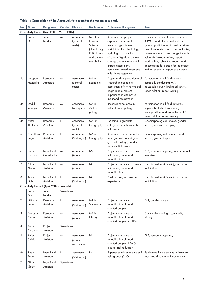| No.            | <b>Name</b>         | <b>Designation</b>                          | Gender    | <b>Ethnicity</b>                | Qualification                                                                                    | <b>Professional Background</b>                                                                                                                                                                                                                                            | Role                                                                                                                                                                                                                                                                                                                                                                  |
|----------------|---------------------|---------------------------------------------|-----------|---------------------------------|--------------------------------------------------------------------------------------------------|---------------------------------------------------------------------------------------------------------------------------------------------------------------------------------------------------------------------------------------------------------------------------|-----------------------------------------------------------------------------------------------------------------------------------------------------------------------------------------------------------------------------------------------------------------------------------------------------------------------------------------------------------------------|
|                |                     | Case Study Phase I (June 2008 - March 2009) |           |                                 |                                                                                                  |                                                                                                                                                                                                                                                                           |                                                                                                                                                                                                                                                                                                                                                                       |
| 1 <sub>a</sub> | Partha J<br>Das     | Team<br>Leader                              | M         | Assamese<br>(general<br>caste)  | MPhil. in<br>Environ.<br>Science<br>(climatology)<br>PhD. (floods<br>and climate<br>variability) | Research and project<br>experience in rainfall<br>meteorology, climate<br>variability, flood hydrology,<br>hydrological modelling,<br>disaster mitigation, climate<br>change and environmental<br>impact assessment,<br>community-based forest and<br>wildlife management | Communication with team members,<br>ICIMOD and other country study<br>groups; participation in field activities;<br>overall supervision of project activities;<br>assessment of climate change impact/<br>vulnerability/adaptation; report<br>lead author; submitting reports and<br>accounts; nodal person for the project<br>with respect to all inputs and outputs |
| 2a             | Nirupam<br>Hazarika | Research<br>Associate                       | M         | Assamese<br>(general<br>caste)  | MA in<br>Economics                                                                               | Project and ongoing doctoral<br>research in economic<br>assessment of environmental<br>degradation, project<br>experience in alternative<br>livelihood assessment                                                                                                         | Participation in all field activities,<br>especially conducting PRA,<br>household survey, livelihood survey,<br>recapitulation, report writing                                                                                                                                                                                                                        |
| 3 <sub>a</sub> | Dadul<br>Chutiya    | Research<br>Associate                       | M         | Assamese<br>(Chutiya c.)        | MA in<br>Anthro-<br>pology                                                                       | Research experience in<br>cultural anthropology,                                                                                                                                                                                                                          | Participation in all field activities,<br>especially study of community<br>history, culture and agriculture, PRA,<br>recapitulation, report writing                                                                                                                                                                                                                   |
| 4a             | Mitali<br>Thakuriya | Research<br>Assistant                       | F         | Assamese<br>(general<br>caste)  | MA in<br>Geography                                                                               | Teaching in graduate<br>college, conducts students'<br>field work                                                                                                                                                                                                         | Geomorphological surveys, gender<br>impact, resource mapping                                                                                                                                                                                                                                                                                                          |
| 5a             | Kanaklata<br>Pegu   | Research<br>Assistant                       | F         | Assamese<br>(Mishing c.)        | MA in<br>Geography                                                                               | Research experience in flood<br>management, Teaching in<br>graduate college, conducts<br>students' field work                                                                                                                                                             | Geomorphological surveys, flood<br>impact, gender impact                                                                                                                                                                                                                                                                                                              |
| 6a             | Robin<br>Borgohain  | Local Field<br>Coordinator                  | M         | Assamese<br>(Ahom c.)           | BA                                                                                               | Project experience in disaster<br>mitigation,, relief and<br>rehabilitation                                                                                                                                                                                               | PRA, resource mapping, key informant<br>interview                                                                                                                                                                                                                                                                                                                     |
| 7a             | Ghana<br>Gogoi      | Local Field<br>Assistant                    | M         | Assamese<br>(Ahom c.)           | <b>BA</b>                                                                                        | Project experience in disaster<br>mitigation,, relief and<br>rehabilitation                                                                                                                                                                                               | Help in field work in Majgaon, local<br>facilitation                                                                                                                                                                                                                                                                                                                  |
| 8 <sub>a</sub> | Trishna<br>Doley    | Local Field<br>Assistant                    | F         | Assamese<br>(Mishing c.)        | <b>BA</b>                                                                                        | Fresh worker, no previous<br>experience                                                                                                                                                                                                                                   | Help in field work in Matmora, local<br>facilitation                                                                                                                                                                                                                                                                                                                  |
|                |                     | Case Study Phase II (April 2009 - onwards)  |           |                                 |                                                                                                  |                                                                                                                                                                                                                                                                           |                                                                                                                                                                                                                                                                                                                                                                       |
| 1b             | Partha J<br>Das     | Team<br>Leader                              | See above |                                 |                                                                                                  |                                                                                                                                                                                                                                                                           |                                                                                                                                                                                                                                                                                                                                                                       |
| 2 <sub>b</sub> | Ditimoni<br>Pegu    | Research<br>Assistant                       | F         | Assamese<br>(Mishing c.)        | MA in<br>Sociology                                                                               | Project experience in<br>rehabilitation of flood-<br>affected people                                                                                                                                                                                                      | PRA, gender analysis                                                                                                                                                                                                                                                                                                                                                  |
| 3 <sub>b</sub> | Narayan<br>Barua    | Research<br>Assistant                       | M         | Assamese<br>(Ahom c.)           | MA in<br>History                                                                                 | Project experience in<br>rehabilitation of flood-<br>affected people and PRA                                                                                                                                                                                              | Community meetings, community<br>history                                                                                                                                                                                                                                                                                                                              |
| 4b             | Robin<br>Borgohain  | Project<br>Assistant                        | See above |                                 |                                                                                                  |                                                                                                                                                                                                                                                                           |                                                                                                                                                                                                                                                                                                                                                                       |
| 5b             | Rajen<br>Saikia     | Project<br>Assistant                        | M         | Assamese<br>(Ahom<br>community) | BA                                                                                               | Project experience in<br>rehabilitation of flood<br>affected people, PRA &<br>disaster risk reduction                                                                                                                                                                     | PRA, resource mapping,                                                                                                                                                                                                                                                                                                                                                |
| 6b             | Beauti<br>Pegu      | Local Field<br>Assistant                    | F         | Assamese<br>(Mishing c.)        | <b>BA</b>                                                                                        | Experience of conducting self<br>help groups (SHG)                                                                                                                                                                                                                        | Facilitating field activities in Matmora,<br>local coordination with community                                                                                                                                                                                                                                                                                        |
| 7b             | Ghana<br>Gogoi      | Local Field<br>Assistant                    | See above |                                 |                                                                                                  |                                                                                                                                                                                                                                                                           |                                                                                                                                                                                                                                                                                                                                                                       |

| Table 1: Composition of the Aaranyak field team for the Assam case study |  |  |  |  |  |  |  |  |  |  |  |  |  |  |
|--------------------------------------------------------------------------|--|--|--|--|--|--|--|--|--|--|--|--|--|--|
|--------------------------------------------------------------------------|--|--|--|--|--|--|--|--|--|--|--|--|--|--|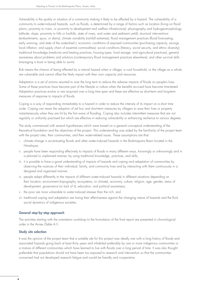Vulnerability is the quality or situation of a community making it likely to be affected by a hazard. The vulnerability of a community to water-induced hazards, such as floods, is determined by a range of factors such as location (living on flood plains, proximity to rivers, or proximity to development and welfare infrastructure); physiography and hydrogeomorphology (altitude, slope, proximity to hills or foothills, state of rivers, and water and sediment yield); structural interventions (embankments, spurs, or dams); climate variability (rainfall extremes); flood management practices (flood forecasting, early warning, and state of the watershed ); economic conditions of exposed communities (purchasing capacity, savings, local inflation, and supply chain of essential commodities); social conditions (literacy, social security, and ethnic diversity); traditional knowledge (medicine and healing practices, housing types, food storage, and agricultural practices); general awareness about problems and solutions (contemporary flood management practices elsewhere); and other survival skills (managing a boat or being able to swim).

Risk means the chance of being affected by a natural hazard when a villager, a rural household, or the village as a whole are vulnerable and cannot offset the likely impact with their own capacity and resources.

Adaptation is a set of actions resorted to over the long term to reduce the adverse impacts of floods on people's lives. Some of these practices have become part of the lifestyle or culture when the benefits accrued have become time-tested. Adaptation practices evolve or are acquired over a long time span and these are effective as short-term and long-term measures of response to impacts of floods.

Coping is a way of responding immediately to a hazard in order to reduce the intensity of its impact on a short time scale. Coping can mean the adoption of ad hoc and short-term measures by villagers to save their lives or property instantaneously when they are hit by the first wave of flooding. Coping also includes intermittent measures that are not regularly or uniformly practised but which are effective in reducing vulnerability or enhancing resilience to various degrees.

The study commenced with several hypothesises which were based on a general conceptual understanding of the theoretical foundation and the objectives of the project. This understanding was aided by the familiarity of the project team with the project sites, their communities, and their water-related issues. These assumptions are that:

- i. climate change is accentuating floods and other water-induced hazards in the Brahmaputra Basin located in the Himalayas;
- ii. people have been responding effectively to impacts of floods in many different ways, knowingly or unknowingly and in a planned or unplanned manner, by using traditional knowledge, practices, and skills;
- iii. it is possible to have a good understanding of impacts of hazards and coping and adaptation of communities by observing the nuances of their individual, family, and community lives and by interacting with them continuously in a designed and organised manner;
- iv. people adapt differently to the impacts of different water-induced hazards in different situations depending on their location, environment (topography, ecosystems, or climate), economy, culture, religion, age, gender, status of development, governance (or lack of it), education, and political awareness;
- v. the poor are more vulnerable to water-induced stresses than the rich; and
- vii. traditional coping and adaptation are losing their effectiveness against the changing nature of hazards and the fluid social dynamics of indigenous societies.

#### **General step-by-step approach**

The activities starting with the orientation workshop to the formulation of the final report are presented in chronological order in the Annex (Table A1)

#### **Study site selection**

It was the opinion of the project team that a suitable site for this project was ideally one with a long history of floods and associated hazards going back at least thirty years and inhabited preferably by one or more indigenous communities or a mixture of different communities which have learned to live with floods over a long period of time. It was also thought preferable that populations should not have been too exposed to research and intervention so that the communities concerned had not developed research fatigue and would be friendly and cooperative.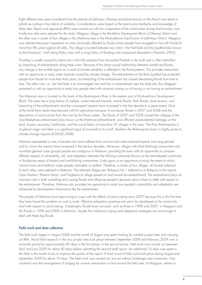Eight different sites were considered from the districts of Lakhimpur, Dhemaji and Jorhat (mainly on the Majuli river island in Jorhat) according to the criteria of suitability. Considerations were based on the team's prior familiarity and knowledge of these sites. Rapid rural appraisals (RRA) were carried out with the cooperation of the communities during brief two-day visits. Finally two sites were selected for the study: Majgaon village in the Bordoloni Development Block of Dhemaji District and the other was a cluster of four villages in the Matmora area in the Dhokuakhona Sub-Division of Lakhimpur District. Majgaon was selected because it represents an area chronically affected by floods where people have struggled to live with floods for more than fifty years against all odds. The village is located between two rivers – the Na-Nadi and the Jiyadhal (also known as the Kumatiya) – both being flashy rivers with a long history of flooding and consequent devastation (Hazarika 2003).

Flooding is usually caused by heavy rain in the hills upstream from Arunachal Pradesh in the north and is often intensified by breaching of embankments along these rivers. Because of this direct causal relationship between rainfall and floods, any change in the rainfall regime as a result of climate variability is reflected in the flood patterns. This provides researchers with an opportunity to study water hazards caused by climate change. The embankment on the River Jiyadhal has protected people from floods for more than thirty years, but breaching of the embankment has caused devastating floods from time to time. The other river, i.e., the Na-Nadi is an unmanaged river and has no embankment near the study site: thus Majgaon presented us with an opportunity to study how people deal with situations arising out of having or not having an embankment.

The Matmora area is located on the bank of the Brahmaputra River in the eastern part of Dhokuakhona Development Block. The area has a long history of multiple, water-induced hazards, mainly floods, flash floods, bank erosion, and breaching of the embankment; and the consequent impacts have increased in the last decade to a great extent. Most of the fertile farm lands have become unfit for agriculture because of successive floods in 2007 and 2008 and the depositions of sand carried from the river by the flood waters. The floods of 2007 and 2008 caused the collapse of the Sissi-Tekeliphuta embankment (also known as the Matmora embankment); and affl icted unprecedented damage on the land, houses, economy, livelihoods, and the social fabric of more than 25 villages in the area. The River Brahmaputra is of glacial origin and there is a significant input of snowmelt to its runoff, therefore the Brahmaputra basin is highly prone to climate change impacts (ICIMOD 2008).

Matmora represented a case of people who have suffered from and survived water-induced hazards over long periods; and for whom the impacts have increased in the last two decades. Moreover, villages with tribal (Mishing) communities and non-tribal (general caste groups) people are contiguous in Matmora, providing the team with an opportunity to compare different aspects of vulnerability, risk, and adaptation between the Mishing community (known as the best-adapted community in flood-prone areas of Assam) and non-Mishing communities. It also gave us an opportunity to study the extent to which cultural norms and traditions make people vulnerable or resilient. Therefore, a cluster of four villages, all located adjacent to each other, were selected in Matmora. The selected villages are: Bahpora No 1 (referred to as Bahpora in this report), Opar Khamon, Khamon Birina, and Tinigharia (a village spread on and around the embankment). The embankment plays an important role in both controlling and causing floods and influences people's decisions about where to settle with respect to the embankment. Therefore, Matmora also provided an opportunity to study how people's vulnerability and adaptation are influenced by development infrastructure like the embankment.

The people of Matmora have been trying to cope with the affects of sand casting since 2007 because this is the first time they have faced this problem on such a scale. Effective adaptation practices are yet to be developed at the community level with respect to sand casting. Catastrophic floods have occurred, such as those in 1998 and 2007, in Majgaon and the floods in 1998 and 2008 in Matmora. Usually the traditional coping and adaptation strategies are not enough to deal with these big floods.

#### **Field work and data collection**

The field work began in August 2008 and the month of August was spent looking for suitable project sites and carrying out RRA. Actual field research in the two project sites took place between September 2008 and February 2009 over a six-month period for approximately 80 days in the first phase. In the second phase, field work was carried out between April and June 2009 for about 40 days before submitting the second draft report. An additional 10 days was spent in the field in the month of July to improve the quality of the report. A final round of field work took place during August and September 2009 for about 10 days. The field work was carried out, but not without challenges and constraints. One constraint was the arrangement of lodging for women researchers in and around the field sites. In Majgaon, where no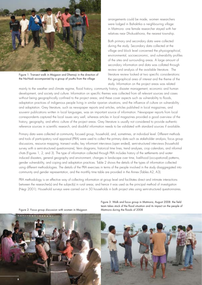

Figure 1: Transect walk in Majgaon and Dhemaji in the direction of the Na-Nadi accompanied by a group of youths from the village

arrangements could be made, women researchers were lodged in Bahaktika a neighbouring village: in Matmora: one female researcher stayed with her relatives near Dhokuakhona, the nearest township.

Both primary and secondary data were collected during the study. Secondary data collected at the village and block level concerned the physiographical, environmental, socioeconomic, and vulnerability profiles of the sites and surrounding areas. A large amount of secondary information and data was collated through review and analysis of the available literature. The literature review looked at two specific considerations: the geographical area of interest and the theme of the study. Information on the project areas was related

Figure 3: Walk and focus group in Matmora, August 2008: the field team takes stock of the flood situation and its impact on the people of

Matmora during the floods of 2008

mainly to the weather and climate regime, flood history, community history, disaster management, economic and human development, and society and culture. Information on specific themes was collected from all relevant sources and cases without being geographically confined to the project areas; and these cover aspects such as vulnerability to floods, adaptation practices of indigenous people living in similar riparian situations, and the influence of culture on vulnerability and adaptation. Grey literature, such as newspaper reports and articles, articles published in local magazines, and souvenir publications written in local languages, was an important source of information. Newspaper reports from local correspondents captured the local issues very well, whereas articles in local magazines provided a good overview of the history, geography, and ethnic culture of the project areas. Grey literature is usually not considered to provide authentic reference sources in scientific research, and doubtful information needs to be validated with standard sources if available.

Primary data were collected at community, focused group, household, and, sometimes, at individual level. Different methods and tools of participatory rural appraisal (PRA) were used to collect the primary data such as stakeholder analysis, focus group discussions, resource mapping, transect walks, key informant interviews (open ended), semi-structured interviews (household survey with a semi-structured questionnaire), Venn diagrams, historical time lines, trend analyses, crop calendars, and informal chats (Figures 1, 2, and 3). The type of information collected through PRA includes history of the settlements and waterinduced disasters, general geography and environment, changes in landscape over time, livelihood (occupational) patterns, gender vulnerability, and coping and adaptation practices. Table 2 shows the details of the types of information collected using different methodologies. The details of the PRA exercises in terms of the people involved in the study disaggregated into community and gender representation, and the monthly time table are provided in the Annex (Tables A2, A3).

PRA methodology is an effective way of collecting information at group level and facilitates direct and intimate interactions between the researcher(s) and the subject(s) in rural areas; and hence it was used as the principal method of investigation (Negi 2001). Household surveys were carried out in 50 households in both project sites using semi-structured questionnaires.

**6**

Figure 2: Focus group discussion with women in Majgaon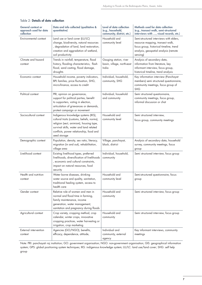| General context or<br>approach used for data<br>collection | Data and info collected (qualitative &<br>quantitative)                                                                                                                                                                            | Level of data collection<br>(e.g., household,<br>community, district, etc.) | Methods used for data collection<br>(e.g., transect walk, semi-structured<br>interviews with , visual records, etc.)                                                        |
|------------------------------------------------------------|------------------------------------------------------------------------------------------------------------------------------------------------------------------------------------------------------------------------------------|-----------------------------------------------------------------------------|-----------------------------------------------------------------------------------------------------------------------------------------------------------------------------|
| Environmental context                                      | Land use or land cover (LU/LC)<br>change, biodiversity, natural resources<br>, degradation of land, land restoration,<br>creation and aggradation of wetland,<br>soil productivity                                                 | Household and<br>community level                                            | Semi-structured interviews with elders,<br>resource mapping, transect walk,<br>focus group, historical timeline, trend<br>analysis, geospatial analysis (remote<br>sensing) |
| Climate and hazard<br>context                              | Trends in rainfall, temperature, flood<br>history, flooding characteristics, flash<br>flood, sand casting, flood damage,<br>droughts                                                                                               | Gauging station, river<br>basin, village, north-east<br>India               | Analysis of secondary data,<br>information from literature, key<br>informant interview, focus group,<br>historical timeline, trend analysis                                 |
| Economic context                                           | Household income, poverty indicators,<br>BPL families, price fluctuation, SHG,<br>micro-finance, access to credit                                                                                                                  | Individual, household,<br>community, SHG                                    | Key information interview (Panchayat<br>members) semi structured questionnaire,<br>community meetings, focus group of<br><b>SHG</b>                                         |
| Political context                                          | PRI, opinion on governance,<br>support for political parties, benefit<br>to supporters, voting in election,<br>articulation of grievances or demands,<br>protest campaign or movement                                              | Individual, household<br>and community                                      | Semi structured questionnaire,<br>community meetings, focus group,<br>informal discussion or chat                                                                           |
| Sociocultural context                                      | Indigenous knowledge systems (IKS),<br>cultural traits (customs, beliefs, norms),<br>religion (sect, animism), housing type,<br>survival skills, water and land related<br>conflicts, power relationship, food and<br>seed storage | Household and<br>community level                                            | Semi structured interview,<br>focus group, community meetings                                                                                                               |
| Demographic context                                        | Population, density, sex ratio, literacy,<br>migration (in and out), rehabilitation,<br>village area                                                                                                                               | Village, panchayat,<br>block, district                                      | Analysis of secondary data, household<br>survey, community meetings, focus<br>group                                                                                         |
| Livelihood context                                         | Existing livelihood types, preferred<br>livelihoods, diversification of livelihoods<br>, economic and cultural constraints,<br>impact on natural resources, food<br>security                                                       | Individual, household,<br>community                                         | Semi structured interview, focus group                                                                                                                                      |
| Health and nutrition<br>context                            | Water borne diseases, drinking<br>water source and quality, sanitation,<br>traditional healing system, access to<br>health care                                                                                                    | Household and<br>community level                                            | Semi-structured questionnaire, focus<br>group                                                                                                                               |
| Gender context                                             | Relative role of women and men in<br>normal and flood time in farming,<br>family maintenance, income<br>generation, water management;<br>sanitation and pregnancy during floods                                                    | Household and<br>community                                                  | Semi structured interview, focus group                                                                                                                                      |
| Agricultural context                                       | Crop variety, cropping method, crop<br>calendar, winter crops, innovative<br>cropping practices, water harvesting or<br>irrigation, crop marketing                                                                                 | Household and<br>community                                                  | Semi structured interview, focus group                                                                                                                                      |
| External intervention<br>context                           | Agencies (GO/NGO), benefits,<br>efficacy, dependence, attitude,                                                                                                                                                                    | Individual and<br>community, external<br>agency                             | Key informant interviews, community<br>meetings                                                                                                                             |

#### Table 2: **Details of data collection**

Note: PRI: panchayati raj institution; GO: government organisation; NGO: non-government organisation; GIS: geographical information system; GPS: global positioning system techniques; IKS: indigenous knowledge system; LU/LC: land use/land cover; SHG: self help group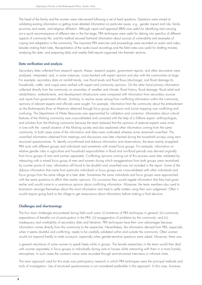The head of the family and the women were interviewed following a set of lead questions. Questions were aimed at validating existing information or getting more detailed information on particular issues, e.g., gender impact and role, family economy and assets, and religious affiliation. Although rapid rural appraisal (RRA) was useful for identifying and carrying out a quick reconnaissance of different sites in the first stage, PRA techniques were useful for delving into specifics of different aspects of community life, and this method secured first-hand information about sources of vulnerability and examples of coping and adaptation in the community. The important PRA exercises and proceedings were recorded on audio and video, besides making field notes. Recapitulation of the audio-visual recordings and the field notes was useful for drafting minutes, analysing the data, and preparing daily and weekly field reports organised into thematic sections.

#### **Data verification and analysis**

Secondary data collected from research reports, theses, research papers, government reports, and other documents were analysed, interpreted, and, in some instances, cross-checked with expert opinion and also with the communities at large. For example, secondary data on rainfall trends, river flood levels and flood flows (discharge), and flood damage (to households, cattle, and crops) were verified with expert and community opinions. On the other hand primary information collected directly from the community on anomalies of weather and climate, flood history, flood damage, flood relief and rehabilitation, embankments, and development infrastructure were compared with information from secondary sources and inputs from government officials. Similarly, to resolve issues arising from conflicting information within the community, opinions of relevant experts and officials were sought. For example, information from the community about the embankment on the Brahmaputra River at Matmora obtained through focus group discussion and social mapping was conflicting and confusing. The Department of Water Resources was approached for validation and correction. Information about cultural features of the Mishing community was cross-validated and corrected with the help of a folklore expert, anthropologists, and scholars from the Mishing community because the team believed that the opinions of external experts were more in tune with the overall situation of the Mishing society and also explained other information coming from the same community. In both cases some of the information and data were vindicated whereas some remained unverified. The unverified information obtained from meetings and discussions was later checked during the household surveys using semistructured questionnaires. To identify unconfirmed and dubious information and observations, the team mainly re-applied PRA tools with different groups and individuals and sometimes with mixed focus groups. For example, information on relative gender roles in agriculture and household responsibilities in flood and non-flood periods was derived originally from focus groups of men and women separately. Conflicting opinions coming out of this process were later validated by interacting with a mixed focus group of men and women during which exaggerations from both groups were neutralised by counter points of view. Information still found to be doubtful and unverified was not included in the report. Some of the dubious information that came from particular individuals or focus groups was cross-validated with other individuals and focus groups from the same village at a later date. Sometimes the same individuals and focus groups were approached with the same questions to affirm their earlier opinions. On occasions they would negate information that they had given earlier and would come to a unanimous opinion about conflicting information. Moreover, the team members also used to brainstorm amongst themselves about the moot information and tried to settle matters using their own judgement. Often it would require going back to the village to get reassurance about information before making a final decision.

#### **Challenges and shortcomings**

The four main challenges encountered during field work were: (i) limitations of PRA techniques in general; (iii) community expectations of benefits out of participation in the PRA; (iii) exaggeration of problems by the community; and (iv) inadequacy and unreliability of secondary data and literature. PRA techniques have their own advantages because information comes directly from the community to the researcher. Nevertheless, the information derived from PRA, especially when it seems doubtful and conflicting, needs to be carefully validated within and outside the community. Often women would not respond frankly to male surveyors, especially when gender-sensitive questions were asked. Moreover, there was

a general reluctance of some women to speak freely while in groups. The female researchers in the team would then deal with women separately in focus groups or individually during visits to houses while interacting with them in a more homely atmosphere. In such cases the women's views were recorded through semi-structured interviews or informal chats.

The main approach used for this study was participatory research in which PRA techniques were the principal methods and tools of investigation. Use of structured questionnaires is not considered preferable in this approach. In this case, however,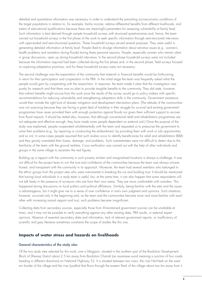detailed and quantitative information was necessary in order to understand the prevailing socioeconomic conditions of the target populations in relation to, for example, family income, relative differential benefits from different livelihoods, and extent of educational qualifications because these are meaningful parameters for assessing vulnerability at family level. Such information is best derived through sample household surveys with structured questionnaires and, hence, the team carried out household surveys in the first phase of the work to seek specific information through semi-structured interviews with open-ended and semi-structured questions. These household surveys served several purposes. They were useful in generating detailed information at family level. People liked to divulge information about sensitive issues (e.g., women's health problems and sanitation during floods) during these personal sessions. People, especially women who remain silent in group discussions, open up during household interviews. In the second phase household surveys were not included because the information required had been collected during the first phase and, in the second phase, field surveys focused on exploring adaptation practices, and for these household surveys were not necessary.

The second challenge was the expectation of the community that material or financial benefits would be forthcoming in return for their participation and cooperation in the PRA. In the initial stage the team was frequently asked what the people would gain by cooperating with the researchers. In response, the team made it clear that the investigation was purely for research and that there was no plan to provide tangible benefits to the community. They did state, however, that indirect benefits might accrue from the work since the results of the survey would go to policy makers with specific recommendations for reducing vulnerability and strengthening adaptation skills in the community. Government assistance would then include the right kind of disaster mitigation and development intervention plans. (The attitude of the communities was not surprising because they are facing a great deal of hardship in their struggle for survival and existing government programmes have never provided them with enough protection against floods nor given them sufficient support to recover from flood impacts. It should be stated also, however, that although conventional relief and rehabilitation programmes are not adequate and effective enough, they have made some people dependent on external aid.) Once the purpose of the study was explained, people cooperated wholeheartedly with the team and requested us to pressurise the government to solve their problems (e.g., by repairing or constructing the embankment, by providing them with work or job opportunities, and so on). In some cases people assumed that such studies occur to identify beneficiaries for relief and rehabilitation (R&R) and they grossly overstated their losses, damage, and problems. Such overestimates were not difficult to detect due to the familiarity of the team with the ground realities. Cross verification was carried out with the help of other individuals and groups in the same village to ascertain the real figures.

Building up a rapport with the community in such poverty stricken and marginalised locations is always a challenge. It was not difficult for the project team to win the trust and confidence of the communities because the team was always sincere, honest, and transparent with the community in its approach. Moreover, the team had several members who belonged to the ethnic groups form the project sites who were instrumental in breaking the ice and building trust. It should be mentioned that having local individuals in a study team is useful, but, at the same time, it can also happen that some respondents will not talk freely in the presence of surveyors who are from their own areas. They are more comfortable with outsiders. This happened during discussions on local politics and political affiliations. Similarly, being familiar with the sites and the issues is advantageous, but it might give rise to a sense of over confidence in one's own judgment and opinions. Such situations, however, occurred only in the beginning and, as the team and the communities became more and more familiar with each other with increasing mutual rapport and trust, such problems became insignificant.

Collecting data from secondary sources, especially those from ill-maintained government sources can be unreliable at times, and it may not be possible to verify everything against any other existing data, PRA results, or external expert opinions. Absence of essential secondary data and information, lack of relevant government reports, or insufficiency of scientific and grey literature sometimes constrains the scope of studies like this one.

#### **Impacts of water stress and hazards on livelihoods**

#### **General characteristics of the study sites**

Of the two study sites selected for this work, one is Majgaon, situated in the southern part of the Bordoloni Development Block of Dhemaji District about 2.5 km away from Bordoloni Chariali (an assamese word meaning a junction of four roads heading in different directions) on National Highway 52. It is situated between two rivers, the river Na-Nadi on the western border of the village and the river Jiyadhal that flows through the eastern flank of the village about two km away from it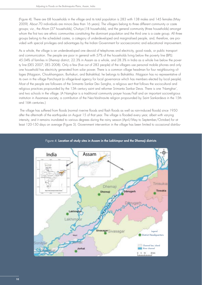(Figure 4). There are 68 households in the village and its total population is 283 with 138 males and 145 females (May 2009). About 70 individuals are minors (less than 16 years). The villagers belong to three different community or caste groups; viz., the Ahom (37 households), Chutiya (18 households), and the general community (three households) amongst whom the first two are ethnic communities constituting the dominant population and the third one is a caste group. All three groups belong to the scheduled castes, a category of underdeveloped and marginalised people, and, therefore, are provided with special privileges and advantages by the Indian Government for socioeconomic and educational improvement.

As a whole, the village is an underdeveloped one devoid of telephones and electricity, good roads, or public transport and communication. The people are poor in general with 57% of the households living below the poverty line (BPL): 45.04% of families in Dhemaji district, 22.3% in Assam as a whole, and 28.3% in India as a whole live below the poverty line (DES 2007; DES 2008). Only a few (five out of 283 people) of the villagers use personal mobile phones and only one household has electricity generated from solar power. There is a common village headman for four neighbouring villages (Majgaon, Choukhamgaon, Burhakuri, and Bahaktika): he belongs to Bahaktika. Majgaon has no representative of its own in the village Panchayat (a village-level agency for local governance which has members elected by local people). Most of the people are followers of the Srimanta Sankar Dev Sangha, a religious sect that follows the sociocultural and religious practices propounded by the 15th century saint and reformer Srimanta Sankar Deva. There is one 'Namghar', and two schools in the village. (A Namghar is a traditional community prayer house/hall and an important socioreligious institution in Assamese society, a contribution of the Neo-Vaishnavite religion propounded by Saint Sankardeva in the 15th and 16th centuries.)

The village has suffered from floods (normal riverine floods and flash floods as well as rain-induced floods) since 1950 after the aftermath of the earthquake on August 15 of that year. The village is flooded every year, albeit with varying intensity, and it remains inundated to various degrees during the rainy season (April/May to September/October) for at least 120-150 days on average (Figure 5). Government intervention in the village has been limited to occasional distribu-



#### Figure 4: **Location of study sites in Assam in the Lakhimpur and the Dhemaji districts**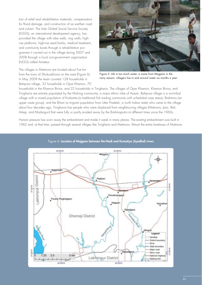tion of relief and rehabilitation materials, compensation for flood damage, and construction of an earthen road and culvert. The Indo Global Social Service Society (IGSSS), an international development agency, has provided the village with tube wells, ring wells, highrise platforms, high-rise seed banks, medical treatment, and community boats through a rehabilitation programme it carried out in the village during 2007 and 2008 through a local non-government organisation (NGO) called Amateur.

The villages in Matmora are located about five km from the town of Dhokuakhona on the west (Figure 6). In May 2009 the team counted 128 households in Bahpora village, 33 households in Opar Khamon, 70



Figure 5: Life in too much water, a scene from Majgaon in the rainy season: villagers live in and around water six months a year

households in the Khamon Birina, and 22 households in Tinigharia. The villages of Opar Khamon, Khamon Birina, and Tinigharia are entirely populated by the Mishing community, a major ethnic tribe of Assam. Bahpora village is a non-tribal village with a mixed population of Koibartta (a traditional fish trading community with scheduled case status), Brahmins (an upper caste group), and the Bihari (a migrant population from Uttar Pradesh, a north Indian state) who came to the village about four decades ago. Tinigharia has people who were displaced from neighbouring villages (Matmora, Janji, Bali, Arkep, and Modarguri) that were fully or partly eroded away by the Brahmaputra at different times since the 1960s.

Human pressure has worn away the embankment and made it weak in many places. The existing embankment was built in 1962 and, at that time, passed through several villages like Tinigharia and Matmora. Almost the entire landmass of Matmora



Figure 6: **Location of Majgaon between Na-Nadi and Kumatiya (Jiyadhal) rivers**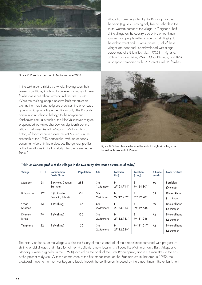

Figure 7: River bank erosion in Matmora, June 2008

in the Lakhimpur district as a whole. Having seen their present conditions, it is hard to believe that many of these families were self-reliant farmers until the late 1990s. While the Mishing people observe both Hinduism as well as their traditional religious practices, the other caste groups in Bahpora village are Hindus only. The Koibartta community in Bahpora belongs to the Mayamoria Vaishnavite sect, a branch of the Neo-Vaishnavite religion propounded by Aniruddha Dev, an eighteenth century religious reformer. As with Majgaon, Matmora has a history of floods occurring over the last 58 years in the aftermath of the 1950 earthquake, with major floods occurring twice or thrice a decade. The general profiles of the five villages in the two study sites are presented in Table 3.

village has been engulfed by the Brahmaputra over the years (Figure 7) leaving only five households in the south- western corner of the village. In Tinigharia, half of the village on the country side of the embankment survived and people settled down by just clinging to the embankment and its sides (Figure 8). All of these villages are poor and underdeveloped with a high percentage of BPL families; viz., 100% in Tinigharia, 85% in Khamon Birina, 75% in Opar Khamon, and 87% in Bahpora compared with 35.59% of rural BPL families



Figure 8: Vulnerable shelter – settlement of Tinigharia village on the old embankment of Matmora

| Village    | H/H | Community/<br><b>Caste Group</b> | <b>Population</b> | <b>Site</b> | Location<br>(Lat)   | Location<br>(Long) | <b>Altitude</b><br>(mas) | <b>Block/District</b> |
|------------|-----|----------------------------------|-------------------|-------------|---------------------|--------------------|--------------------------|-----------------------|
| Majgaon    | 68  | 3 (Ahom, Chutiya,                | 283               | Site        | N                   | E                  | 60                       | <b>Bordoloni</b>      |
|            |     | Baishya)                         |                   | 1-Majgaon   | $27^{\circ}23.714'$ | 94°24.3011         |                          | (Dhemaji)             |
| Bahpora no | 128 | 3 (Koibartta,                    | 557               | Site        | N                   | E                  | 64                       | Dhokuakhona           |
|            |     | Brahmin, Bihari)                 |                   | 2-Matmora   | 27°12.272'          | 94°29.2021         |                          | (Lakhimpur)           |
| Opar       | 33  | (Mishing)                        | 147               | Site        | N                   | E                  | 70                       | Dhokuakhona           |
| Khamon     |     |                                  |                   | 2-Matmora   | 27°33.784'          | 94°39.646'         |                          | (Lakhimpur)           |
| Khamon     | 70  | (Mishing)                        | 336               | Site        | N                   | Ε                  | 73                       | Dhokuakhona           |
| Birina     |     |                                  |                   | 2-Matmora   | $27^{\circ}12.183'$ | 94°31.286'         |                          | (Lakhimpur)           |
| Tinigharia | 22  | (Mishing)                        | 150               | Site        | N                   | 94°31.517'         | 75                       | Dhokuakhona           |
|            |     |                                  |                   | 2-Matmora   | 27°12.320'          |                    |                          | (Lakhimpur)           |

Table 3: General profile of the villages in the two study sites (static picture as of today)

The history of floods for the villagers is also the history of the rise and fall of the embankment entwined with progressive shifting of old villages and migration of the inhabitants to new locations. Villages like Matmora, Janji, Bali, Arkep, and Modarguri were originally (in the 1950s) located on the bank of the River Brahmaputra, about 10 kilometres to the east of the present study site. With the construction of the first embankment on the Brahmaputra in that area in 1952, the westward movement of the river began to break through the confinement imposed by the embankment. The embankment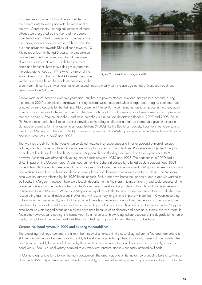has been reconstructed at four different stretches in the area to date to keep pace with the movement of the river. Consequently, the original locations of these villages were engulfed by the river and the people from the villages shifted to new places, always on the river bank, moving back westwards with the river. The river has advanced towards Dhokuakhona town by 10 kilometres at least in the last 5 years; the embankment was reconstructed four times; and the villages were dislocated six to eight times. Floods became more acute and frequent (three to five deluges a year) after the catastrophic floods of 1998 when a stretch of the embankment, about two and half kilometres' long, was washed away rendering the whole embankment in that



Figure 9: The Matmora deluge in 2008

area weak. Since 1998, Matmora has experienced floods annually with the average period of inundation each year being more than 50 days.

People were much better off even five years ago, but they are poverty stricken now and marginalised because during the flood in 2007 a complete breakdown in the agricultural system occurred when a large area of agricultural land was affected by sand deposits for the first time. No government intervention worth its name has taken place in the area, apart from occasional repairs to the embankment on the River Brahmaputra, and those too have been carried out in a piecemeal manner, leading to frequent breaches; and these breaches in turn caused devastating floods in 2007 and 2008 (Figure 9). Routine relief and rehabilitation facilities provided to the villagers affected are far too inadequate given the scale of damage and destruction. Non-government organisations (NGOs) like the Red Cross Society, Rural Volunteer Centre, and the 'Takam Mishing Porin Kebang' (TMPK), a union of students from the Mishing community, helped the victims with rescue and relief resources in 2007 and 2008.

The two sites are similar in the types of water-related hazards they experience and in other geo-environmental features. But they are also markedly different in certain demographic and sociocultural features. Both sites are subjected to regular episodes of floods and flash floods. Whereas in Majgaon chronic flooding occurred almost every year since 1950, however, Matmora was affected only during major floods between 1950 and 1998. The earthquake in 1950 had a direct impact on the Majgaon area. A big flood on the River Subansiri caused by a landslide dam outburst flood (LDOF) immediately after the earthquake brought many changes to the landscape and environment of Majgaon where marshy lands and wetlands were filled with silt and debris in some places and depressed areas were created in others. The Matmora area was not directly affected by the 1950 floods as such. Both areas have borne the impacts of debris and silt washed in by floods. In Majgaon, however, there were less silt deposits than in Matmora in terms of intensity and scale because of the presence of rivers that are much smaller than the Brahmaputra. Therefore, the problem of land degradation is more serious in Matmora than in Majgaon. Whereas in Majgaon many of the silt-affected areas have become cultivable and others are recuperating fast, the sand-laden areas in Matmora will take a very long time to improve – more than 10 years according to locals–and recover naturally; and that too provided there is no more sand deposition. If more sand casting occurs, the time taken for reclamation will be longer than ten years. Import of silt and debris has had a positive impact in the Majgaon area because waterlogged areas and marshes have risen because of silt deposits and become cultivable over the years. In Matmora, however, sand casting is a curse. Apart from the colossal blow to agriculture because of the degradation of fertile lands, many inland fisheries and wetlands filled up, affecting fish production and fishing as a livelihood.

#### **Current livelihood system in 2009 and existing vulnerabilities**

The prevailing livelihood scenario is similar in both study sites, except in the case of agriculture. In Majgaon agriculture is still the primary means of sustenance and paddy is the staple crop. Although they do not grow seasonal rice varieties like 'sali' (summer) paddy because of damage by flood waters, they manage to grow 'bao' (deep water paddy) in normal flood years. 'Bao' is a local variety adapted to a watery environment, and it is not easily affected by floods.

In Matmora agriculture is no longer the main occupation. The area was one of the major rice producing belts of Lakhimpur district until 1998. Agriculture, mainly cultivation of paddy, has been affected by increasing floods since 1998. Finally, the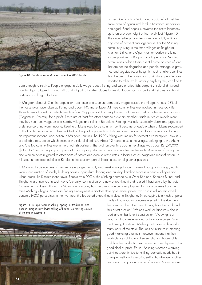

Figure 10: Sandscapes in Matmora after the 2008 floods

consecutive floods of 2007 and 2008 left almost the entire area of agricultural land in Matmora irreparably damaged. Sand deposits covered the entire landmass up to an average height of four to six feet (Figure 10). The once fertile paddy fields are now totally unfit for any type of conventional agriculture. For the Mishing community living in the three villages of Tinigharia, Khamon Birina, and Opar Khamon agriculture is no longer possible. In Bahpora (a village of non-Mishing communities) village there are still some patches of land that are not too degraded and people manage to grow rice and vegetables, although in much smaller quantities than before. In the absence of agriculture, people have resorted to other work, virtually anything they can find to

earn enough to survive. People engage in daily wage labour, fishing and sale of dried fish; carpentry; sale of driftwood, country liquor (Figure 11), and milk; and migrating to other places for menial labour such as pulling rickshaws and hand carts and working in factories.

In Majgaon about 51% of the population, both men and women, earn daily wages outside the village. At least 23% of the households have taken up fishing and about 14% make liquor. All three communities are involved in these activities. Three households sell milk which they buy from Majgaon and two neighbouring villages and sell to hotels in nearby towns (Gogamukh, Dhemaji) for a profit. There are at least five other households where members trade in rice as middle men: they buy rice from Majgaon and nearby villages and sell it in Bordoloni. Rearing livestock, especially ducks and pigs, is a useful source of non-farm income. Rearing chickens used to be common but it became unfeasible when chickens succumbed to the flooded environment: disease killed off the poultry population. Fish become abundant in floods waters and fishing is an important seasonal occupation in Majgaon; but until the 1980s fishing was mainly for domestic consumption, now it is a profitable occupation which includes the sale of dried fish. About 12 households in the villages belonging to the Ahom and Chutiya communities are in the dried fish business. The total turnover in 2008 in the village was about Rs1,50,000 (\$US3,125) according to participants at a focus group discussion who are involved in the trade. A number of young men and women have migrated to other parts of Assam and even to other states in India such as Nagaland (east of Assam, a hill state in northeast India) and Kerala (in the southern part of India) in search of greener pastures.

In Matmora large numbers of people are engaged in daily and weekly wage labour in menial occupations (e.g., earthworks, construction of roads, building houses, agricultural labour, and building bamboo fences) in nearby villages and urban areas like Dhokuakhona town. People from 90% of the Mishing households in Opar Khamon, Khamon Birina, and Tinigharia are involved in such work. Currently, construction of a new embankment and related infrastructure by the state Government of Assam through a Malaysian company has become a source of employment for many workers from the three Mishing villages. Some are finding employment in another state government project which is installing reinforced concrete (RCC) porcupines in the river near the breached embankment close to Tinigharia. (A porcupine is a mesh of poles

Figure 11: A liquor corner selling 'apong' or traditional rice beer in Tinigharia village: selling of liquor is a thriving source of income in Matmora



made of bamboo or concrete erected in the river near the banks to divert the current away from the bank and thus arrest erosion.) Women work as labourers also in road and embankment construction. Weaving is an important income-generating activity for women. Garments using traditional Mishing motifs are in demand in many parts of the state. The lack of initiative in creating good marketing channels, however, means that their products are sold to middlemen who visit households and buy the products: thus the women are deprived of a good deal of profit. Earlier, Mishing women's weaving activities were limited to fulfilling domestic needs but, in a fragile livelihood scenario, selling hand-woven clothes becomes an important source of income. Some people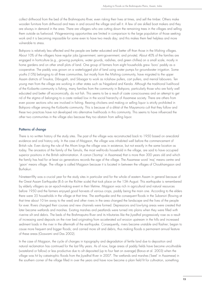collect driftwood from the bed of the Brahmaputra River, even risking their lives at times, and sell the timber. Others make wooden furniture from driftwood and trees in and around the village and sell it. A few of are skilled boat makers and they are always in demand in the area. There are villagers who are cutting down the remaining trees in the villages and selling them outside as fuelwood. Wage-earning opportunities are limited in comparison to the large population of those seeking work and it is becoming impossible for some even to have two meals day; and this makes them feel helpless and more vulnerable to stress.

Bahpora is relatively less affected and the people are better educated and better off than those in the Mishing villages. About 10% of the villagers have regular jobs (government, semi-government, and private). About 40% of the families are engaged in horticulture (e.g., growing pumpkins, water gourds, radishes, and green chillies) on a small scale, mostly in home gardens and on other small plots of land. One group of farmers from eight households grew 'boro' paddy as a cooperative. The paddy was grown on a waterlogged plot of land using water pumps for groundwater irrigation. Some youths (15%) belonging to all three communities, but mostly from the Mishing community, have migrated to the upper Assam districts of Tinsukia, Dibrugarh, and Sibsagar to work as rickshaw pullers, cart pullers, and menial labourers. Ten young men from the village are working in other states such as Nagaland and Kerala. Although the traditional livelihood of the Koibartta community is fishing, many families from the community in Bahpora, particularly those who are fairly well educated and better off economically, do not fish. This seems to be a result of caste consciousness and an attempt to get rid of the stigma of belonging to a caste ranked low in the social hierarchy of Assamese society. There are others from even poorer sections who are involved in fishing. Rearing chickens and making or selling liquor is strictly prohibited in Bahpora village among the Koibartta community. This is because of a diktat of the Mayamoria cult that they follow and these two practices have not developed into alternative livelihoods in this community. This seems to have influenced the other two communities in the village also because they too abstain from selling liquor.

#### **Patterns of change**

There is no written history of the study sites. The past of the village was reconstructed back to 1950 based on anecdotal evidence and oral history only. In the case of Majgaon, the village was inhabited well before the commencement of British rule. Even during the rule of the Ahom kings the village was in existence, but not exactly in the same location as today. The ancestors of the family of the Tamulis, the most well-to-do household in the village, are said to have occupied superior positions in the British administration. A canon ('bortop' in Assamese) that is more than 300 years old and which the family has had for at least six generations records the age of the village. The Assamese word 'maj' means centre and 'gaon' means village. The village is called Majgaon because it is located in between the villages of Choukhamgaon and Burhakuri.

Nineteen-fifty was a crucial year for the study sites in particular and for the whole of eastern Assam in general because of the Great Assam Earthquake (8.6 on the Richter scale) that took place on the 15th August. This earthquake is remembered by elderly villagers as an epoch-making event in their lifetime. Majgaon was rich in agricultural and natural resources before 1950 and the farmers enjoyed good harvests of various crops, paddy being the main one. According to the elders there were 35 households in the village at that time. The earthquake and the consequent floods in the Subansiri (flowing at that time about 10 km away to the west) and other rivers in the area changed the landscape and the lives of the people for ever. Rivers changed their courses and new channels were formed. Depressions and low-lying areas were created that later became wetlands and marshes. Existing marshes and peatlands were turned into plains when they were filled with riverine silt and debris. The beds of the Brahmaputra River and its tributaries like the Jiyadhal progressively rose as a result of increasing sand deposits on the river bed originating from accelerated soil erosion upstream in the hills and increased sediment loads in the river in the aftermath of the earthquake. Consequently, rivers became unstable and flashier; began to cause more frequent and bigger floods; and carried more silt and debris, thus making floods a permanent annual feature of these areas (Goswami and Das 2002).

In the case of Majgaon, the cycle of changes in topography and degradation of fertile land due to deposition and natural reclamation has continued for the last fifty years. As of now, large areas of paddy fields have become uncultivable (wasteland or fallow) or less productive due to silt deposited (up to four feet on average) (Barua et al. 2003) when the village was hit by catastrophic floods from the Jiyadhal River in 2007. The wetlands and marshes ('beel' in Assamese) in the southern corner of the village filled in over the years and have now become a plain field fit for cultivation, something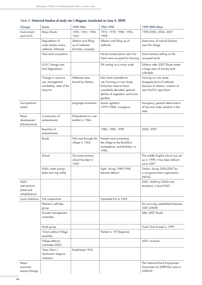| <b>Changes</b>                                                | <b>Events</b>                                                                    | 1950-1962                                                    | 1963-1998                                                                                                                                                      | 1999-2009 (May)                                                                                                       |
|---------------------------------------------------------------|----------------------------------------------------------------------------------|--------------------------------------------------------------|----------------------------------------------------------------------------------------------------------------------------------------------------------------|-----------------------------------------------------------------------------------------------------------------------|
| Environment<br>and LU/LC                                      | Major floods                                                                     | 1950, 1952, 1958,<br>1962                                    | 1972, 1978, 1988, 1996,<br>1998,                                                                                                                               | 1998,2000, 2004, 2007                                                                                                 |
|                                                               | Degradation of<br>water bodies (rivers,<br>wetlands, fisheries)                  | Siltation and filling<br>up of wetlands<br>(marshes, swamps) | Siltation and filling up of<br>wetlands                                                                                                                        | Destruction of natural fisheries<br>near the village                                                                  |
|                                                               | New land occupation                                                              |                                                              | Newly formed plains near Na-<br>Nadi were occupied for farming                                                                                                 | Some families settling on the<br>occupied lands                                                                       |
|                                                               | LU/LC change and<br>land degradation                                             |                                                              | Silt casting on a minor scale                                                                                                                                  | Siltation after 2007 floods made<br>a large area of marshy land<br>cultivable                                         |
|                                                               | Change in resource<br>use, management,<br>availability, state of the<br>resource | Wetlands were<br>buried by siltation,                        | New land available for<br>use, Farming on river levee,<br>Kukurmari reserve forest<br>completely denuded, general<br>decline of vegetation and home<br>gardens | Farming on river levee,<br>disappearance of wetlands<br>because of siltation, creation of<br>new land for agriculture |
| Sociopolitical<br>events                                      |                                                                                  | Language movement                                            | Assam agitation<br>(1979-1984), insurgency                                                                                                                     | Insurgency, general deterioration<br>of law and order situation in the<br>state                                       |
| Major<br>development<br>(Infrastructure)                      | Construction of<br>embankments                                                   | Embankment on river<br>liadhal in 1964                       |                                                                                                                                                                |                                                                                                                       |
|                                                               | Breaches of<br>embankments                                                       |                                                              | 1986, 1988, 1998                                                                                                                                               | 2004, 2007                                                                                                            |
|                                                               | Roads                                                                            | Old road through the<br>village in 1965                      | Present road connecting<br>the village to the Bordoloni<br>marketplace and Burhakuri in<br>1990                                                                |                                                                                                                       |
|                                                               | School                                                                           | The lower primary<br>school founded in<br>1955               |                                                                                                                                                                | The middle English school was set<br>up in 1999, it has been defunct<br>since 2007                                    |
|                                                               | Public water pumps<br>(tube and ring wells)                                      |                                                              | Eight during 1988-1998,<br>became defunct                                                                                                                      | Twelve during 2004-2007 by<br>a non-government organisation<br>(NGO)                                                  |
| <b>NGO</b><br>interventions<br>(relief and<br>rehabilitation) |                                                                                  |                                                              |                                                                                                                                                                | 2007 - 2008 by IGSSS and<br>Armature, a local NGO                                                                     |
| Local institutions                                            | Fish cooperative                                                                 |                                                              | Operated first in 1965                                                                                                                                         |                                                                                                                       |
|                                                               | Women's self help<br>group                                                       |                                                              |                                                                                                                                                                | Six surviving, established between<br>2001-20008                                                                      |
|                                                               | Disaster management<br>committee                                                 |                                                              |                                                                                                                                                                | After 2007 floods                                                                                                     |
|                                                               | Youth group                                                                      |                                                              |                                                                                                                                                                | Youth Club formed in 1999                                                                                             |
|                                                               | 'Gram sabha'/village<br>assembly                                                 |                                                              | Started in 1973 (approx)                                                                                                                                       |                                                                                                                       |
|                                                               | Village defence<br>committee (VDC)                                               |                                                              |                                                                                                                                                                | 2001 onwards                                                                                                          |
|                                                               | 'Nam Ghar'/<br>Vaishnaviti religious<br>institution                              | Established 1955                                             |                                                                                                                                                                |                                                                                                                       |
| Major<br>economic<br>events/change                            |                                                                                  |                                                              |                                                                                                                                                                | The National Rural Employment<br>Guarantee Act (NREGA) came in<br>2008-09                                             |

## Table 4: **Historical timeline of study site I, Majgaon (conducted on June 4, 2009)**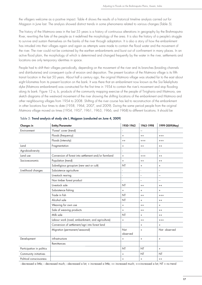the villagers welcome as a positive impact. Table 4 shows the results of a historical timeline analysis carried out for Majgaon in June last. The analysis showed distinct trends in some phenomena related to various changes (Table 5).

The history of the Matmora area in the last 55 years is a history of continuous alterations in geography by the Brahmaputra River, rewriting the fate of the people as it redefined the morphology of the area. It is also the history of a people's struggle to survive and sustain themselves on the banks of the river through adaptation. It is also a story of how the embankment has intruded into their villages again and again as attempts were made to contain the flood water and the movement of the river. The river could not be contained by the earthen embankments and burst out of confinement in many places. In an active flood plain, the morphology of which is determined and changed frequently by the water in the river, settlements and locations are only temporary identities in space.

People had to shift their villages periodically, depending on the movement of the river and its branches (braiding channels and distributaries) and consequent cycle of erosion and deposition. The present location of the Matmora village is its fifth transit location in the last 50 years. About half a century ago, the original Matmora village was situated far to the east about eight kilometres from its present location on the bank. It was there that an embankment now known as the Sisi-Tekeliphuta dyke (Matmora embankment) was constructed for the first time in 1954 to contain the river's movement and stop flooding along its bank. Figure 12 a, b, products of the community mapping exercise of the people of Tinigharia and Matmora, are sketch diagrams of the westward movement of the river showing the shifting locations of the embankment and Matmora and other neighbouring villages from 1954 to 2008. Shifting of the river course has led to reconstruction of the embankment in other locations four times to date (1958, 1964, 2007, and 2009). During the same period people from the original Matmora village moved six times (1954, 1957, 1961, 1963, 1966, and 1968) to different locations. It should be

| <b>Changes</b> in         | <b>Entity/Parameter</b>                              | 1950-1962       | 1963-1998 | 1999-2009(May)                   |
|---------------------------|------------------------------------------------------|-----------------|-----------|----------------------------------|
| Environment               | 'Forest' cover (trend)                               |                 |           |                                  |
|                           | Floods (frequency)                                   | $+$             | $++$      | $^{+++}$                         |
|                           | Floods (intensity)                                   | $^{++}$         | $^{+++}$  | $^{+++}$                         |
| Land                      | Fragmentation                                        | $\ddot{}$       | $^{++}$   | $^{++}$                          |
| Agrobiodiversity          |                                                      |                 |           |                                  |
| Land use                  | Conversion of forest into settlement and/or farmland | $\ddot{}$       | $+++$     | $^{++}$                          |
| Socio-economic            | Population (trend)                                   | $\ddot{}$       | $++$      | $^{++}$                          |
|                           | Subreligious groupism (new sect or cult)             | NT              | $\ddot{}$ | $\ddot{}$                        |
| Livelihood changes        | Subsistence agriculture                              |                 |           | $\overline{\phantom{a}}$         |
|                           | Livestock rearing                                    |                 | L.        | —                                |
|                           | Non timber forest product                            |                 | -         | -                                |
|                           | Livestock sale                                       | NT              | $++$      | $^{++}$                          |
|                           | Subsistence fishing                                  | $\ddot{}$       | $^{+}$    | $\ddot{}$                        |
|                           | Trade in fish                                        | NT              | $++$      | $^{+++}$                         |
|                           | Alcohol sale                                         | NT              | $\ddot{}$ | $^{++}$                          |
|                           | Weaving for own use                                  | $\ddot{}$       | $++$      | $\ddot{}$                        |
|                           | Sale of weaving products                             | $+$             | $++$      | $^{++}$                          |
|                           | Milk sale                                            | NT              | $^{+}$    | $^{++}$                          |
|                           | Labour work (road, embankment, and agriculture)      | $\ddot{}$       | $++$      | $^{+++}$                         |
|                           | Conversion of settlement/agri into forest land       |                 | $\ddot{}$ | $\ddot{}$                        |
|                           | Migration (permanent/seasonal)                       | Not<br>observed | $^{+}$    | Not observed                     |
| Development               | infrastructure                                       | $^{+}$          | $+$       | $\begin{array}{c} + \end{array}$ |
|                           | Remittances                                          |                 |           |                                  |
| Participation in politics |                                                      | NT              | NT        | $\ddot{}$                        |
| Community initiatives     |                                                      | $\ddot{}$       | NT        | NT                               |
| Political consciousness   |                                                      | $\ddot{}$       | $\ddot{}$ | $^{++}$                          |

Table 5: **Trend analysis of study site I, Majgaon (conducted on June 4, 2009)**

- decreased a little; - decreased much; --decreased a lot; + increased a little; ++ increased much; +++increased a lot; NT = no trend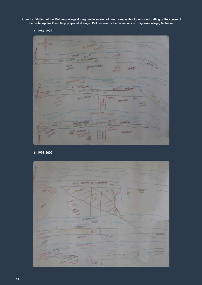Figure 12: **Shifting of the Matmora village during due to erosion of river bank, embankments and shifting of the course of the Brahmaputra River. Map prepared during a PRA session by the community of Tinigharia village, Matmora**

**a) 1954-1998**



 **b) 1998-2009**

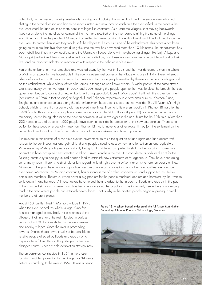noted that, as the river was moving westwards crashing and fracturing the old embankment, the embankment also kept shifting in the same direction and had to be reconstructed in a new location each time the river shifted. In the process the river consumed the land on its northern bank in villages like Matmora. As a result the villagers kept moving backwards (westwards along the line of advancement of the river) and resettled on the river bank, retaining the name of the village each time. Each time the people of Matmora had settled in a new location, the embankment would be built nearby on the river side. To protect themselves they would shift the villages to the country side of the embankment. This process has been going on for more than five decades: during this time the river has advanced more than 10 kilometres, the embankment has been rebuilt four times in new locations, and the Matmora villages (along with neighbouring villages like Janji, Arkep, and Modarguri.) self-initiated their own resettlement and rehabilitation, and these features have become an integral part of their lives and an important adaptation mechanism with respect to the behaviour of the river.

Part of the embankment was breached and washed away by the river in 1998 and the river devoured almost the whole of Matmora, except for five households in the south-westernmost corner of the village who are still living there, whereas others left over the last 10 years to places both near and far. Some people resettled by themselves in nearby villages and on the embankment, while others left for other areas, although no-one knows where. A wider portion of the same stretch was swept away by the river again in 2007 and 2008 leaving the people open to the river. To close the breach, the state government began to construct a new embankment using geo-fabric tubes in May 2009. It will join the old embankment (constructed in 1964 in that position) at Baghchuk and Baligaon respectively in a semi-circular route. Khamon Birina, Tinigharia, and other settlements along the old embankment have been situated on the riverside. The All Assam Miri High School, which is more than a century old has moved nine times: it came to its present location in Khamon Birina after the 1998 floods. This school was completely buried under sand in the 2008 floods (Figure 13) and is now running from a temporary shelter. Being left outside the new embankment it will move again in the near future for the 10th time. More than 200 households and about a 1,000 people have been left outside the protection of the new embankment. There is no option for these people, especially those from Khamon Birina, to move to another place. If they join the settlement on the old embankment it will result in further deterioration of the embankment from human pressure.

It is relevant in this context of a dynamic riverine environment to raise the question of land rights and land access with respect to the continuous loss and gain of land and people's need to occupy new land for settlement and agriculture. Whereas many Mishing villages are constantly losing land and being compelled to shift to other locations, some stray populations have occupied newly-created sand bars (river islands) in the river. It is considered a traditional right for the Mishing community to occupy unused riparian land to establish new settlements or for agriculture. They have been doing so for many years. There is no strict rule or law regarding land rights over mid-river islands which are temporary entities. Moreover in the past there was no population pressure or not much competition from other communities over land on river banks. Moreover, the Mishing community has a strong sense of kinship, cooperation, and support for their fellow community members. Therefore, it was never a big problem for the people rendered landless and homeless by the rivers to settle down in another area. All these factors have helped them to adapt to the impacts of floods and erosion in the past. In the changed situation, however, land has become scarce and the population has increased, hence there is not enough land in the area where people can establish new villages. That is why in the nineties people began migrating in small numbers to different places.

About 150 families lived in Matmora village in 1998 when the river flooded the whole village. Only five families managed to stay back in the remnants of the village at that time; and the rest migrated to various places: about 30 families shifted to the embankment and nearby villages. Since the river is proceeding towards Dhokuakhona town, it will not be possible to resettle people affected by floods and erosion on a large scale in future. Thus shifting villages as the river changes course is not a viable adaptation strategy now.

The embankment constructed in 1964 in the present location provided protection to the villages for 34 years before succumbing to the river in 1998. It was a period



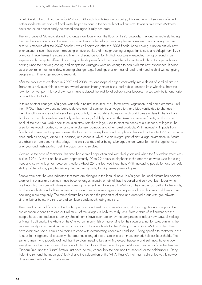of relative stability and prosperity for Matmora. Although floods kept on occurring, this area was not seriously affected. Rather moderate intrusions of flood water helped to nourish the soil with natural nutrients. It was a time when Matmora flourished as an educationally advanced and agriculturally rich area.

The landscape of Matmora started to change significantly from the flood of 1998 onwards. The land immediately facing the river became sandy and the river advanced towards the villages, eroding the embankment. Sand casting became a serious menace after the 2007 floods: it was all pervasive after the 2008 floods. Sand casting is not an entirely new phenomenon since it has been happening on river banks and in neighbouring villages (Janji, Bali, and Arkep) from 1998 onwards. Nevertheless the scale and intensity of sand deposition in Matmora was unexpected. Living on sand is an experience that is quite different from living on fertile green floodplains and the villagers found it hard to cope with sand casting since their existing coping and adaptation strategies were not enough to deal with this new experience. It came as a shock rather than as a slow creeping change (e.g., flooding, erosion, loss of land, and need to shift) without giving people much time to get ready to respond.

After the two successive floods in 2007 and 2008, the landscape changed completely into a desert of sand all around. Transport is only available in privately-owned vehicles (mainly motor bikes) and public transport (four wheelers) from the town to the river port. Horse- drawn carts have replaced the traditional bullock cards because horses walk better and faster on sand than bullocks.

In terms of other changes, Majgaon was rich in natural resources; viz., forest cover, vegetation, and home orchards, until the 1970s. It has now become barren, devoid even of common trees, vegetation, and biodiversity due to changes in the micro-climate and gradual loss of soil productivity. The flourishing home orchards and home gardens in the front and backyards of each household exist only in the memory of elderly people. The Kukurmari reserve forests, on the western bank of the river Na-Nadi about three kilometres from the village, used to meet the needs of a number of villages in the area for fuelwood, fodder, cane for commercial use, bamboo and other forest products. With increasing impacts from floods and consequent impoverishment, the forest was overexploited and completely denuded by the late 1990s. Common trees, such as papaya, areca nut, banana, and coconut, which are an integral part of any village environment in Assam are absent or rarely seen in this village. The old trees died after being submerged under water for months together year after year and fresh saplings get little opportunity to survive.

Coming to the case of Matmora, this area had a small population and was thickly forested when the first embankment was built in 1954. At that time there were approximately 20 to 22 domestic elephants in the area which were used for felling trees and carrying logs for house construction. About 25 families lived there then. With increasing population and periodic shifting of the village, people disintegrated into many units, forming several new villages.

People from both the sites indicated that there are changes in the local climate. In Majgaon the local climate has become warmer in summer and summers have become longer. Intensity of rainfall has increased and so have flash floods which are becoming stronger with rivers now carrying more sediment than ever. In Matmora, the climate, according to the locals, has become hotter and sultrier, whereas monsoon rains are now irregular and unpredictable with storms and heavy rains occurring more frequently. The micro-climate has assumed the properties of arid and deserted areas with groundwater sinking further below the surface and soil layers underneath losing moisture.

The overall impact of floods on the landscape, lives, and livelihoods has also brought about significant changes to the socioeconomic conditions and cultural milieu of the villages in both the study sites. From a state of self sustenance the people have been reduced to penury. Social norms have been broken by the compulsion to adopt new ways of making a living. Traditionally, the Ahom or the Chutiya community fish or make wine for their own use, not for sale. Similarly, the women usually do not work in menial occupations. The same holds for the Mishing community in Matmora also. They have overcome social norms and mores to cope with deteriorating economic conditions. Being specific to Matmora, once famous for its agricultural prosperity, the area has changed into a scatter plot of impoverished, helpless households. The same farmers, who proudly claimed that they didn't need to buy anything except kerosene and salt, now have to buy everything for their survival and they cannot afford to do so. They are no longer celebrating customary festivities like the 'Dabaru Puja' and the 'Uram' Festival just because they cannot buy the commodities needed for the celebrations. 'Donyi-Polo' (the sun and the moon god) festival and the celebration of the 'Ali Ai Ligang', their main cultural festival, is now-adays marred without the usual fanfare.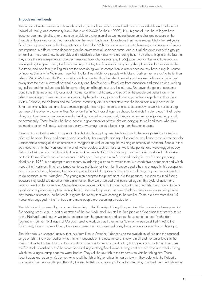#### **Impacts on livelihoods**

The impact of water stresses and hazards on all aspects of people's lives and livelihoods is remarkable and profound at individual, family, and community levels (Barua et al.2003; Barthakur 2000). It is, in general, true that villagers have become poor, marginalised, and more vulnerable to environmental as well as socioeconomic changes because of the impacts of floods and associated hazards over the years. Each year, floods leave them more susceptible to the next year's flood, creating a vicious cycle of impacts and vulnerability. Within a community or a site, however, communities or families are impacted in different ways depending on the environmental, socioeconomic, and cultural characteristics of the groups or families. There are a few households and individuals at both sites who are doing better than others in spite of the fact that they share the same experiences of water stress and hazards. For example, in Majgaon, two families who have workers employed by the government, the family owning a tractor, two families with a grocery shop, three families involved in the fish trade, and one family selling milk are the ones doing well in comparison to others because they have a regular source of income. Similarly, in Matmora, those Mishing families which have people with jobs or businessmen are doing better than others. Within Matmora, the Bahpora village is less affected than the other three villages because Bahpora is the furthest away from the river in terms of physical proximity and therefore has suffered less from inundation and sand casting, making agriculture and horticulture possible for some villagers, although in a very limited way. Moreover, the general economic conditions (in terms of monthly or annual income, conditions of houses, and so on) of the people are better than in the other three villages. There are more people with higher education, jobs, and businesses in this village than in the others. Within Bahpora, the Koibartta and the Brahmin community are in a better state than the Bihari community because the Bihari community has less land, less educated people, has no job holders, and its social security network is not as strong as those of the other two communities. Some families in Matmora villages purchased land plots in safer areas in their better days, and they have proved useful now for building alternative homes; and, thus, some people are migrating temporarily or permanently. Those families that have people in government or private jobs are doing quite well and those who have adjusted to other livelihoods, such as carpentry or weaving, are also benefitting from these enterprises.

Overcoming cultural barriers to cope with floods through adopting new livelihoods and other unorganised activities has affected the social fabric and caused social instability. For example, trading in fish and country liquor is considered socially unacceptable among all the communities in Majgaon as well as among the Mishing community of Matmora. People in the past used to fish in the rivers and in the small water bodies, such as marshes, wetlands, ponds, and water-logged paddy fields, for their own consumption only. It was back in the late 1980s that trading in raw and dry fish started in both sites on the initiative of individual entrepreneurs. In Majgaon, five young men first started trading in raw fish and preparing dried fish in 1986 in an attempt to earn money by adopting a trade for which there is a conducive environment and which needs little investment. It not only turned out to be profitable for them, but it encouraged others to engage in this occupation also. Society at large, however, the elders in particular, didn't approve of this activity and the young men were instructed to do penance in the 'Namghar'. The young men accepted the punishment, did the penance, but soon resumed fishing because they could see no other viable alternative. They were scolded and punished again. This cycle of action and reaction went on for some time. Meanwhile more people took to fishing and to trading in dried fish. It was found to be a good income- generating option. Slowly the sanctions and opposition became weak because society could not provide any feasible alternative; neither could it ignore the money that was coming to the families. There are now more than 15 households engaged in the fish trade and more people are becoming attracted to it.

The fish trade is governed by a cooperative society called Kumotiya Fishery Cooperative. The cooperative takes potential fish-bearing areas (e.g., a particular stretch of the Na-Nadi, small rivulets like Singijaan and Gogajaan that are tributaries to the Na-Nadi, and nearby wetlands) on lease from the government and sublets the same to the local 'mahaldar' (contractor). Earlier the villagers of Majgaon used to work only as fishermen or 'Jaluwoi' (a person skilled in using the fishing net), Later on some of them, the more experienced and seasoned ones, became contractors with small holdings.

The fish trade is a seasonal activity that lasts from June to October. It depends on the availability of fish and the seasonal surge of fish in the water bodies which, in turn, depends on the occurrence of timely rainfall and the water levels in the rivers and water bodies. Normal flood conditions are conducive to a good catch, but large floods are harmful because the fish stock is washed out of the water bodies during a strong flood wave. Fishing continues for days and weeks during which the villagers camp near the water bodies. They sell the raw fish to the traders who visit the fishing site. These local traders are actually middle men who resell the fish at higher prices in nearby towns. They belong to the Koibartta community from nearby villages. They dry the smaller fish on bamboo platforms for a few days and sell the dried fish either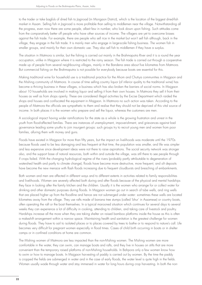to the trader or take bagfuls of dried fish to Jagiroad (in Morigaon District), which is the location of the biggest dried-fish market in Assam. Selling fish in Jagiroad is more profitable than selling to middlemen near the village. Notwithstanding all the progress, even now there are some people, albeit few in number, who look down upon fishing. Such attitudes come from the comparatively better off people who have other sources of income. The villagers are yet to overcome biases against the fish trade. For example, there are people who sell rice in the market but won't sell fish although, back in the village, they engage in the fish trade. It is mainly men who engage in large-scale fishing business. The women fish in smaller groups, and mainly for their own domestic use. They also sell fish to middlemen if they have a surplus.

The situation in Matmora is similar, but the fishing is carried out mainly in the Brahmaputra River and it is a round the year occupation, unlike in Majgaon where it is restricted to the rainy season. The fish trade is carried out through a cooperative made up of people from several neighbouring villages, mainly in the Bandena area about five kilometres from Matmora. But commercial fishing on the Brahmaputra is not possible for everybody because boats are essential for this.

Making traditional wine for household use is a traditional practice for the Ahom and Chutiya communities in Majgaon and the Mishing community of Matmora. In course of time selling country liquor (of inferior quality to the traditional wine) has become a thriving business in these villages, a business which has also broken the barriers of social norms. In Majgaon about 10 households are involved in making liquor and selling it from their own houses. In Matmora they sell it from their houses as well as from shops openly. These are considered illegal activities by the Excise Department which raided the shops and houses and confiscated the equipment in Majgaon. In Matmora no such action was taken. According to the people of Matmora the officials are sympathetic to them and realise that they should not be deprived of this vital source of income. In both places it is the women who prepare and sell the liquor, whereas the customers are men.

A sociological impact having wider ramifications for the state as a whole is the growing frustration and unrest in the youth from flood-affected families. There are instances of unemployment, impoverishment, and grievances against bad governance leading some youths to join insurgent groups: such groups try to recruit young men and women from poor families, alluring them with money and guns.

Floods have existed in Majgaon for more than fifty years, but the impact on livelihoods was moderate until the 1970s because floods used to be less damaging and less frequent at that time, the population was smaller, and life was simpler and less expensive since development ideas were not there to raise aspirations. The social security network was stronger also, and the support base of natural resources, both within and outside the village, was still there to see people through if crops failed. With the changing hydrological regime of the rivers (probably partly attributable to degeneration of watershed health and partly to climate change), floods have become more destructive, more frequent, and silt deposits have become the new menace with flash floods increasing due to frequent cloudbursts and breaching of embankments.

Both women and men are affected in different ways and to different extents in activities related to family responsibilities and livelihoods. Women are severely affected both during and after floods because of the physical and mental hardships they face in looking after the family kitchen and the children. Usually it is the women who arrange for or collect water for drinking and other domestic purposes during floods. In Majgaon women go out in search of tube wells, and ring wells that are placed higher up from the floodline and hence are not submerged under water: sometimes these wells are located kilometres away from the village. They use rafts made of banana tree stumps (called 'bhur' in Assamese) or country boats, often operating the raft or the boat themselves. In a typical marooned situation which continues for several days to several weeks they can experience a lot of difficulty in cooking, attending to children, and taking care of livestock and poultry. Hardships increase all the more when they are taking shelter on raised bamboo platforms inside the house as this is often a makeshift arrangement within a narrow space. Maintaining health and sanitation is the greatest challenge for women during floods. They have to sail to isolated places or to places covered by trees to bathe or to respond to nature's call. Life becomes very difficult for pregnant women especially in flood times. Cases of child birth occurring in boats or in shelter camps or in confined conditions at home are common.

The Mishing women of Matmora are less impacted than the non-Mishing women. The Mishing women are more comfortable in the water, they can swim, can manage boats and rafts, and they live in houses on stilts that are more convenient than the temporary raised platforms of non-Mishing households. In Bahpora only a few women know how to swim or how to manage boats. In Majgaon harvesting of paddy is carried out by women. By the time the paddy is cropped the fields are submerged in water and in the case of early floods, the water level is quite high in the fields. Women usually wade through water and stay immersed in water for long hours during crop harvesting. In both the non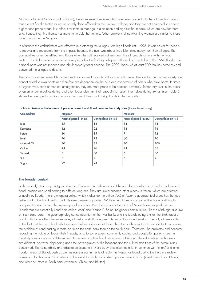Mishing villages (Majgaon and Bahpora), there are several women who have been married into the villages from areas that are not flood affected or not as acutely flood affected as their in-laws' village, and they are not equipped to cope in highly flood-prone areas. It is difficult for them to manage in a situation and against the impacts which are new for them and, hence, they find themselves more vulnerable than others. Other problems of non-Mishing women are similar to those faced by women in Majgaon.

In Matmora the embankment was effective in protecting the villages from high floods until 1998. It was easier for people to recover and recuperate from the impacts because the river was about three kilometres away from their villages. The communities rather benefitted from floods when the soil received nutrients from the silt brought ashore with the flood waters. Floods became increasingly damaging after the first big collapse of the embankment during the 1998 floods. The embankment was not repaired nor rebuilt properly for a decade. The 2008 floods left at least 500 families homeless and converted the villages to deserts.

The poor are more vulnerable to the direct and indirect impacts of floods in both areas. The families below the poverty line cannot afford to own boats and therefore are dependent on the help and cooperation of others who have boats. In times of urgent evacuation or medical emergencies, they are more prone to be affected adversely. Temporary rises in the prices of essential commodities during and after floods also limit their capacity to sustain themselves during trying times. Table 6 shows the average fluctuations in prices in normal times and during floods in the study sites.

| <b>Commodities</b> | Majgaon                |                       | <b>Matmora</b>         |                       |  |  |
|--------------------|------------------------|-----------------------|------------------------|-----------------------|--|--|
|                    | Normal period (in Rs.) | During flood (in Rs.) | Normal period (in Rs.) | During flood (in Rs.) |  |  |
| Rice               | 15                     | 18                    | 14                     | 18                    |  |  |
| Kerosene           | 12                     | 22                    | 14                     | 16                    |  |  |
| Potato             | 10                     | 15                    | 7                      | 12                    |  |  |
| Lentil             | 70                     | 75                    | 60                     | 70                    |  |  |
| Mustard Oil        | 80                     | 85                    | 80                     | 100                   |  |  |
| Onion              | 24                     | 26                    | 24                     | 35                    |  |  |
| Turmeric           | 5                      | 30                    | 5                      | 30                    |  |  |
| Salt               | 5                      | $\overline{7}$        | 5                      | 7                     |  |  |
| Sugar              | 22                     | 24                    |                        |                       |  |  |

#### Table 6: Average fluctuations of price in normal and flood times in the study sites (Source: Project survey)

#### **The broader context**

Both the study sites are prototypes of many other areas in Lakhimpur and Dhemaji districts which face similar problems of flood, erosion and sand casting to different degrees. They are like a hundred other places in Assam which are affected annually by floods. The Brahmaputra valley, which makes up more than 75% of Assam's geographical area, has the most fertile land in the flood plains, and it is very densely populated. While ethnic tribes and communities have traditionally occupied the river banks, the migrant populations from Bangladesh and other parts of Assam have peopled the river islands that are essentially sand bars called 'char' and 'chapori'. Some indigenous communities, like the Mishings, also live on such sand bars. The geomorphological composition of the river banks and the islands being similar, the Brahmaputra and its tributaries affect the entire valley almost to a similar degree in terms of floods and erosion. The only difference lies in the fact that the north bank tributaries are flashier and more silt laden than the south bank tributaries and that, as of now, the problem of sand casting is more acute on the north bank than on the south bank. Therefore, the problems and concerns regarding the nature of floods, their impacts, and, to some extent, community coping and adaptation patterns seen in the study sites are not very different from those seen in other flood-prone areas of Assam. The adaptation mechanisms are different, however, depending upon the physiography of the locations and the cultural traditions of the communities concerned. The vulnerability and adaptation scenario in these study sites also has a lot in common with 'chars' and other riparian areas of Bangladesh as well as some areas in the Terai region in Nepal, as found during the literature review carried out for this work. Similarities can be found too with many other riparian areas in India (West Bengal and Orissa) and other countries in South Asia (Myanmar, China, and Bhutan).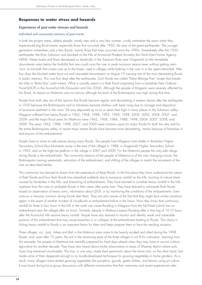## **Responses to water stress and hazards**

#### **Experiences of past water stresses and hazards**

#### **Individual and community memory of past events**

In both the project areas, elderly people, mostly men and a very few women, vividly remember the years when they experienced big flood events, especially those that occurred after 1950, the year of the great earthquake. The younger generation remembers only a few floods, mainly those that have occurred since the 1990s. Immediately after the 1950 earthquake, the River Subansiri was blocked on the hills of Arunachal Pradesh (formerly the North East Frontier Agency, NEFA). Water levels and flows decreased so drastically in the Subansiri River near Gogamukh (in the immediate downstream area below the foothills) that one could cross the river in peak monsoon season even without getting one's 'tioni' (a loincloth that covers one up to the knees, used in villages while bathing in the river or in the open) drenched. After four days the blocked water burst out and cascaded downstream on August 19 causing one of the most devastating floods in public memory. This was four days after the earthquake. Such floods are called 'Pahar Bhanga Pani' (water that breaks the hills) or 'Bolia Pani' (wild water). What is actually meant is a flash flood originating from a Landslide Dam Outburst Flood (LDOF) in the Arunachal hills (Goswami and Das 2002). Although the people of Majgaon were severely affected by this flood, its impact on Matmora was not serious although the level of the Brahmaputra was high during that time.

People from both sites are of the opinion that floods became regular and devastating in eastern Assam after the earthquake in 1950 because the Brahmaputra and its tributaries became shallow with beds rising due to carriage and deposition of excessive sediment in the rivers. Silt was deposited up to six or seven feet high in many places in the Subansiri valley. Majgaon suffered from heavy floods in 1962, 1968, 1988, 1992, 1996, 1998, 2000, 2002, 2004, 2007, and 2009; and the major flood years for Matmora were 1962, 1968, 1984, 1988, 1998, 2004, 2007, 2008, and 2009. The years 1962, 1988, 1998, 2007, and 2009 were common years for major floods for both the sites and for the entire Brahmaputra valley. In recent major events floods have become more devastating, mainly because of breaches in and erosion of the embankments.

People have to move to safe places during major floods. The people from Majgaon took shelter in Bordoloni Higher Secondary School (four kilometres away in the east of the village) in 1988; in Gogamukh Higher Secondary School in 1992, and on the high-rise platform in the village in 2007 and 2009. For the Matmora people the only safe refuge during floods is the embankment. The community memory of the people of Matmora is of the river changing course, the Brahmaputra moving westwards, relocation of the embankment, and shifting of the villages to match the movement of the river as described earlier.

The community has learned its lesson from the experience of these floods. In the first place they have understood the nature of flash floods and how flash floods are unleashed suddenly due to excessive rainfall on the hills, bursting of natural dams caused by landslides in the hills, and breaching of embankments. They have learned to correlate heavy rainfall in the hills upstream from the rivers to probable floods in their areas after some time. They have learned to anticipate flash floods based on observation of heavy rains, information about LDOF, or by monitoring the conditions of the embankments. Even rumours or hearsay common during floods alert them. They are also aware of the fact that they might face similar situations again in the event of another incident of cloudbursts or embankment failure in the future. Now they know that continuous rainfall for three to four hours in the hills to the north can cause flooding in Majgaon from the Na-Nadi (which has no embankment near the village) after six hours. Similarly, people in Matmora expect flooding after a time lag of 10-12 hours after the Arunachal hills receive heavy rainfall. People have also learned to monitor and identify weak and vulnerable portions of the embankment that may cause breaches in or collapse of the embankment leading to floods. This clarity in linking heavy rainfall to floods is an important factor for them and helps prepare them to face the resulting situation.

Three villages; viz., Janji, Arkep and Bali in the Matmora area came to be heavily eroded and silted during the 1998 floods, and, even after 10 years, the soil in the remaining parts of the three villages is not fit for cultivation. Learning from this example, the people of Matmora are mentally prepared for hard days ahead when they may have to survive without agriculture for another decade. They have also heard about similar phenomena in areas of Dhemaji district where soils have long remained uncultivable. This has, in one way, made them pessimistic about the future and, on the other hand, has made some of them desperate enough to try locally-developed techniques for growing vegetables in home gardens. As a result, many villagers have started growing vegetables like pumpkins, gourds, green chillies, and lemons using pit culture. It was found during focus group discussions with different communities that their memories and recent experiences refer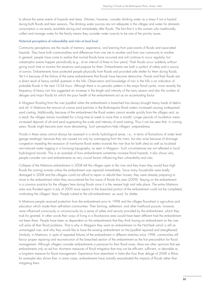to almost the same events of hazards and stress. Women, however, consider drinking water as a stress if not a hazard during both floods and lean seasons. The drinking water sources are not adequate in the villages and water for domestic consumption is not easily available during and immediately after floods. The fact that it is the women who traditionally collect and manage water for the family means they consider water scarcity to be one of the priority issues.

#### **Historical perceptions of vulnerability and risks at local level**

Community perceptions are the results of memory, experience, and learning from past events of floods and associated hazards. They have both commonalities and differences from one site to another and from one community to another. In general, people have come to realise that normal floods have occurred and will continue to occur regularly, but catastrophic events happen periodically (e.g., at an interval of three to four years). Flash floods occur suddenly without giving much time to monitor the situations and prepare for them. Embankments are both a symbol of safety and a source of sorrow. Embankments have protected people physically from floods and provided safe shelter for them during floods. Yet it is because of the failure of the same embankments that floods have become destructive. Floods and flash floods are a direct result of heavy rainfall upstream in the hills. Observation and knowledge of rain in the hills is an indication of probable floods in the next 12-24 hours. Although there is no periodic pattern in the major flood cycles, more recently the frequency of heavy rain has suggested an increase in the length and intensity of the rainy season and also the number of deluges and major floods for which the poor health of the embankments act as an accentuating factor.

In Majgaon flooding from the river Jiyadhal when the embankment is breached has always brought heavy loads of debris and silt. In Matmora the amount of coarse sand particles in the Brahmaputra flood waters increased causing widespread sand casting. Additionally, because of the embankment the flood waters cannot recede quickly from the villages and, as a result, the villages remain inundated for a long time (a week to more than a month). Longer periods of inundation mean increased deposits of silt and sand augmenting the scale and intensity of sand casting. Thus it can be seen that, in coming years, floods might become even more devastating. Such perceptions help villagers' preparedness.

Floods in these areas cannot always be assessed in a strictly hydrological sense, i.e., in terms of fluctuations of water level (gauge readings), because they are caused not only by overtopping from the rivers, but also arise because of drainage congestion impeding the recession of river-borne flood waters towards the river (true for both sites) as well as localised rain-induced water logging in a low-lying topography, as seen in Majgaon. Such circumstances are not reflected in local hydrological records. This is an example of how embankments sometimes increase flood hazards. It also shows why people consider rain and embankments as very crucial factors influencing their vulnerability and risks.

Collapse of the Matmora embankment in 2008 left the villages open to the river and they knew they would face high floods the coming summer unless the embankment was repaired immediately. Since many households were badly damaged in 2008 and the villagers could not afford to repair or rebuild their houses, they were already preparing to move to the embankment when they encountered the first wave of floods this year (2009). Staying on the embankment is a common practice for the villagers here during floods since it is the nearest high and safe place. The entire Matmora area was flooded again in July of 2009 since repairs to the breached portion of the embankment could not be completed, vindicating the villagers' fears. People rushed to the old embankment, as usual, for shelter.

In Matmora people received protection from the embankment prior to 1998 and the villages flourished in agriculture and education which made them self-reliant communities. Their farming, settlement, and other livelihood pursuits, however, were influenced consciously or unconsciously by a sense of safety and security provided by the embankment, which they took for granted. In other words their ways of living in a flood-prone area would have been different had the embankment not been there. People have been so dependent on the embankments that they think having an embankment on the river will solve all their flood problems. That is why in Majgaon they want an embankment on the Na-Nadi which is still an unmanaged river, and why they would like to have the existing embankment on the Jiyadhal repaired and strengthened. Similarly, in Matmora, in spite of repeated failures of the embankment in different stretches since 1998, communities still favour proper repairing and reconstruction of the breached section of the embankment as the first precondition for flood management. Although villagers consider embankments a panacea for their flood woes, there are other opinions that see embankments only as ad hoc short-term measures of flood mitigation that may not be efficient, sufficient, or desirable as a long-term measure for flood management. Experience from elsewhere in India (the Kosi River deluge of 2008 in Bihar, for example) also shows that, in some cases, embankments have actually exacerbated the impacts of floods rather than mitigating them.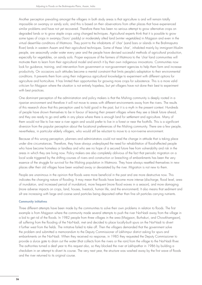Another perception prevailing amongst the villagers in both study areas is that agriculture is and will remain totally impossible on swampy or sandy soils; and this is based on their observations from other places that have experienced similar problems and have not yet recovered. Therefore there has been no serious attempt to grow alternative crops on degraded lands or to grow staple crops using changed techniques. Agricultural experts think that it is possible to grow some types of crops in swampy ('boro' paddy) or moderately silted land (winter vegetables) in Majgaon and even in the virtual desert-like conditions of Matmora. They point to the inhabitants of 'char' (sand bars or islands in the Brahmaputra River) lands in western Assam and their agricultural techniques. Some of these 'char', inhabited mainly by immigrant Muslim people, are seasonally under water every year and the people have devised successful methods of agricultural production, especially for vegetables, on sandy soils. Proper exposure of the farmers of Matmora to the 'char'-land communities will motivate them to learn from their agricultural model and enrich it by their own indigenous innovations. Communities now look for guidance, training, and intervention from government or non-government agencies to help them farm and increase productivity. On occasions such attitudes become a mental constraint that limits people's adaptation to their environmental conditions. It prevents them from using their indigenous agricultural knowledge to experiment with different options for agriculture and horticulture. It has limited their opportunities for growing more crops for subsistence. This is a more valid criticism for Majgaon where the situation is not entirely hopeless, but yet villagers have not done their best to experiment with best practices.

One dominant perception of the administration and policy makers is that the Mishing community is deeply rooted in a riparian environment and therefore it will not move to areas with different environments away from the rivers. The results of this research show that this perception used to hold good in the past, but it is a myth in the present context. Hundreds of people have shown themselves to be in favour of leaving their present villages where they see a bleak future ahead, and they are ready to go and settle in any place where there is enough land for settlement and agriculture. Many of them would not like to live near a river again and would prefer to live in a forest or near the foothills. This is a significant diversion from the popular perception about the locational preferences of the Mishing community. There are a few people, nevertheless, in particular elderly villagers, who would still be reluctant to move to a non-riverine environment.

Because of this wrong perception, planners and administrators could not read the change in attitude that is taking place under dire circumstances. Therefore, they have always underplayed the need for rehabilitation of flood-affected people who have become homeless or landless and who see no hope of a secured future free from vulnerability and risk in the areas in which they are living now. Policy makers are also completely oblivious of the fact that periodic migration on a local scale triggered by the shifting courses of rivers and construction or breaching of embankments has been the very essence of the struggle for survival for the Mishing population in Matmora. They have always resettled themselves in new places after their old villages have been washed away or devastated by the river. Migration is not new to them.

People are unanimous in the opinion that floods were more beneficial in the past and are more destructive now. This indicates the changing nature of flooding. It may mean that floods have become more intense (discharge, flood level, area of inundation, and increased period of inundation), more frequent (more flood waves in a season), and more damaging (more adverse impacts on crops, land, houses, livestock, human life, and the environment). It also means that sediment and silt are increasing with large and coarse sand particles being deposited rather than fine silt particles carrying nutrients.

#### **Community initiatives**

Three different attempts have been made by the communities to solve their own problems in relation to floods. The first example is from Majgaon where the community made several attempts to push the river Na-Nadi away from the village in a bid to get rid of the floods. In 1982 people from three villages in the area (Majgaon, Burhakuri, and Chowkhamgaon), all suffering from the flooding of the Na-Nadi, met and decided to place locally-built spurs on the Na-Nadi to divert it further west from the fields. The initiative failed to take off. Then the villagers demanded that the government solve the problem and submitted a memorandum to the Deputy Commissioner of Lakhimpur district asking for spurs and embankments on the Na-Nadi. When they received no response, in 1985 they requested the Deputy Commissioner to provide a sluice gate to drain out the water (that collects from the rivers or the rain) from the village to the Na-Nadi River. The authorities turned a deaf year to this request also, so they blocked the river at Lakhipathar in 1986 by building a checkdam in an attempt to divert its course. The very next year, the structure was washed away by the first wave of floods and the river returned to its original course.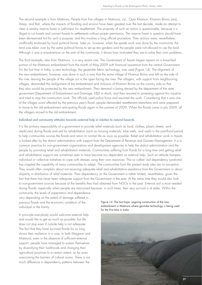The second example is from Matmora. People from five villages in Matmora; viz., Opar Khamon, Khamon Birina, Janji, Arkep, and Bali, where the impacts of flooding and erosion have been greatest over the last decade, made an attempt to clear a nearby reserve forest in Lakhimpur for resettlement. The propriety of such an action is questionable, because it is illegal to cut forests and convert forests to settlements without proper permission. The reserve forest in question should have been de-reserved first for such a purpose, and this involves a long official procedure. Their actions were, nevertheless, unofficially endorsed by local political forces. Later on, however, when the spade work was done by the community, the land was taken over by the same political forces to set up tea gardens and the people were not allowed to use the land. Although it was a misadventure on the part of the community, it shows how motivated they are to solve their own problems.

The third example, also from Matmora, is a very recent one. The Government of Assam began repairs on a breached portion of the Matmora embankment from the month of May 2009 with financial assistance from the central Government. For the first time in India, a new technology, the geotextile fabric technology, was used (Figure 14). The alignment of the new embankment, however, was done in such a way that the entire village of Khamon Birina was left on the side of the river, leaving the people of the village out in the open facing the river. The villagers, with support from neighbouring villages, demanded the realignment of the embankment and inclusion of Khamon Birina on the country side so that they also would be protected by the new embankment. Their demand is being denied by the department of the state government (Department of Embankment and Drainage, E&D in short), and they resorted to protesting against this injustice and tried to stop the construction work. The officials used police force and resumed the work. Considering that it was one of the villages worst affected by the previous year's flood, people demanded resettlement elsewhere and were prepared to move to the old embankment anticipating floods again in the summer of 2009. When the floods came in July 2009, all the villagers moved to the old embankment.

#### **Individual and community attitudes towards external help in relation to natural hazards**

It is the primary responsibility of a government to provide relief materials (such as food, clothes, plastic sheets, and medicines) during floods and aid for rehabilitation (such as housing materials, tube wells, and cash) in the post-flood period to help communities survive the floods and return to normal life as soon as possible. Relief and rehabilitation work in Assam is looked after by the district administration with support from the Department of Revenue and Disaster Management. It is a common practice for non-government organisations and development agencies to help the district administration and the people by providing relief and rehabilitation materials. Communities suffering from floods for a long time and getting relief and rehabilitation support are sometimes seen to have become too dependent on external help. Such an attitude hampers individual or collective initiatives to cope with stresses using their own resources. This so called 'aid dependency syndrome' has crippled the capability of many communities to adapt. The communities from the present study sites are no exception. They would often complain about not receiving adequate relief and rehabilitation assistance from the Government or about disparity in distribution of relief materials. Their dependency on the Government is rather limited, nevertheless, given the fact that there has never been adequate support from the Government in the past. At the same time they would also look to non-government sources because of the benefits they had obtained from NGOs in the past. External aid is most needed during floods, especially when people are marooned because, in such times, their very survival is at stake. Within the

community, the levels of expectation and dependence vary depending on the extent of damage suffered in previous floods and the economic condition of the individual or the family.

In principle everybody would welcome external help and would like to get as much as possible; but life does not stop even if outside help is not adequate. The fact that they have survived floods for so long shows their resilience in a way. In both Majgaon and Matmora, even in the absence of sufficient external support, people have managed to sustain themselves by diversifying their livelihoods and changing their agricultural practices to a certain extent, so far even overcoming the barriers of cultural norms. There is not much difference in dependency patterns between the

Figure 14: The last hope: ongoing construction of the new embankment in Matmora where geo-tube technology is being used for the first time in India.

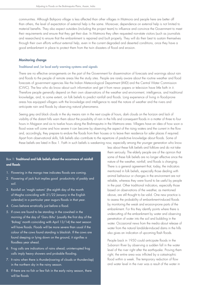communities. Although Bahpora village is less affected than other villages in Matmora and people here are better off than others, the level of expectation of external help is the same. Moreover, dependence on external help is not limited to material benefits. They also expect outsiders (including the project team) to influence and convince the Government to meet their requirements and ensure that they get their due. In Matmora they often requested non-state visitors (such as journalists and researchers) to ensure that the embankment is repaired and built properly. They will do their best to sustain themselves through their own efforts without external help, even in the current degraded and deserted conditions, once they have a good embankment in place to protect them from the twin disasters of flood and erosion.

#### **Monitoring change**

#### **Traditional and /or local early warning systems and signals**

There are no effective arrangements on the part of the Government for dissemination of forecasts and warnings about rain and floods to the people of remote areas like the study sites. People are rarely aware about the routine weather and flood forecasts of government agencies like the Indian Meteorological Department (IMD) and the Central Water Commission (CWC). The few who do know about such information and get it from news- papers or television have little faith in it. Therefore people generally depend on their own observations of the weather and environment, intelligence, and traditional knowledge, and, to some extent, on folk beliefs to predict rainfall and floods. Long experience of living in flood-prone areas has equipped villagers with the knowledge and intelligence to read the nature of weather and the rivers and anticipate rain and floods by observing natural phenomena.

Seeing grey and black clouds in the sky means rain in the next couple of hours, dark clouds on the horizon and lack of visibility of the distant hills warn them about the possibility of rain in the hills and consequent floods in a matter of three to four hours in Majgaon and six to twelve hours along the Brahmaputra in the Matmora area. Villagers have an idea of how soon a flood wave will come and how severe it can become by observing the aspect of the rising waters and the current in the flow and, accordingly, they prepare to endure the floods from their houses or to leave their residence for safer places if required. Apart from observational skills, folk beliefs also contribute to the repertoire of predictive knowledge about floods. Some of these beliefs are listed in Box 1. Faith in such beliefs is weakening now, especially among the younger generation who know

## Box 1: **Traditional and folk beliefs about the occurrence of rainfall**  and **floods**

- 1. Flowering in the mango tree indicates floods are coming.
- 2. Flowering of jack fruit implies good productivity of paddy and soil.
- 3. Rainfall on 'maghi astami' (the eighth day of the month of Magha coinciding with 21/22 January in the English calendar) in a particular year augurs floods in that year.
- 4. Cows behave erratically just before a flood.
- 5. If cows are found to be standing in the cowshed in the morning of the day of 'Garu Bihu' (usually the first day of the 'Bohag' month coinciding with April 13/14) the next season will have floods. Floods will be more severe than usual if the colour of the cows found standing is blackish. If the cows are found sleeping or lying down on the ground, it signifies a floodless year ahead.
- 6. Frog calls are indications of rains ahead; uninterrupted frog calls imply heavy showers and probable flooding.
- 7. It rains when there is thunder(roaring of clouds or thunderclap) in the northern sky in the rainy season.
- 8. If there are no fish or few fish in the early rainy season, there will be floods

less about these folk beliefs and folklore and do not take them seriously. The elderly people are of the opinion that some of these folk beliefs are no longer effective since the nature of the weather, rainfall, and floods is changing. There is a general agreement that, today, the indicators mentioned in folk beliefs, especially those dealing with animal behaviour or changes in the environment are not reliable, whereas they were found to be useful by people in the past. Other traditional indicators, especially those based on observations of the weather, as mentioned above, are still thought to be valid. One new practice is to assess the probability of embankment-induced floods by monitoring the weak and erosion-prone parts of the embankment. For this they identify points where there is undercutting of the embankment by water and observing penetration of water into the soil and bubbling in the water. Occasional news from the media about release of water from the natural landslide-induced dams in the hills also gives an indication of upcoming flash floods.

People back in 1950 could anticipate floods in the Subansiri River by observing a sudden fall in the water level of the river right after the earthquake. Proving them right, the entire area was inflicted by a catastrophic flood within a week. The temporary reduction of flow and water level in the river was a result of the water in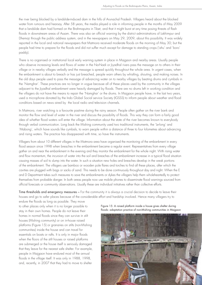the river being blocked by a landslide-induced dam in the hills of Arunachal Pradesh. Villagers heard about the blocked water from rumours and hearsay. After 58 years, the media played a role in informing people in the months of May 2009 that a landslide dam had formed on the Brahmaputra in Tibet, and that it might burst at any time posing threats of flash floods in downstream areas of Assam. There was also an official warning by the district administrations of Lakhimpur and Dhemaji through the public address system, and in the newspapers on May 29, 2009, about this possibility. It was widely reported in the local and national newspapers that Matmora received moderate floods on the morning of May 30; but the people had time to prepare for the floods and did not suffer much except for damage to standing crops ('ahu' and 'boro' paddy).

There is no organised or institutional local early warning system in place in Majgaon and nearby areas. Usually people who observe increasing levels and flows of water in the Na-Nadi or Jiyadhal rivers pass the message on to others in their village or in nearby villages verbally and the message is spread quickly throughout the whole area. In urgent cases, when the embankment is about to breach or has just breached, people warn others by whistling, shouting, and making noises. In the old days people used to pass the message of advancing water on to nearby villages by beating drums and cymbals in the 'Namghar'. These practices are no longer in vogue because all of these places used by the community in the villages adjacent to the Jiyadhal embankment were heavily damaged by floods. There are no drums left in working condition and the villagers do not have the means to repair the 'Namghar' or the drums. In Majgaon people have, in the last two years, used a microphone donated by the Indo Global Social service Society (IGSSS) to inform people about weather and flood conditions based on news aired by the local radio and television channels.

In Matmora, river watching is a favourite pastime during the rainy season. People often gather on the river bank and monitor the flow and level of water in the river and discuss the possibility of floods. This way they can form a fairly good idea of whether flood waters will enter the village. Information about the state of the river becomes known to everybody through verbal communication. Long back the Mishing community used two traditional instruments, the 'Le-long' and 'Mabong', which have sounds like cymbals, to warn people within a distance of three to four kilometres about advancing and rising waters. The practice has disappeared with time, so have the instruments.

Villagers from about 10 different villages in the Matmora area have organised the monitoring of the embankment in every flood season since 1998 when breaches in the embankment became a regular event. Representatives from every village gather on and near the embankment in the evening and they monitor the embankment for the whole night. With rising water and flow momentum, the incursion of water into the soil and breaches of the embankment increase in a typical flood situation causing masses of soil to slump into the water. In such a situation new holes and breaches develop in the weak portions of the embankment. The villagers use bamboo or wooden pole flares and torches to find all these places, after which the cavities are plugged with bags or sacks of sand. This needs to be done continuously throughout day and night. When the E and D Department takes such measures to save the embankments or dykes the villagers help them wholeheartedly to protect themselves from probable danger. In both areas people now use mobile phones to disseminate flood warnings sourced from official forecasts or community observations. Usually these are individual initiatives rather than collective efforts.

Time thresholds and emergency measures - For the community it is always a crucial decision to decide to leave their houses and go to safer places because of the considerable effort and hardship involved. Hence many villagers try to

endure the floods as long as possible. They move to other places only when it is no longer possible to stay in their own homes. People do not leave their homes in normal floods since they can survive in stilt houses (Mishing community) or on in-house raised platforms (Figure 15) or granaries on stilts (non-Mishing communities) inside the house and can travel for essentials on boats or rafts. It is only in major floods when the floors of the stilt houses or raised platforms are submerged or the house itself is seriously damaged that they leave for the nearest safe shelter. For example, people in Majgaon have endured most of the annual floods in the village itself. It was only in 1988, 1998, and, recently, in 2007 that they had to move to shelter

Figure 15: A raised platform inside a house gives shelter during floods: adaptation practice of non-Mishing communities in Majgaon

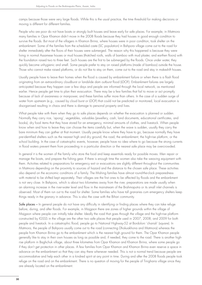camps because those were very large floods. While this is the usual practice, the time threshold for making decisions or moving is different for different families.

People who are poor do not have boats or strongly built houses and leave early for safe places. For example, in Matmora many families in Opar Khamon didn't move in the 2008 floods because they had houses in good enough condition to survive the floods. But most of the villagers in Khamon Birina, where houses were in poor condition, took shelter on the embankment. Some of the families from the scheduled caste (SC population) in Bahpora village come out to the road for shelter immediately after the floors of their houses were submerged. The reason why this happened is because they were living in normal Assamese houses or mud houses (thatched roofs, walls of bamboo with mud plaster, and earthen floors) with the foundation raised two to three feet. Such houses are the first to be submerged by the floods. Once under water, they quickly become unhygienic and smell. Some people prefer to stay on raised platforms (made of bamboo) outside the house. Those who cannot make raised platforms, or do not like to stay on them, come out to the road and stay in makeshift houses.

Usually people have to leave their homes when the flood is caused by embankment failure or when there is a flash flood originating from an extraordinary cloudburst or landslide dam outburst flood (LDOF). Embankment failures are largely anticipated because they happen over a few days and people are informed through the local network, as mentioned earlier. Hence people get time to plan their evacuation. There may be a few families that fail to move or act promptly because of lack of awareness or manpower, and these families suffer more than others. In the case of a sudden surge of water from upstream (e.g., caused by cloud burst or LDOF) that could not be predicted or monitored, local evacuation is disorganised resulting in chaos and there is damage to personal property and lives.

What people take with them when they go to safe places depends on whether the evacuation is planned or sudden. Normally they carry rice, 'apong', vegetables, valuables (jewellery, cash, land documents, educational certificates, and books), dry food items that they have stored for an emergency, minimal amounts of clothes, and livestock. When people know when and how to leave they can choose the items carefully but, when the wave is sudden, usually they carry the bare minimum they can gather at that moment. Usually people know where they have to go, because normally they have pre-identified shelters such as the nearest high and dry ground, the road, the embankment, the high-rise platform, or the school building. In the case of catastrophic events, however, people have no idea where to go because the strong currents in flood waters prevent them from proceeding in a particular direction or the nearest safe place may be overcrowded.

In general it is the women of the family who store the food and keep essentials ready for possible moves. Men repair or manage the boats, and prepare the fishing gear. If there is enough time the women also take the weaving equipment with them. Activities related to preparations for emergency exit or evacuations are slightly different throughout the communities in Matmora depending on the proximity to sources of hazard and the distance to the chosen safe place. These activities also depend on the economic conditions of a family. The Mishing families have almost round-the-clock preparedness with material to be shifted kept separately. Their villages are the first ones to be affected by floods and the embankment is not very close. In Bahpora, which is about two kilometres away from the river, preparations are made usually when an alarming increase in the river-water level and flow in the mainstream of the Brahmaputra or its small inlet channels is observed. Most of them run out to the road for shelter. Some families who have tall granaries cum emergency shelters keep things ready in the granary in advance. This is also the case with the Bihari community.

Safe places – In general people do not have any difficulty in identifying or finding places where they can take refuge before, during, and after floods. For example, in Majgaon there are zones of higher grounds within the village of Majgaon where people can initially take shelter. Ideally the road that goes through the village and the high-rise platform constructed by IGSSS in the village are the other two safe places that people used in 2007, 2008, and 2009 for both people and livestock. In a catastrophic flood, people go to National Highway-52 at Bordoloni 'chariali' (square). In Matmora, the people of Bahpora usually come out to the road (connecting Dhokuakhona and Matmora) whereas the people from Khamon Birina go to the embankment which is the nearest high ground for them. The Opar Khamon people generally like to stay in their own houses as long as possible and, if needed, they come to the road. There is another highrise platform in Baghchuk village, about three kilometres from Opar Khamon and Khamon Birina, where some people go if they don't get protection in other places. A few families from Opar Khamon and Khamon Birina even reserve a space in advance on the embankment so that they can stay there whenever needed. This is not a normal trend because people are accommodative and help each other in a kindred spirit at any point in time. During and after the 2008 floods people took refuge on the road and on the embankment. There is no question of moving for the people of Tinigharia village since they are already located on the embankment.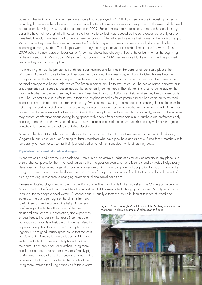Some families in Khamon Birina whose houses were badly destroyed in 2008 didn't see any use in investing money in rebuilding house since the village was already placed outside the new embankment. Being open to the river and deprived of protection the village was bound to be flooded in 2009. Some families had no resources to rebuild houses. In many cases the height of the original stilt houses (more than five to six feet) was reduced by the sand deposited to only one to three feet. It would have been prohibitively expensive for most of the villagers to elevate their houses to the original height. What is more they knew they could not survive the floods by staying in houses that were already damaged badly and becoming almost grounded. The villagers were already planning to leave for the embankment in the first week of June 2009 before the next wave of floods came. A few households had already shifted to the embankment at the beginning of the rainy season in May 2009. When the floods came in July 2009, people moved to the embankment as planned because they had no other option.

It is interesting to note the preferences of different communities and families in Bahpora for different safe places The SC community readily come to the road because their grounded Assamese type, mud and thatched houses become unhygienic when the house is submerged in water and also because too much movement to and from the house causes physical damage to a house under water. The Brahmin community like to stay inside their houses on raised platforms or in stilted granaries with space to accommodate the entire family during floods. They do not like to come out to stay on the roads with other people because they think cleanliness, health, and sanitation are at stake when they live on open roads. The Bihari community also prefer to stay in their own neighbourhood as far as possible rather than come out to the road because the road is at a distance from their colony. We see the possibility of other factors influencing their preferences for not using the road as a shelter also. For example, caste considerations could be another reason why the Brahmin families are reluctant to live openly with other communities in the same place. Similarly the Bihari community, especially the women, may not feel comfortable about sharing living spaces with people from another community. But these are preferences only and they agree that, in the worst conditions, all such biases and considerations will vanish and they will not mind going anywhere for survival and subsistence during disasters.

Some families from Opar Khamon and Khamon Birina, who can afford it, have taken rented houses in Dhokuakhona, Gogamukh Lakhimpur, Jonai, or Dhemaji for family members who have jobs there and students. Some family members shift temporarily to these houses so that their jobs and studies remain uninterrupted, while others stay back.

#### **Physical and structural adaptation strategies**

When water-induced hazards like floods occur, the primary objective of adaptation for any community in any place is to ensure physical protection from the flood waters so that life goes on even when one is surrounded by water. Indigenously developed and locally- managed structural techniques are an important component of adaptation to floods. Communities living in our study areas have developed their own ways of adapting physically to floods that have withstood the test of time by evolving in response to changing environmental and social conditions.

Houses – Housing plays a major role in protecting communities from floods in the study sites. The Mishing community in Assam dwell on the flood plains, and they live in traditional stilt houses called 'chang ghar' (Figure 16), a type of house ideally suited to adapt to flood waters. A 'chang ghar' is usually a thatched house built on stilts made of wood and

bamboo. The average height of the plinth is from six to eight feet above the ground, the height in general conforming to the highest flood level of the area adjudged from long-term observation, and experience of past floods. The base of the house (floor) made of bamboo and wood is adjustable and can be raised to cope with rising flood waters. The 'chang ghar' is an ingeniously designed, multipurpose house that makes it possible for the inmates to stay protected amidst flood waters and which allows enough light and air into the house. It has provisions for a kitchen, living room, and food store and also supports livestock (mainly pig) rearing and storage of essential household goods in the basement. The kitchen is located in the middle of the living room, making the living space comfortably warm

Figure 16: A 'chang ghar' (stilt house) of the Mishing community in  $M$ atmora – a classic example of adaptation to floods

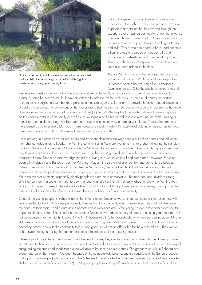

Figure 17: A traditional Assamese house built on an elevated platform (left); the separate granary built on stilts (right) has provision for a living space during floods.

against the general cold ambience of riverine areas especially in the night. This house is a classic example of physical adaptation that has evolved through the experience of a riparian community. Under the influence of modern housing styles, the traditional 'chang ghar' has undergone changes in terms of building materials and style. Those who can afford to have used concrete pillars in place of bamboo or wooden stilts and corrugated iron sheets as roofing material in place of thatch to enhance durability and concrete staircases have also been added to the floor.

The non-Mishing communities in our project areas do not live in stilt houses. While most of the people live in 'kuccha' or mud houses, some live in traditional Assamese houses. Other houses have mixed structural

elements and designs demonstrating the economic status of the family or its concern for safety from flood waters. For example, some houses recently built have an earthen foundation walled with brick. In some mud houses the earthen foundation is strengthened with bamboo posts as a measure against soil erosion. To provide the much-needed elevation for protection from water, the foundations of the houses are raised three or four feet above the ground in general so that water does not enter the house in normal flooding conditions (Figure 17). The height of the plinth in different houses depends on the economic status of the family as well as the willingness of the household to invest in raising the plinth. Raising a homestead to match the rising river bed and flood level is a common way of coping with floods. Those who can meet the expense do so after every big flood. These houses are usually made with locally-available materials such as bamboo, cane, reed, wood, and thatch: the exceptions are bricks and concrete.

It is interesting to examine how cultural norms and traditions determine the way people build their houses and influence their physical adaptation to floods. The Mishing communities in Matmora live in their 'chang ghar' following their ancient tradition. The non-tribal people in Majgaon and in Matmora do not live or do not like to live in a 'chang ghar' because they think it is not their culture nor their habit to live in stilt houses. A ground-based mud house is the real Assamese traditional house. People do acknowledge the utility of living in a stilt house in a flood-prone area, however. For some people in Majgaon and Bahpora, both non-Mishing villages, it is also a matter of comfort and convenience besides culture. They do not like to live in stilt houses like the Mishing do, because they think it will not be comfortable and convenient. According to them cleanliness, hygiene, and good sanitation practices cannot be ensured in this style of living. Yet in the mindset of others, especially elderly people who are more conservative, the tribal-non tribal divide is strong and they consider it a social norm not to stay in a 'chang ghar'. For them it is virtually taboo to follow the Mishing way of living. It is seen as beneath their status to follow a tribal tradition. Although these are minority views, coming from the elders of the family, they do influence adaptive decision making in a family or community.

Some of the young people in Bahpora admit that if the situation becomes worse, there will come a time when they will be compelled to live in stilt houses permanently like the Mishing community does. Nevertheless, they will not like break the norms of their society and culture until it becomes absolutely necessary. One young couple in Bahpora expressed the hope that the new embankment under construction in Matmora will reduce the fury of floods in coming years so that it will not be necessary for them to think about living in stilt houses at all. Other households, who have no qualms about living in stilt houses, cannot do so because of the cost involved in making one. With raw materials, such as bamboo and timber, becoming scarce and with the community forests long gone, it will not be affordable for them to build one. They would rather invest money in raising the earthen or concrete foundations of their existing houses.

Interestingly, although these communities do not live in stilt houses, they are the same communities who build their granaries on stilts and to them social norms or other considerations that inhibit them from living in stilt houses do not come in the way of safeguarding the crops and seeds that are too valuable to be kept in normal houses. The granaries on stilts in Bahpora are bigger and better than those in Majgaon because of the comparatively better economic conditions of the Bahpora people. In Bahpora some people (both Brahmins and the Scheduled Castes) make the granaries large enough so that they can take shelter there during high floods (Figure 17). In Majgaon people raise the platforms three or four feet above the floor of the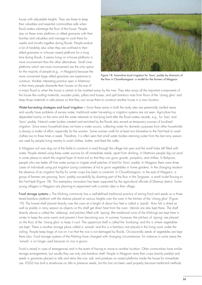house with adjustable heights. They use these to keep their valuables and essential commodities safe when flood waters submerge the floor of the house. People stay on these inner platforms or stilted granaries with their families and valuables and manage to cook there for weeks and months together during floods. People endure a lot of hardship also when they are confined to their stilted granaries or in-house raised platforms for a long time during floods. It seems living on in-house platforms is more inconvenient than the other alternatives. Small inner platforms which are more inconvenient are the only option for the majority of people (e.g., in Majgaon) because the more convenient large stilted granaries are expensive to construct. Another interesting practice seen in Matmora is that many people dismantle their houses on the eve of



Figure 18: Innovative local irrigation for 'boro' paddy by diversion of the flow in Chowkhamgaon: a model for the farmers of Majgaon

a major flood or when the house is certain to be washed away by the river. They take away all the important components of the house like roofing materials; wooden poles, pillars and trusses; and split bamboo mats from floors of the 'chang ghar' and keep those materials in safe places so that they can re-use them to construct another house in a new location.

Water-harvesting strategies and local irrigation - Since these areas in both the study sites are perennially rainfed areas and usually have problems of excess water, traditional water harvesting or irrigation systems are not seen. Agriculture has depended mainly on the rains and the water retained on low-lying land after the flood waters recede, e.g., for 'bao' and 'boro' paddy. Natural water bodies created and enriched by the floods also served as temporary sources of localised irrigation. Since every household does not have a water source, collecting water for domestic purposes from other households is always a matter of effort, especially for the women. Some women walk for at least two kilometres to the Na-Nadi to wash clothes two to three times a week. Therefore, it is often seen that small water bodies retaining water from the last rainy season are used by people living nearby to wash clothes, bathe, and feed the cattle.

In Majgaon soil was dug out of the fields to construct a road through the village last year and the small holes left filled with water. People started using these water sources for all immediate needs, apart from drinking. In Matmora people dig out sand in some places to reach the original layer of moist soil so that they can grow gourds, pumpkins, and chillies. In Bahpora, people who are better off hire water pumps to irrigate small patches of land for 'boro' paddy. In Majgaon there were three cases of individuals using pot irrigation (using containers of tin) to grow vegetables in home gardens. In the changing situation the absence of an irrigation facility for winter crops has been a constraint. In Chowkhamgaon, to the east of Majgaon, a group of farmers are growing 'boro' paddy successfully by diverting part of the flow in the Singijaan, a small rivulet flowing to the Na-Nadi (Figure 18). This exemplary innovation has been supported by the agricultural officials of Dhemaji district. Some young villagers in Majgaon are planning to experiment with a similar idea in their village.

Food storage systems – The Mishing community has a well-defined traditional practice of storing food and seeds on a threetiered bamboo platform with the shelves placed at various heights over the oven in the kitchen of the 'chang ghar' (Figure 19). The lowest shelf placed directly over the oven at a height of about four feet is called a 'parab'. Raw fish is dried as well as paddy in rainy season as objects on this shelf get direct heat from the oven. Utensils are also kept there. The shelf directly above is called the 'rabbang' and pitchers filled with 'apong' (the traditional wine of the Mishing) are kept here in winter to keep the wine warm and prevent it from becoming sour. In summer, however, the pitchers of 'apong' are placed on the floor of the 'chang ghar' to keep it cool. The uppermost shelf is called the 'kumbang' and this is where vegetables are kept. There is another storage place called a 'sansali' and this is a bamboo mat placed in the living room under the ceiling. People keep bags of rice on it so that the rice is not damaged by floods. Occasionally seeds of vegetables are kept there also. Food storage systems of the Mishing have changed with changing circumstances: for instance in some areas the 'sansali' is no longer used because no rice is grown.

Food is stored in case of emergencies and in the event of having to move to another location. Other communities have similar storage arrangements, but usually they use only one bamboo shelf. People in Majgaon store their crops (mainly paddy) and seeds in granaries placed on stilts and items like rice, salt, and potatoes on raised platforms inside the house for immediate use. IGSSS has built a storehouse on stilts to preserve seeds, but this has not been used properly because traditional methods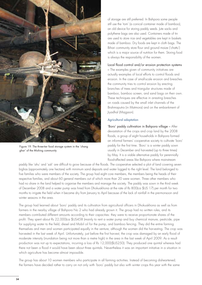

Figure 19: The three-tier food storage system in the 'chang ghar' of the Mishing community

of storage are still preferred. In Bahpora some people still use the 'tom' (a conical container made of bamboo), an old device for storing paddy seeds. Jute sacks and polythene bags are also used. Containers made of tin are used to store rice and vegetables are kept in baskets made of bamboo. Dry foods are kept in cloth bags. The Bihari community store flour and ground maize ('chattu') which is a major source of nutrition for them. Storing food is always the responsibility of the women.

Local flood control and/or erosion protection systems – The examples given of community initiatives are actually examples of local efforts to control floods and erosion. In the case of small-scale erosion and breaches the community tries to control erosion by erecting branches of trees and triangular structures made of bamboo, bamboo screen, and sand bags on their own. These techniques are effective in arresting breaches on roads caused by the small inlet channels of the Brahmaputra (in Matmora) and on the embankment of Jiyadhal (Majgaon).

#### **Agricultural adaptation**

'Boro' paddy cultivation in Bahpora village – After devastation of the crops and crop land by the 2008 floods, a group of eight households in Bahpora formed an informal farmers' cooperative society to cultivate 'boro' paddy for the first time. 'Boro' is a winter paddy sown usually in December and harvested (up to three times) by May. It is a viable alternative paddy for perennially flood-affected areas like Bahpora where mainstream

paddy like 'ahu' and 'sali' are difficult to grow because of the floods. The cooperative selected a plot of land covering seven bighas (approximately one hectare) with minimum sand deposits and water logged to the right level. The land belonged to five families who were members of the society. The group had eight core members, the members being the heads of their respective families, and about 60 general members out of which more than 20 were women. Three other members who had no share in the land helped to organise the members and manage the society. The paddy was sown in the third week of December 2008 and a water pump was hired from Dhokuakhona at the rate of Rs 800(ca \$US 17) per month for two months to irrigate the field when it became dry from January to April because of the lack of rainfall in the pre-monsoon and winter seasons in the area.

The group had learned about 'boro' paddy and its cultivation from agricultural officers in Dhokuakhona as well as from farmers in the nearby village of Bahpora No 2 who had already grown it. The group had no written rules, and its members contributed different amounts according to their capacities: they were to receive proportionate shares of the profit. They spent about Rs 22,000(ca \$US458 )mainly to rent a water pump and buy chemical manure, pesticide, pipe for supplying water to the field, diesel and Mobil oil for the pump, and bamboo fencing. They did the entire farming themselves and men and women participated equally in the venture, although the women did the harvesting. The crop was harvested in the last week of April. Unfortunately, just before the first harvest, the crop was damaged by an early flood of moderate intensity (inundation being not more than a metre high) in the area in the last week of April 2009. As a result production was not up to expectations, incurring a loss of Rs 12,000(\$US250). They produced one quintal whereas had there not been a flood it would have been about three quintals. Nevertheless it was an important initiative in a situation in which agriculture has become almost impossible.

The group has about 10 women members who participate in all farming activities. Instead of becoming disheartened; the farmers have decided rather to carry on not only with 'boro' paddy but also with winter crops this year with the same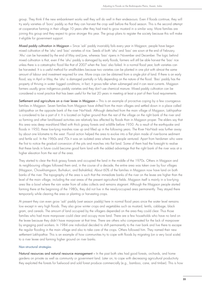group. They think if the new embankment works well they will do well in their endeavours. Even if floods continue, they will try early varieties of 'boro' paddy so that they can harvest the crop well before the flood season. This is the second attempt at cooperative farming in their village 10 years after they had tried to grow mustard in a similar way. More families are joining this group and they expect to grow stronger this year. The group plans to register the society because this will make it eligible for government support.

Mixed paddy cultivation in Majgaon - Since 'sali' paddy invariably fails every year in Majgaon, people have begun mixed cultivation of the 'ahu' and 'bao' varieties of rice. Seeds of both 'ahu' and 'bao' are sown at the end of February. 'Ahu' can be harvested by the end of May and June, whereas 'bao' ripens in November and December. The logic behind mixed cultivation is that, even if the 'ahu' paddy is damaged by early floods, farmers will still be able harvest the 'bao' rice unless there is a catastrophic flood like that of 2007 when the 'bao' also failed. In a normal flood year, both varieties can be harvested. It is a useful method for smallholders because two varieties can be planted in one plot with almost the same amount of labour and investment required for one. More crops can be obtained from a single plot of land. If there is an early flood, say in April or May, the 'ahu' is damaged partially or fully depending on the nature of the flood. 'Bao' paddy has the property of thriving in water- logged conditions; in fact, it grows taller when submerged and it can resist currents. Majgaon farmers usually grow indigenous paddy varieties and they don't use chemical manure. Mixed paddy cultivation can be considered a novel practice that has been useful for the last 20 years in meeting at least a part of their food requirements.

Settlement and agriculture on a river levee in Majgaon – This is an example of pro-active coping by a few courageous families in Majgaon. Seven families from Majgaon have shifted from the main villages and settled down in a place called Lakhipathar on the opposite bank of the river Na-Nadi. Although detached from the main village of Majgaon, Lakhipathar is considered to be a part of it. It is located on higher ground than the rest of the village on the right bank of the river and so farming and other land-based activities are relatively less affected by floods than in Majgaon proper. The elders say that this area was deep marshland filled with thick grassy forests and wildlife before 1950. As a result of the earthquake and floods in 1950, these low-lying marshes rose up and filled up in the following years. The River Na-Nadi was further away by about one kilometre to the west. Fluvial action helped the area to evolve into a flat plain made of river-borne sediment and fertile soil. In the 1960s and 70s it was an isolated area where few people ventured. Apart from herdsmen who were the first to notice the gradual conversion of the pits and marches into flat land. Some of them had the foresight to realise that these lands in future could become good farm land with the added advantage that the right bank of the river was at a higher elevation from the rest of the area.

They started to clear the thick grassy forests and occupied the land in the middle of the 1970s. Others in Majgaon and its neighbouring villages followed them and, in the course of a decade, the entire area was taken over by four villages (Majgaon, Chowkhamgaon, Burhakuri, and Bahaktika). About 60% of the families in Majgaon now have land on both banks of the river. The topography of the area is such that the immediate banks of the river on the levee are higher than the level of the main village, including the vast areas of the present agricultural fields. Majgaon itself is mainly in a low-lying area like a bowl where the rain water from all sides collects and remains stagnant. Although the Majgaon people started farming there at the beginning of the 1980s, they did not live in the newly-occupied area permanently. They stayed there temporarily while clearing the area or planting or harvesting crops.

At present they can even grow 'sali' paddy (wet season paddy) here in normal flood years since the water level remains low except in very high floods. They also grow winter crops and vegetables such as mustard, lentils, cabbage, black gram, and cereals. The amount of land occupied by the villagers depended on the area they could clear. Thus those families who had more manpower could clear and occupy more land. There are a few households who have no land on the levee because they didn't have manpower at that time. There are others who compensated for the lack of manpower by engaging paid workers. In 1984 one individual decided to shift permanently to the river bank and live there to escape the regular flooding in the main village and also to take care of the crops. Others followed him. They named their new settlement Lakhipathar. This is an example of how communities try to cope with floods by migrating (on a very local scale) to a river levee and farming higher ground on river banks.

#### **Non-structural strategies**

Natural resources and natural resource management – In the past both sites had good forests, orchards, and home gardens on private as well as community or government land. Later on, to cope with decreasing agricultural productivity they exploited the forests for fuelwood and sold forest produce commercially (e.g., bamboo, cane, and timber). This is how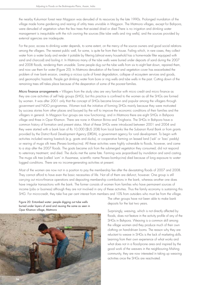the nearby Kukurmari forest near Majgaon was denuded of its resources by the late 1990s. Prolonged inundation of the village made home gardening and rearing of utility trees unviable in Majgaon. The Matmora villages, except for Bahpora, were denuded of vegetation when the few trees that existed dried or died There is no irrigation and drinking water management is inequitable with the rich owning the sources (like tube wells and ring wells), and the sources provided by external agencies are inadequate.

For the poor, access to drinking water depends, to some extent, on the mercy of the source owners and good social relations among the villagers. The nearest public well, for some, is quite far from their house. Failing which, in rare cases, they collect water from a water body and render it potable by filtering (almost every household has a home-made filter equipped with sand and charcoal) and boiling it. In Matmora many of the tube wells were buried under deposits of sand during the 2007 and 2008 floods, rendering them unusable. Some people dug out the tube wells from six to eight feet down, repaired them, and now use them for water (Figure 20). In Matmora denudation of the forest and vegetation cover has exacerbated the problem of river bank erosion, creating a vicious cycle of forest degradation, collapse of ecosystem services and goods, and geomorphic hazards. People got drinking water from bore or ring wells and tube wells in the past. Cutting down of the remaining trees still takes place because of the desperation of some of the poorest families.

Micro finance arrangements - Villagers from the study sites are very familiar with micro credit and micro finance as they are core activities of self help groups (SHG), but this practice is confined to the women as all the SHGs are formed by women. It was after 2001 only that the concept of SHGs became known and popular among the villagers through government and NGO programmes. Women took the initiative of forming SHGs mainly because they were motivated by success stories from other places and buoyed by the will to improve the economic conditions of their families and the villagers in general. In Majgaon four groups are now functioning; and in Matmora there are eight SHGs in Bahpora village and three in Opar Khamon. There are none in Khamon Birina and Tinigharia. The SHGs in Bahpora have a common history of formation and present status. Most of these SHGs were introduced between 2001 and 2004 and they were started with a bank loan of Rs 10,000 (\$US 208) from local banks like the Subansiri Rural Bank or from grants provided by the District Rural Development Agency (DRDA), a government agency for rural development. To begin with activities included rearing livestock (e.g. goats and ducks), or cooperative farming on leased land ('sali' or 'bao' paddy) or rearing of muga silk trees (Persea bombycina). All these activities were highly vulnerable to floods, however, and came to a stop after the 2007 floods. The goats became sick from the submerged vegetation they consumed; did not respond to veterinary treatment; and died. The ducks met the same fate. Farming was jeopardised by inundation and sand casting. The muga silk tree (called 'som' in Assamese, scientific name Persea bombycina) died because of long exposure to waterlogged conditions. There are no income-generating activities at present.

Most of the women are now not in a position to pay the membership fee after the devastating floods of 2007 and 2008. They cannot afford to have even the basic necessities of life. Not all of them are defunct, however. One group is still carrying out micro-finance operations and depositing membership contributions in the bank, whereas another one does have irregular transactions with the bank. The former consists of women from families who have permanent sources of income (jobs or business) although they are not involved in any of these activities. Thus the family economy is sustaining this SHG. For micro-credit, they take five per cent interest from members and 10% from outsiders who must be from the village.

Figure 20: Entombed water: people digging out tube wells buried under layers of sand and reusing the same as seen in Opar Khamon village, Matmora



The other groups have not been able to make bank deposits for the last two years.

Surprisingly, weaving, which is not directly affected by floods, does not feature in the activity profile of any of the SHGs in Bahpora. Weaving is a common skill among the village women and they produce much of their own clothing on hand-driven looms. The reason why they are reluctant to weave in SHGs is the lack of marketing skills. Learning from their own experience of what works and what does not in a flood-prone area and inspired by the good work of the weavers in the neighbouring Mishing community, they are now interested in taking up weaving activities once the SHGs are reactivated.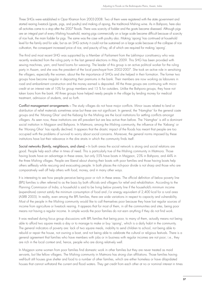Three SHGs were established in Opar Khamon from 2003-2008. Two of them were registered with the state government and started rearing livestock (goats, pigs, and poultry) and making of apong, the traditional Mishing wine. As in Bahpora, here also all activities came to a stop after the 2007 floods. There was scarcity of fodder and the goats became diseased. Although pigs are an integral part of every Mishing household, rearing pigs commercially on a large scale became difficult because of scarcity of rice husk, the main fodder for pigs. The same was the case with poultry also. Making 'apong' has continued at household level for the family and for sale; but as an SHG activity it could not be sustained on a large scale because of the collapse of rice cultivation, the consequent increased price of rice, and paucity of hay, all of which are required for making 'apong'.

The third and most recent SHG was supported by a Member of Parliament from the Lakhimpur constituency who was recently re-elected from the ruling party in the last general elections in May 2009. This SHG has been provided with sewing machines, yarn, and hand looms for weaving. The leader of this group is an active political worker for the ruling party in Assam, and she was the president of the local panchayat from 2002-2007. She took an active role in sensitising the villagers, especially the women, about the the importance of SHGs and she helped in their formation. The former two groups have become irregular in depositing their premiums in the bank. Their members are now working as labourers in road and embankment construction and the money earned is deposited. All the three groups are continuing with microcredit at an interest rate of 10% for group members and 15 % for outsiders. Unlike the Bahpora groups, they have not taken loans from the bank. All three groups have helped needy people in the village by lending money for medical treatment, admission of students, and so forth.

Conflict management arrangements – The study villages do not have major conflicts. Minor issues related to land or distribution of relief materials sometimes arise but these are not significant. In general, the 'Namghar' for the general caste groups and the 'Morang Ghar' and the Kebang for the Mishing are the local institutions for settling conflicts amongst villagers. As seen now, these institutions are still prevalent but are less active than before. The 'Namghar' is still a dominant social institution in Majgaon and Bahpora. In Matmora, among the Mishing community, the influence of the 'Kebang' or the 'Morang Ghar' has rapidly declined. It appears that the drastic impact of the floods has meant that people are too occupied with the problems of survival to worry about social concerns. Moreover, the general norms imposed by these institutions have lost their relevance in the dire straits in which the community finds itself.

Social networks (family, neighbours, and clans) – In both areas the social network is strong and social relations are good. People help each other in times of need. This is particularly true of the Mishing community in Matmora. Those having boats have an advantage in these areas, but only 55% have boats in Majgaon, 23% in Bahpora, and 44% in the three Mishing villages. People are liberal about sharing their boats with poor families and those having boats help others selflessly while rescuing and evacuating people. In both places the rich-poor divide is not sharp and those who are comparatively well off help others with food, money, and in many other ways.

It is interesting to see how people perceive being poor or rich in these areas. The official definition of below poverty line (BPL) families is often referred to as the basis by both officials and villagers for relief and rehabilitation. According to the Planning Commission of India, a household is said to be living below poverty line if the household's minimum income (expenditure) cannot satisfy the minimum consumption of food and /or energy equivalent of 2,400 kcal for a rural area (ASRB 2005). In reality, even among the BPL families, there are wide variations in respect to capacity and vulnerability. Most of the people in the Mishing community would like to call themselves poor because they have lost regular sources of income from agriculture or livestock rearing. It appears that for most of them, in all the communities and sites, being poor means not having a regular income. In simple words the poor families do not earn anything if they do not find work.

It was realised during focus group discussions with BPL families that being poor, to many of them, actually means not being able to afford two square meals a day or to manage to make or buy 'apong', which is a daily habit in the community. The general indicators of poverty are: lack of two square meals, inability to send children to school, not being able to rebuild or repair the house, not owning a boat, and not being able to celebrate the cultural or religious festivals. There is a general agreement that families who have members with jobs or in business with regular incomes are not poor; i.e., they are rich in the local context and, hence, people who are doing relatively well.

In Majgaon some women from poor families find domestic work in other families but they are never treated as maid servants, but like fellow villagers. The Mishing community in Matmora has strong clan affiliations. Those families having well-built stilt houses give shelter and food to a number of other families, which are either homeless or have dilapidated houses that cannot withstand the current and flood waters. They get credit from each other at no or nominal interest in times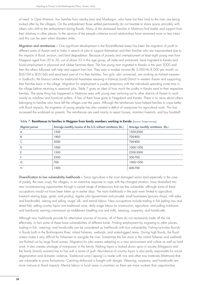of need. In Opar Khamon, four families from nearby Janji and Madarguri, who have lost their land to the river, are being looked after by the villagers. On the embankment those settled permanently do not hesitate to share space amicably with others who shift to the embankment during floods. Many of the distressed families in Matmora find shelter and support from their relatives in other places. In the opinion of the people cohesive social relationships have remained more or less intact and this can be seen when disasters strike.

Migration and remittances – One significant development in the flood-affected areas has been the migration of youth to different parts of Assam and to India in search of jobs to support themselves and their families who are impoverished due to the impacts of flood, erosion, and land degradation. Because of poverty and unemployment at least eight young men from Majgaon aged from 20 to 30, out of about 33 in this age group, all male and unmarried, have migrated to Kerala and found employment in plywood and rubber factories there. The first young man migrated to Kerala in the year 2000 and then the others followed with help and support from him. They earn a modest income (Rs 5,000–Rs 8,000 per month- ca \$US104 to \$US166) and send back part of it to their families. Two girls, also unmarried, are working as trained weavers in Sualkuchi, the famous centre for traditional Assamese weaving in Kamrup (rural) District in western Assam and supporting their families back in the village. Migration for employment is usually temporary with the individuals spending some time in the village before returning to seasonal jobs. Table 7 gives an idea of how much the youths in Kerala send to their respective families. The same thing has happened in Matmora area with young men venturing out to other districts of Assam to work mainly as rickshaw and hand-cart pullers. A few of them have gone to Nagaland and Kerala. There is no news about others belonging to families who have left the villages over the years. Although the remittances have helped families to cope better with flood impacts, the migration of young people has also created a deficit of manpower for agricultural work. This has increased the workload on parents. The remittances are used mainly to repair houses, maintain livestock, and buy foodstuff.

| Migrant person | Average monthly income of the h/h without remittance (Rs.) | Average monthly remittance (Rs.) |
|----------------|------------------------------------------------------------|----------------------------------|
| A              | 1500                                                       | 1500-2000                        |
| B              | 1800                                                       | 700-800                          |
| $\subset$      | 2000                                                       | 700-800                          |
| D              | 1000                                                       | 1000-1500                        |
|                | 1500                                                       | 2500-3000                        |
|                | 2500                                                       | 500-700                          |
| G              | 700                                                        | 1000-1500                        |
| Н              | 1500                                                       | 600-700                          |

Table 7: **Remittances to families in Majgaon from family members working in Kerala** (Source: Project survey)

Diversification to low vulnerability livelihoods – Since agriculture is the most damaged sector (and especially in the case of paddy, the main crop), the villagers, in an instinctive response to cope with the changed situation, have diversified into new income-earning opportunities through a varied range of endeavours that are less vulnerable, although some of these occupations would not have been taken up in earlier days. The main livelihoods in the past were limited to agriculture, livestock rearing (pigs, goats, and poultry), regular jobs (government and private), small businesses (grocery shops, milk sales, and handicrafts), rearing and selling 'muga' silk, and menial labour. New occupations include trading in fish (selling raw and dried fish), selling country liquor and traditional wine, daily wage labour (in construction, agriculture, and pulling rickshaws and handcarts), earning commission as middlemen (reselling rice and milk), weaving, carpentry, and handicrafts.

Although new livelihoods provide for alternative sources of income, all of them do not necessarily trade off the risk effectively. In fact some of these have vulnerabilities of different kinds. Finding employment by migrating to other places, trading in fish, weaving, and handicrafts can be considered as livelihoods with low vulnerability. Fishing activities flourish in floods both in the Brahmaputra River, inland fisheries, wetlands, and waterlogged areas. During high floods, the flood waters make it very difficult for fishermen to navigate the river. Sometimes the fish stock in the inland fisheries and wetlands are flushed out by large flood waves. Migration for jobs means adapting to a new environment and culture as well as hard work. It also creates shortage of manpower in the family. Making liquor is looked down upon in society (Majgaon) and the family (mainly women) has to live with a sense of guilt. Abundance of country liquor is also partly responsible for social degeneration and domestic violence. Traditional wine ('apong') is made with rice and other raw materials (Matmora) that are vulnerable to price fluctuations. Catching driftwood is fraught with danger. Weaving, carpentry, and handicrafts are more immune to flood impacts. Menial labour in local areas is uncertain as there are more workers than opportunities.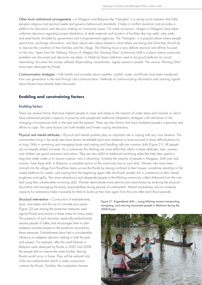Other local institutional arrangements – In Majgaon and Bahpora the 'Namghar' is a strong local institution that fulfils people's religious and spiritual needs and governs behavioural standards. It helps in conflict resolution and provides a platform for discussion and decision making on community issues. On some occasions, villagers in Majgaon have taken collective decisions regarding proper distribution of relief materials and location of facilities like ring wells, tube wells, and seed banks donated by government and non-government agencies. The 'Namghar' is a popular place where people spend time, exchange information, and learn about new ideas related to what others are doing and what they should do to improve the condition of their families and the village. The Mishing have a very definite structure and affinity focused on the clan. Apart from the 'Kebang' (Union of villagers) the 'Morang Ghar' (community hall) is a place where community problems are discussed and decisions are taken. In Matmora these institutions used to be good platforms for social networking, but when the society suffered all-pervading uncertainties, regular sessions ceased. The various 'Morang Ghar' have been destroyed by floods.

Communication strategies – Folk beliefs and proverbs about weather, rainfall, water, and floods have been transferred from one generation to the next through oral communication. Methods of communicating information and warning signals about floods have already been discussed.

### **Enabling and constraining factors**

#### **Enabling factors**

There are several factors that have helped people to cope and adapt to the impacts of water stress and hazards or which have enhanced people's capacity to practice and perpetuate traditional adaptation strategies with refinement in the changing circumstances both in the past and the present. There are also factors that have hindered people's capacities and efforts to cope. The same factors can both enable and hinder coping mechanisms.

Physical and mental attributes – Physical and mental qualities play an important role in coping with any crisis situation. The communities living in the study sites have shown remarkable spirit and resilience to have survived in these difficult places for so long. Skills in swimming and managing boats and making and handling rafts are common skills (Figure 21). All people are not equally skilled, however. As a community the Mishing are more skilful than others in these attributes: men, women, and children are good swimmers and sailors. They are also skilful at traditional swimming styles that help them spend a long time under water or to rescue a person who is drowning. Similarly the majority of people in Majgaon, both men and women, have these skills. In Bahpora, a sizeable section of the community has no such skills. Women who have been married into the village from flood-free areas survive the floods by staying confined to their houses, sometimes standing on the raised platforms for weeks, and starting from the beginning again after the floods recede: this is a testimony to their mental toughness and agility. The more adventurous and desperate people in the Mishing community collect driftwood from the river bed using their unbelievable swimming skills. Women demonstrate more stamina and staunchness by enduring the physical discomfort and managing the family responsibilities during periods of confinement. Mental resoluteness and an immense capacity for endurance make it possible for them to build up their lives again from the ruins after each flood episode.

Structural intervention – Construction of embankments, spurs, and dykes and the use of concrete porcupines (Figure 22) are among the protective measures used against floods and erosion in these areas for many years. The presence of such structures, especially embankments, assures people of safety and encourages them to plan adaptive activities based on the protection ensured by these measures. Embankments have had a considerable influence on adaptive decision making in both the past and present. For example, after the small fisheries in Bahpora were destroyed by floods in 2007 and 2008, the people did not restore the water bodies, fearing floods would occur in future. They will be restored only if the new embankment which is under construction contains the floods. Similarly, the cooperative farmers

Figure 21: Engendered skills – young Mishing women transporting, navigating, and rescuing marooned people in Matmora during the 2008 floods

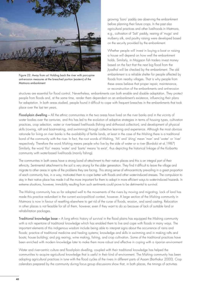

Figure 22: Away from us! Holding back the river with porcupine anti-erosion measures at the breached portion (eastern) of the Matmora embankment

growing 'boro' paddy are observing the embankment before planning their future crops. In the past also agricultural practices and other livelihoods in Matmora, e.g., cultivation of 'Sali' paddy, rearing of 'muga' and mulberry silk, and poultry raising were developed based on the security provided by the embankment.

Whether people will invest in buying a boat or raising a house will depend on how well the embankment holds. Similarly, in Majgaon fish traders invest money based on the fact that the next big flood from the Jiyadhal will be checked by the embankment. The old embankment is a reliable shelter for people affected by floods from nearby villages. That is why people from these areas believe that proper repair, maintenance, or reconstruction of the embankments and anti-erosion

structures are essential for flood control. Nevertheless, embankments can both enable and disable adaptation. They protect people from floods and, at the same time, render them dependent on an embankment's existence, influencing their plans for adaptation. In both areas studied, people found it difficult to cope with frequent breaches in the embankments that took place over the last ten years.

Flood-plain dwelling – All the ethnic communities in the two areas have lived on the river banks and in the vicinity of water bodies over the centuries, and this has led to the evolution of adaptive strategies in terms of housing types, cultivation practices, crop selection, water or river-based livelihoods (fishing and driftwood collection), and development of physical skills (rowing, raft and boat-making, and swimming) through collective learning and experience. Although the most obvious rationale for living on river banks is the availability of fertile lands, at least in the case of the Mishing there is a traditional bond of the community with the river. In fact, the root words of Mishing, 'Mi' and 'shing' mean 'man' and 'water' or 'river' respectively. Therefore the word Mishing means people who live by the side of water or a river (Bordoloi et al.1987) Similarly, the word 'Koi' means 'water' and 'barta' means 'to exist', thus depicting the historical linkage of the Koibartta community with water-based livelihoods (mainly fishing).

The communities in both areas have a strong bond of attachment to their native places and this is an integral part of their ethnicity. Sentimental attachment to the soil is very strong for the older generation. They find it difficult to leave the village and migrate to other areas in spite of the problems they are facing. This strong sense of ethnocentricity prevailing in a great proportion of each community has, in a way, motivated them to cope better with floods and other water-induced stresses. The compulsion to stay in their native place has made it all the more important for them to adapt in more efficient ways to water-induced hazards. In extreme situations, however, immobility resulting from such sentiments could prove to be detrimental to survival.

The Mishing community has so far adapted well to the movements of the rivers by moving and migrating. Lack of land has made this practice redundant in the current socio-political context, however. A large section of the Mishing community in Matmora is now in favour of resettling elsewhere to get rid of the curse of floods, erosion, and sand casting. Relocation in other places is not feasible for all of them, however, even if they want to do so because of lack of suitable land or rehabilitation packages.

Traditional knowledge base – A long ethnic history of survival in the flood plains has equipped the Mishing community with a rich repertoire of traditional knowledge which has enabled them to live and cope with floods in many ways. The important elements of this indigenous wisdom include being able to interpret signs about the occurrence of rains and floods; practice of traditional medicine and healing systems; knowledge and skills in swimming and in making rafts and boats; house building; and pig rearing, wine making, fishing, and crop cultivation. Some of the traditional practices have been enriched with modern knowledge later to make them more robust and effective in coping with a riparian environment

Water and river-centric culture and flood-plain dwelling, coupled with their traditional knowledge has helped the communities to acquire agricultural knowledge that is useful in their kind of environment. The Mishing community has been adopting agricultural practices in tune with the flood cycles of the rivers in different parts of Assam (Barthakur 2000). Crop calendars prepared by the community during focus group discussions show that, in both places, the timings of activities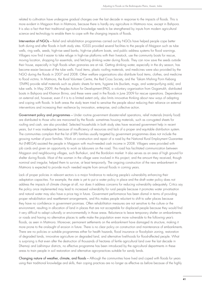related to cultivation have undergone gradual changes over the last decade in response to the impacts of floods. This is more evident in Majgaon than in Matmora, because there is hardly any agriculture in Matmora now, except in Bahpora. It is also a fact that their traditional agricultural knowledge needs to be strengthened by inputs from modern agricultural science and technology to enable them to cope with the changing impacts of floods.

Intervention of NGOs – Relief and rehabilitation programmes carried out by NGOs have helped people cope better both during and after floods in both study sites. IGSSS provided several facilities to the people of Majgaon such as tube wells, ring wells, seeds, high-rise seed banks, high-rise platform boats, and public address systems for flood warnings. Villagers now find it easier to take refuge in high-rise platforms with their livestock, use the community boats for rescue, moving location, shopping for essentials, and fetching drinking water during floods. They can now save the seeds outside their house, especially in high floods when granaries are at risk. Getting drinking water, especially in the dry season, has become easier because of the tube wells. Food items, plastic roofing materials, and medicines were also provided by the NGO during the floods in 2007 and 2008. Other welfare organisations also distribute food items, clothes, and medicine to flood victims. In Matmora, the Rural Volunteer Centre, the Red Cross Society, and the 'Takam Mishing Porin Kebang '(TMPK) provide relief materials such as plastic sheets for tents, hygiene kits (buckets, mugs, and water-purifying aids), and tube wells. In May 2009, the Peoples Action for Development (PAD), a voluntary organisation from Gogamukh, distributed boats in Bahpora and Khamon Birina, and these were used in the floods in June 2009 for rescue operations. Dependence on external aid, however, even if it is to a limited extent only, also limits innovative thinking about new ways of adapting and coping with floods. In both areas the study team tried to sensitise the people about reducing their reliance on external interventions and increasing their resilience by innovation, enterprise, and collective action.

Government policy and programmes – Under routine government disaster-relief operations, relief materials (mainly food) are distributed to those who are marooned by the floods: sometimes housing materials, such as corrugated sheets for roofing and cash, are also provided. Selected households in both study sites have received government help in recent years, but it was inadequate because of insufficiency of resources and lack of a proper and equitable distribution system. The communities complain that the list of BPL families usually targeted by government programmes does not include the growing number of poor families. Work on construction and repair of a road by the National Rural Employment Guarantee Act (NREGA) assisted the people in Majgaon with much-needed cash income in 2008. Villagers were provided with job cards and given an opportunity to work as labourers on the road. This road has facilitated communication between Majgaon and neighbouring villages, such Burhakuri, and the Bordoloni market. It also serves as an area of high ground for shelter during floods. Most of the women in the village were involved in this project, and the amount they received, though nominal and irregular, helped them to survive, at least temporarily. The ongoing construction of the new embankment in Matmora is expected to provide much- needed respite from annual floods in coming years.

Lack of proper policies in relevant sectors is a major hindrance to reducing people's vulnerability enhancing their adaptation capacities. For example, the state is yet to put a water policy in place and the draft water policy does not address the impacts of climate change at all, nor does it address concerns for reducing vulnerability adequately. Critics say the policy once implemented may lead to increased vulnerability for rural people because it promotes water privatisation and natural water may also have a price tag in future. Government performance has been dismal in terms of providing proper rehabilitation and resettlement arrangements, and this makes people reluctant to shift to safer places because they have no confidence in government promises. Often rehabilitation measures are not sensitive to the culture or the environment, resulting in allocation of land in places that are not acceptable for displaced people because they would find it very difficult to adapt culturally or environmentally in those areas. Reluctance to leave temporary shelter on embankments or roads and having no alternative places to settle make the population even more vulnerable to the following year's floods, as seen in Matmora. Moreover, permanent settlements on the embankment have damaged its structure, making it more prone to the onslaught of erosion in future. There is no clear policy on construction and maintenance of embankments. There are no policies or suitable programmes either for health hazards, flood insurance or flood-plain zoning, restoration of degraded lands, innovative agriculture on degraded land, and alternative livelihoods for flood-affected people. What is surprising is that even after the destruction of thousands of hectares of fertile agricultural land over the last decade in Dhemaji and Lakhimpur districts, no effective programme has been introduced by the agricultural departments in these areas to train people in soil restoration and alternative agro-practices suitable for sandy lands.

Changing nature of weather, climate, and floods – Although the communities have lived and coped with floods for years using their traditional knowledge and skills, their coping practices are no longer as effective as before because of the highly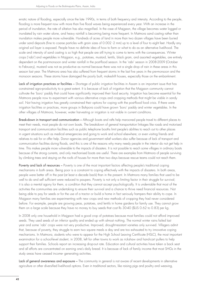erratic nature of flooding, especially since the late 1990s, in terms of both frequency and intensity. According to the people, flooding is more frequent now with more than five flood waves being experienced every year. With an increase in the period of inundation, the rate of siltation has also magnified. In the case of Majgaon, the village becomes water logged or inundated by rain water alone, and heavy rainfall is becoming being more frequent. In Matmora sand casting rather than inundation makes people more vulnerable. Hundreds of acres of land in more than two dozen villages have been buried under sand deposits (fine to coarse particles with grain sizes of 0.002 -2 mm) up to a level of four to eight feet. Hardly any original soil layer is exposed. People have no definite idea of how to farm or what to do as an alternative livelihood. The scale and intensity of sand casting is so high that people are still trying to come to terms with the consequences. Winter crops ('rabi') and vegetables in Majgaon, e.g., potatoes, mustard, lentils, black gram, and assorted vegetables, are entirely dependent on the post-monsoon and winter rainfall in the post-flood season. In the 'rabi' season in 2008-2009 (October to February), mustard was not as productive as normal because there was not a single drop of rain in these areas in this season last year. The Matmora area has also suffered from frequent storms in the last five years in the pre-monsoon and the monsoon seasons. These storms have damaged the poorly built, makeshift houses, especially those on the embankment.

Lack of irrigation practices or facilities - Shortage of public irrigation facilities in Assam is an important issue that has constrained agro-productivity to a great extent. It is because of lack of irrigation that the Majgaon community cannot cultivate the 'boro' paddy that could have significantly improved their food security. Irrigation has become essential for the Matmora people now to experiment with various alternative crops and cropping methods that might be viable in sandy soil. Not having irrigation has greatly constrained their options for coping with the post-flood food crisis. If there were irrigation facilities or practices, more groups in Bahpora could have grown 'boro' paddy and winter vegetables. In the other villages of Matmora, however, water harvesting or irrigation is not viable in current conditions.

Break-down in transport and communication – Although boats and rafts help marooned people travel to different places to meet their needs, most people do not own boats. The breakdown of general transportation linkages like roads and motorised transport and communication facilities such as public telephone booths limit people's abilities to reach out to other places in urgent situations such as medical emergencies and going to work and school elsewhere; or even visiting friends and relatives to ask for or offer help. Donor agencies and government relief workers also suffer because of lack of transport and communication facilities during floods, and this is one of the reasons why many needy people in the interior do not get help in time. This makes people more vulnerable to the impacts of disasters. It is not possible to reach some villages in ordinary boats because of the strong currents, and only mechanised boats are useful. There are examples from Matmora of people surviving by climbing trees and staying on the roofs of houses for more than two days because rescue teams could not reach them.

Poverty and lack of resources – Poverty is one of the most important factors affecting people's traditional coping mechanisms in both areas. Being poor is a constraint to coping effectively with the impacts of disasters. In both areas, people were better off in the past (at least a decade back) than in the present. In Matmora many families that used to be well to do and self sufficient were reduced to paupers. Poverty is not only a limiting factor in their struggle for survival; it is also a mental agony for them, a condition that they cannot accept psychologically. It is undeniable that most of the activities the communities are undertaking to ensure their survival and a chance to thrive need financial resources. Not being able to pay for seeds or for the use of a tractor or build a home in fact seriously hampers their ability to cope. In Majgaon many families are experimenting with new crops and new methods of cropping they had never considered before. For example, people are growing peas, potatoes, and lentils in home gardens for family use. They cannot grow them on a large scale because they have no money to buy seeds that cost Rs 30-40 (\$US 0.62 to 0.83) per kg.

In 2008 only one household in Majgaon had a good crop of potatoes because most families could not afford improved seeds. They used seeds of an inferior quality and ended up with almost nothing. The normal winter rains failed last year and some 'rabi' crops were not very productive. Improved, drought-resistant varieties only survived. Villagers admit that, because of poverty, they struggle to earn two square meals a day and are too exhausted to try innovative coping mechanisms. In Matmora, students who were to appear for the High School Leaving Certificate (HSLC), the most important examination for a school-level student, in 2008, left for other towns to work as rickshaw and hand-cart pullers to help support their families. Schools report an increasing drop-out rate. Education and cultural activities have taken a back seat and all efforts are concentrated on earning one's daily bread. It is because of lack of family income that most SHGs in the study areas have ceased income- generating activities.

Lack of general awareness and exposure – The community in general is not aware of recent developments in alternative agriculture or other diversified livelihood options. Even in traditional sectors, like raising pigs and poultry and weaving,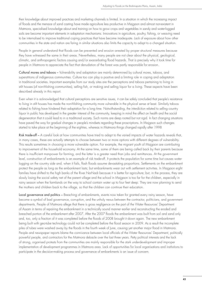their knowledge about improved practices and marketing channels is limited. In a situation in which the increasing impact of floods and the menace of sand casting have made agriculture less productive in Majgaon and almost non-existent in Matmora, specialised knowledge about and training on how to grow crops and vegetables in sandy and water-logged soils are become important elements in adaptation mechanisms. Innovations in agriculture, poultry, fishing, or weaving need to be internalised to improve traditional coping practices that have become inadequate. Lack of exposure about how other communities in the state and nation are faring in similar situations also limits the capacity to adapt to a changed situation.

People in general understand that floods can be prevented and erosion arrested by proper structural measures because they have witnessed the same in their areas. Nevertheless, many people are not clear about the physical, geological, climatic, and anthropogenic factors causing and/or exacerbating flood hazards. That is precisely why it took time for people in Matmora to appreciate the fact that denudation of the forest was partly responsible for erosion.

Cultural mores and taboos – Vulnerability and adaptation are mainly determined by cultural mores, taboos, and superstitions of indigenous communities. Culture too can play a positive and a limiting role in coping and adaptation in traditional societies. Important examples from our study sites are the perceptions and taboos pertaining to living in stilt houses (of non-Mishing communities), selling fish, or making and selling liquor for a living. These aspects have been described already in this report.

Even when it is acknowledged that cultural perceptions are sensitive issues, it can be safely concluded that people's resistance to living in stilt houses has made the non-Mishing community more vulnerable in the physical sense at least. Similarly taboos related to fishing have hindered their adaptation for a long time. Notwithstanding, the interdiction related to selling country liquor in public has developed in the greater interest of the community, keeping in mind the affect on health and the social degeneration that it could lead to in a traditional society. Such norms are deep rooted but not rigid. In fact changing situations have paved the way for gradual changes in people's mindsets regarding these proscriptions. In Majgaon such changes started to take place at the beginning of the eighties, whereas in Matmora things changed rapidly after 1998

Risk trade-off – A careful look at how communities have tried to adapt to the varied impacts of water hazards reveals that, in many cases, these are actually attempts to choose between two or more options with different degrees of vulnerability. This results sometimes in choosing a more vulnerable option. For example, the migrant youth of Majgaon are contributing to improvement of the household economy. At the same time, some of them are being called back by their parents because there is insufficient manpower for farming, and the latter is a greater need than jobs and remittances. At the government level, construction of embankments is an example of risk trade-off. It protects the population for some time but causes water logging on the country side and, when it fails, flash floods assume devastating proportions. Settlements on the embankment protect the people as long as the embankment lasts; but embankments wear out with settlement activities. In Majgaon eight families have shifted to the high banks of the River Na-Nadi because it is better for agriculture; but, in the process, they are slowly losing the social safety net of the parent village and the school in Majgaon is too far for the children, especially in rainy season when the farmlands on the way to school contain water up to four feet deep. They are now planning to send the mothers and children back to the village, so that the children can continue their education.

Local governance and politics – Breaching of embankments, events now taken for granted every rainy season, have become a symbol of bad governance, corruption, and the unholy nexus between the contractor, politicians, and government departments. People of Matmora allege that there is gross negligence on the part of the Water Resources' Department of Assam in terms of repairing the embankment in a technically sound manner earlier and reconstructing the eroded and breached portion of the embankment after 2007. After the 2007 floods the embankment was built from soil and sand only and, too, only a fraction of it was completed before the floods of 2008 brought it down again. The new embankment being built with geo-tube technology could not be completed before the flood season in 2009. As a result the incomplete piles of tubes were washed away by the floods in the fourth week of June, causing yet another major flood in Matmora. People and newspaper reports blame the connivance between local officials of the Water Resources' Department, politically powerful people, and contractors for the Matmora debacle over the last three years. Petty political interests and the lack of strong, organised protests from the communities are mainly responsible for the stark underdevelopment and improper implementation of development programmes in Matmora area. Lack of opportunities for local organisations and institutions to participate in the decision-making process and governance of embankments is an issue of concern.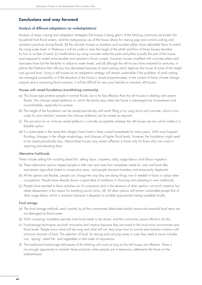## **Conclusions and way forward**

#### **Analysis of different adaptations (or maladaptations)**

Analysis of major coping and adaptation strategies–Stilt houses ('chang ghar') of the Mishing community (a) protect the household from flood waters, and the multipurpose use of the house allows for rearing pigs and normal cooking and sanitation practices during floods; (b) the old style houses on bamboo and wooden pillars have adjustable floors to match the rising water level: in Matmora it will be costly to raise the height of the plinth and floor of those houses dwarfed by four to six feet of sand; (c) modifications by using concrete make the posts and pillars (usually the part of the house most exposed to water) more durable and resistant to flood currents, however, houses modified with concrete pillars and staircases have lost the flexibility to adjust to water levels; and (d) although the stilt houses have endured for centuries, in places like Matmora their efficacy has decreased because of sand casting which deprives the house of some of the height over ground level. Living in stilt houses as an adaptation strategy will remain sustainable if the problems of sand casting are managed successfully or if the elevation of the house is raised proportionately. In the context of future climate change impacts and a worsening flood scenario, it will be difficult for very poor families to maintain stilt houses.

#### Houses with raised foundations (non-Mishing community)

- (a) This house type protects people in normal floods, but is far less effective than the stilt houses in dealing with severe floods. The in-house raised platforms on which the family stays when the house is submerged are inconvenient and uncomfortable, especially for women.
- (b) The height of the foundation can be raised periodically with earth filling or by using brick and concrete, which is too costly for poor families; however the in-house platforms can be raised as required.
- (c) The provision for an in-house raised platform is culturally acceptable whereas the stilt houses are not, which makes it a feasible option.
- (d) It is sustainable in the sense that villagers have lived in these raised homesteads for many years. With more frequent flooding, changes in the village morphology, and chances of higher flood levels, however, the foundation might need to be raised periodically also. Hence these houses may remain effective in future only for those who can invest in repairing and elevating them.

#### Alternative livelihoods

These include selling fish including dried fish, selling liquor, carpentry, daily wage labour, and labour migration.

- (a) These alternative options helped people to tide over and meet their immediate needs for cash and food after mainstream agriculture failed in consecutive years, and people became homeless and temporarily displaced.
- (b) All the options are flexible, people can change the way they are doing things now if needed in future or adopt other occupations. People have already shown a great deal of resilience in choosing and adapting to new livelihoods.
- (c) People have resorted to these activities out of compulsion and in the absence of other options: not much creativity but rather desperation is the reason for breaking social norms. (d). All other options will remain sustainable except that of daily wage labour which is uncertain because it depends on suitable opportunities being available locally.

#### Food storage

- (a) The food storage methods used currently by all the communities (described earlier) ensure that essential food items are not damaged by flood water.
- (b) With increasing inundation periods more food needs to be stored, and the community cannot afford to do this.
- (c) Food-storage techniques are both innovative and creative because they are tuned to the local micro environment and flood levels. People know what will last long and what will not, they know how to survive and maintain nutrition with minimum amounts of food. The selection of food for storing and carrying away in case they need to move includes rice, 'apong', dried fish, and vegetables in that order of importance.
- d) The traditional food-storage techniques of the Mishing will work as long as the stilt houses are effective. There is not enough opportunity to maintain these practices when people are in temporary settlements like those on the embankments.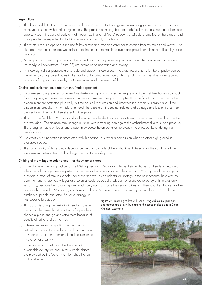#### **Agriculture**

- (a) The 'bao' paddy that is grown most successfully is water resistant and grows in water-logged and marshy areas; and some varieties can withstand strong currents. The practice of mixing 'bao' and 'ahu' cultivation ensures that at least one crop survives in the case of early or high floods. Cultivation of 'boro' paddy is a suitable alternative for these areas and more people are expected to plant it to ensure food security in Bahpora.
- (b) The winter ('rabi') crops or autumn rice follow a modified cropping calendar to escape from the main flood waves. The changed crop calendars are well adjusted to the current, normal flood cycle and provide an element of flexibility to the practices.
- (c) Mixed paddy, a new crop calendar, 'boro' paddy in naturally water-logged areas, and the most recent pit culture in the sandy soil of Matmora (Figure 23) are examples of innovation and novelty.
- (d) All these agricultural practices are suitable and viable in these areas. The water requirements for 'boro' paddy can be met either by using water bodies in the locality or by using water pumps through SHG or cooperative famer groups. Provision of irrigation facilities by the Government would be very useful.

#### Shelter and settlement on embankments (maladaptation)

- (a) Embankments are preferred for immediate shelter during floods and some people who have lost their homes stay back for a long time, and even permanently, on the embankment. Being much higher than the flood plains, people on the embankment are protected physically, but the possibility of erosion and breaches make them vulnerable also. If the embankment breaches in the midst of a flood, the people on it become isolated and damage and loss of life can be greater than if they had taken shelter in other places.
- (b) This option is flexible in Matmora to date because people like to accommodate each other even if the embankment is overcrowded. The situation may change in future with increasing damage to the embankment due to human pressure. The changing nature of floods and erosion may cause the embankment to breach more frequently, rendering it an unsafe option.
- (c) No creativity or innovation is associated with this option; it is rather a compulsion when no other high ground is available nearby.
- (d) The sustainability of this strategy depends on the physical state of the embankment. As soon as the condition of the embankment deteriorates it will no longer be a suitable safe place.

#### Shifting of the village to safer places (for the Matmora area)

- (a) It used to be a common practice for the Mishing people of Matmora to leave their old homes and settle in new areas when their old villages were engulfed by the river or became too vulnerable to erosion. Moving the whole village or a certain number of families to safer paces worked well as an adaptation strategy in the past because there was no dearth of land where new villages and colonies could be established. But the respite achieved by shifting was only temporary, because the advancing river would very soon consume the new localities and they would shift to yet another place as happened in Matmora, Janji, Arkep, and Bali. At present there is not enough vacant land in which large numbers of people can settle. So, as a strategy, it has become less viable.
- (b) This option is losing the flexibility it used to have in the past in the sense that it is not easy for people to choose a place and go and settle there because of paucity of fertile land by the river.
- (c) It developed as an adaptation mechanism as a natural recourse to the need to meet the changes in a dynamic riverine environment. It had no element of innovation or creativity.
- (d) In the present circumstances it will not remain a sustainable activity for long unless suitable places are provided by the Government for rehabilitation and resettlement.

Figure 23: Learning to live with sand – vegetables like pumpkins and gourds are grown by planting the seeds in deep pits in Opar Khamon, Matmora

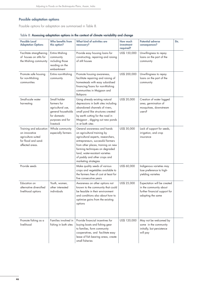## **Possible adaptation options**

Possible options for adaptation are summarised in Table 8.

| <b>Possible Local</b><br><b>Adaptation Options</b>                                                      | Who benefits from<br>this option?                                                                                       | What kind of activities are<br>necessary?                                                                                                                                                                                                                                                                | How much<br>investment<br>required? | <b>Potential adverse</b><br>consequences?                                                                   | Etc. |
|---------------------------------------------------------------------------------------------------------|-------------------------------------------------------------------------------------------------------------------------|----------------------------------------------------------------------------------------------------------------------------------------------------------------------------------------------------------------------------------------------------------------------------------------------------------|-------------------------------------|-------------------------------------------------------------------------------------------------------------|------|
| Facilitate strengthening<br>of houses on stilts for<br>the Mishing community                            | <b>Entire Mishing</b><br>community<br>including those<br>residing on the<br>embankment                                  | Provide easy housing loans for<br>constructing, repairing and raising<br>of stilt houses                                                                                                                                                                                                                 | US\$ 150,000                        | Unwillingness to repay<br>loans on the part of the<br>community                                             |      |
| Promote safe housing<br>for non-Mishing<br>communities                                                  | Entire non-Mishing<br>community                                                                                         | Promote housing awareness,<br>facilitate repairing and raising of<br>homesteads with easy subsidised<br>financing/loans for non-Mishing<br>communities in Majgaon and<br>Bahpora                                                                                                                         | US\$ 200,000                        | Unwillingness to repay<br>loans on the part of the<br>community                                             |      |
| Small-scale water<br>harvesting                                                                         | Small holder<br>farmers for<br>agricultural use,<br>general households<br>for domestic<br>purposes and for<br>livestock | Using already existing natural<br>depressions in both sites including<br>abandoned channels of rivers,<br>small pond like structures created<br>by earth cutting for the road in<br>Majgaon, digging out new ponds<br>in at both sites                                                                   | US\$ 20,000                         | Creation of water logged<br>area, germination of<br>mosquitoes, downstream<br>users?                        |      |
| Training and education<br>on innovative<br>agriculture suited<br>for flood and sand-<br>affected areas. | Whole community<br>especially farmers                                                                                   | General awareness and hands<br>on agricultural training by<br>agricultural experts, researchers,<br>entrepreneurs, successful farmers<br>from other places, training on new<br>farming techniques on degraded<br>land, water-resistant varieties<br>of paddy and other crops and<br>marketing strategies | US\$ 30,000                         | Lack of support for seeds,<br>irrigation, and crop<br>insurance                                             |      |
| Provide seeds                                                                                           |                                                                                                                         | Make quality seeds of various<br>crops and vegetables available to<br>the farmers free of cost at least for<br>five consecutive years                                                                                                                                                                    | US\$ 60,000                         | Indigenous varieties may<br>lose preference to high-<br>yielding varieties                                  |      |
| Education on<br>alternative diversified<br>livelihood options                                           | Youth, women,<br>other interested<br>individuals                                                                        | Awareness on other options not<br>known to the community that could<br>be feasible in their environment<br>and conditions also about how to<br>optimise gains from the existing<br>options                                                                                                               | US\$ 25,000                         | Expectation will be created<br>in the community about<br>further financial support for<br>adopting the same |      |
| Promote fishing as a<br>livelihood                                                                      | Families involved in<br>fishing in both sites                                                                           | Provide financial incentives for<br>buying boats and fishing gear<br>to families, form community<br>cooperatives, and facilitate easy<br>lease of fish bearing areas, create<br>small fisheries                                                                                                          | US\$ 120,000                        | May not be welcomed by<br>some in the community<br>initially, but persistence<br>will pay                   |      |

| Table 8: Assessing adaptation options in the context of climate variability and change |
|----------------------------------------------------------------------------------------|
|----------------------------------------------------------------------------------------|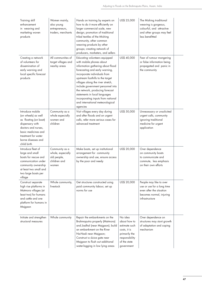| Training skill<br>enhancement<br>in weaving and<br>marketing woven<br>products                                                                                                                | Women mainly,<br>also young<br>entrepreneurs,<br>traders, merchants         | Hands on training by experts on<br>how to do it more efficiently on<br>larger commercial scale, new<br>design; promotion of traditional<br>tribal textiles of the Mishing<br>community, other common<br>weaving products by other<br>groups; creating network of<br>producers, marketers, and sellers                                                                                                                                    | US\$ 25,000                                                                                                               | The Mishing traditional<br>weaving is gorgeous,<br>colourful, and attractive<br>and other groups may feel<br>less benefitted    |
|-----------------------------------------------------------------------------------------------------------------------------------------------------------------------------------------------|-----------------------------------------------------------------------------|------------------------------------------------------------------------------------------------------------------------------------------------------------------------------------------------------------------------------------------------------------------------------------------------------------------------------------------------------------------------------------------------------------------------------------------|---------------------------------------------------------------------------------------------------------------------------|---------------------------------------------------------------------------------------------------------------------------------|
| Creating a network<br>of volunteers for<br>dissemination of<br>early warning and<br>local specific forecast<br>products                                                                       | All communities of<br>target villages and<br>nearby areas                   | Educating volunteers equipped<br>with mobile phones about<br>information gathering about flood<br>forecasting and early warning,<br>incorporate individuals from<br>upstream foothills to the target<br>villages along the river stretch,<br>include government personnel into<br>the network, producing forecast<br>statements in local languages<br>incorporating inputs from national<br>and international meteorological<br>agencies | US\$ 40,000                                                                                                               | Fear of rumour mongering<br>or false information being<br>propagated and panic in<br>the community                              |
| Introduce mobile<br>(on wheels) as well<br>as floating (on boat)<br>dispensary with<br>doctors and nurses,<br>basic medicines and<br>treatment for water<br>borne diseases and<br>child birth | Community as a<br>whole especially<br>women and<br>children                 | Visit villages every day during<br>and after floods and on urgent<br>calls, refer more serious cases for<br>advanced treatment                                                                                                                                                                                                                                                                                                           | US\$ 50,000                                                                                                               | Unnecessary or unsolicited<br>urgent calls, community<br>ignoring traditional<br>medicine for urgent<br>application             |
| Introduce fleet of<br>large and small<br>boats for rescue and<br>communication under<br>community ownership<br>at least two small and<br>two large boats per<br>village                       | Community as a<br>whole, especially<br>old people,<br>children and<br>women | Make boats, set up institutional<br>arrangement for community<br>ownership and use, ensure access<br>by the poor and needy                                                                                                                                                                                                                                                                                                               | US\$ 20,000                                                                                                               | Over dependence<br>on community boats<br>to communicate and<br>commute, less emphasis<br>on their own efforts                   |
| Construct separate<br>high rise platforms in<br>Matmora villages (at<br>least two) for humans<br>and cattle and one<br>platform for humans in<br>Majgaon                                      | Whole community,<br>livestock                                               | Get structures constructed using<br>paid community labour, set up<br>norms for use                                                                                                                                                                                                                                                                                                                                                       | US\$ 20,000                                                                                                               | People may like to over<br>use or use for a long time<br>even after the situation<br>becomes normal, injuring<br>infrastructure |
| Initiate and strengthen<br>structural measures                                                                                                                                                | Whole community                                                             | Repair the embankments on the<br>Brahmaputra properly (Matmora)<br>and Jiadhal (near Majgaon); build<br>an embankment on the River<br>Na-Nadi near Majgaon;<br>Construct a sluice gate near<br>Majgaon to flush out additional<br>water-logging in low lying areas                                                                                                                                                                       | No idea<br>about how to<br>estimate such<br>costs, it is<br>primarily the<br>responsibility<br>of the state<br>government | Over dependence on<br>structures may stunt growth<br>of adaptation and coping<br>mechanism                                      |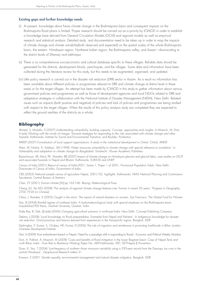#### **Existing gaps and further knowledge needs**

- (i) At present, knowledge about future climate change in the Brahmaputra basin and consequent impacts on the Brahmaputra flood plains is limited. Proper research should be carried out as a priority by ICIMOD in order to establish a knowledge base derived from General Circulation Models (GCM) and regional models as well as empirical research and statistical analysis. Detailed study and documentation need to be taken up in order to map the impacts of climate change and climate variability(both observed and expected) on the spatial scales of the whole Brahmaputra basin, the eastern Himalayan region, Northeast Indian region, the Brahmaputra valley, and Assam—downscaling to the district levels of Dhemaji and Lakhimpur.
- (ii) There is no comprehensive socioeconomic and cultural database specific to these villages. Reliable data should be generated for the districts, development blocks, panchayats, and the villages. Some data and information have been collected during the literature review for this study, but this needs to be augmented, organised, and updated.
- (iii) Little policy research is carried out in the disaster risk reduction (DRR) sector in Assam. As a result no information has been available about different policies or programmes relevant to DRR and climate change at district level in these areas or for the target villages. An attempt has been made by ICIMOD in this study to gather information about various government policies and programmes as well as those of development agencies and local NGOs related to DRR and adaptation strategies in collaboration with the National Institute of Disaster Management (NIDM), New Delhi. Related issues such as impacts (both positive and negative) of policies and lack of policies and programmes are being studied with respect to the target villages. When the results of this policy analysis study are completed they are expected to reflect the ground realities of the districts as a whole.

## **Bibliography**

Ahmed, S; Mustafa, D (2007) Understanding vulnerability, building capacity: Concept, approaches and insights. In Moench, M; Dixit, A (eds) *Working with the winds of change: Towards strategies for responding to the risks associated with climate change and other hazards*. Kathmandu: Institute for Social and Environmental Transition, and Boulder: ProVention

AKRSP (2007) *Formalisation of local support organisations: A study in the institutional development in Chitral*. Chitral: AKRSP

Alam, M; Nishat, A; Siddiqui, SM (1998) 'Water resources vulnerability to climate change with special reference to inundation'. In *Vulnerability and adaptation to climate change for Bangladesh.* Dordrecht: Kluwer Academic Publishers

Bajracharya, SR; Mool, PK; Shrestha, BR (2007) *Impact of climate change on Himalayan glaciers and glacial lakes, case studies on GLOF and associated hazards in Nepal and Bhutan*. Kathmandu: ICIMOD and UNEP

Census of India (2001) *Report of census of India-2001*, Series 1, Paper 1 of 2001, Provisional Population Totals. New Delhi: Directorate of Census of India, Government of India

CBS (2003) *National sample census of agriculture Nepal, 2001/02, highlights.* Kathmandu: HMG National Planning and Commission Secretariat, Central Bureau of Statistics

Chen, ZY (2001) *Yunnan climate [M]* pp 162-166. Beijing: Meteorological Press

Cheng, JG; Xie MG (2008) 'The analysis of regional climate change features over Yunnan in recent 50 years.' *Progress in Geography*, 27(5):19-26 (in Chinese)

Chew, L; Ramdas, K (2005) *Caught in the storm: The impact of natural disasters on women*. San Francisco: The Global Fund for Women

Das, PJ (2004) *Rainfall regime of northeast India: A hydrometeorological study with special emphasis on the Brahmaputra basin*. Unpublished PhD thesis, Gauhati University, Gauhati, India

Datta Ray, B; Deb, BJ (eds) (2006) *Changing agricultural scenario in north-east India*. New Delhi: Concept Publishing Company

Dekens, J (2008) 'Local knowledge on flood preparedness: Examples from Nepal and Pakistan'. In *Indigenous knowledge for disaster* risk reduction: Good practices and lessons learned from experiences in the Asia-pacific region. Bangkok: ISDR

Deshingkar, P; Kumar, S; Chobey, HK; Kumar, D (2006) *The role of migration and remittances in promoting livelihoods in Bihar.* London: Overseas Development Institute

Dixit, A (2009) 'Kosi embankment breach in Nepal: Need for a paradigm shift in responding to floods'. *Economic and Political Weekly, M*umbai

Dixit, A; Pokhrel, A; Moench, M (2008) 'Costs and benefits of flood mitigation in the lower Bagmati basin: Case of Nepal Terai and north Bihar, India'. *From Risk to Resilience Working Paper No. 689* Kathmandu: ISET, ISET-Nepal & Provention

Duan, K; Yao, T (2004) 'Low-frequency of southern Asian monsoon variability using a 295-year record from the Dasuopu ice core in the central Himalayas'. *Geophysical Research Letters* 31

Enarson, E (2001 *Gender equality, environmental management and natural disaster mitigation*. Bangkok: ISDR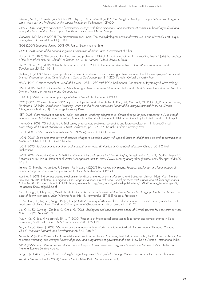Eriksson, M; Xu, J; Shrestha ,AB; Vaidya, RA; Nepal, S; Sandström, K (2009) *The changing Himalayas – Impact of climate change on water resources and livelihoods in the greater Himalayas.* Kathmandu: ICIMOD

GEAG (2007) Adaptive capacities of communities to cope with flood situation: A documentation of community based agricultural and *non-agricultural practices.* Gorakhpur: Gorakhpur Environmental Action Group

Goswami, DC; Das, PJ (2003) 'The Brahmaputra River, India: The eco-hydrological context of water use in one of world's most unique river systems.' *Ecologist Asia* 11 (1): 9-11

GOB (2009) *Economic Survey.* 2008-09. Patna: Government of Bihar

GOB (1994) *Report of the Second Irrigation Commission of Bihar.* Patna: Government of Bihar

Haserodt, C (1996) 'The geographical features and problems of Chitral: A short introduction'. In Israr-ud-Din, Bashir E (eds) *Proceedings of the Second Hindu-Kush Cultural Conference,* pp. 3-18. Karachi: Oxford University Press

He, YL; Zhang, YP; (2005) 'Climate change from 1960 to 2000 in the Lancang river valley, China'. *Mountain Research and Development* 25(4):341-348

Herbers, H (2008) 'The changing position of women in northern Pakistan: From agriculture producers to off farm employees'. In Israr-ud-Din (ed) *Proceedings of the Third Hindu-Kush Cultural Conference,* pp. 211-220. Karachi: Oxford University Press

HMG (1991) *Climatic records of Nepal of the year 1988*, 1989 and 1990. Kathmandu: Department of Hydrology & Meteorology

HMG (2005): *Statistical information on Nepalese agriculture, time series information*. Kathmandu: Agri-Business Promotion and Statistics Division, Ministry of Agriculture and Co-operatives

ICIMOD (1996) *Climatic and hydrological atlas of Nepal.* Kathmandu: ICIMOD

IPCC (2007b) 'Climate change 2007: Impacts, adaptation and vulnerability'. In Parry, ML; Canziani, OF; Palutikof, JP; van der Linden, PJ; Hanson, CE (eds) *Contribution of working Group II to the Fourth Assessment Report of the Intergovernmental Panel on Climate Change*, Cambridge (UK): Cambridge University Press

ISET (2008) *From research to capacity, policy and action, enabling adaptation to climate change for poor population in Asia through research, capacity building and innovation*, A report from the adaptation team to IDRC coordinated by ISET. Kathmandu: ISET-Nepal

Israr-ud-Din (2008) 'Chitral district: A Brief survey of resources, problems, constraints and future development'. In Israr-ud-Din (ed) *Proceedings of the Third Hindu-Kush Cultural Conference*, pp. 175-186. Karachi: Oxford University Press

IUCN (2004) *Chitral: A study in statecraft (1320-1969).* Karachi: IUCN Pakistan

IUCN (2005) *Socio-economic survey of selected villages in Shishikoh valley with special focus on chalghoza pine and its contribution to livelihoods*. Chitral: IUCN Chitral Publications

IUCN (2005) *Socio-economic condition and mechanism for water distribution in Kirmatabad, Mukhow.* Chitral: IUCN Chitral Publications

IWMI (2004) *Drought mitigation in Pakistan: Current status and options for future strategies*, Drought series Paper 3, Working Paper 85. Battaramulla, (Sri Lanka): International Water Management Institute. http://www.iwmi.cgiar.org/droughtassessment/fi les/pdf/WP%20 85.pdf

Jianchu, X; Shrestha, A; Vaidya, R; Eriksson, M; Hewitt, K (2007) *The melting Himalayas: Regional challenges and local impacts of climate change on mountain ecosystems and livelihoods.* Kathmandu: ICIMOD

Komino, T (2008) Indigenous coping mechanisms for disaster management in Mansehra and Battagram districts, North West Frontier Province (NWFP), Pakistan*.* In *Indigenous knowledge for disaster risk reduction: Good practices and lessons learned from experiences in the Asia-Pacific region*. Bangkok: ISDR http://www.unisdr.org/eng/about\_isdr/isdr-publications/19-Indigenous\_Knowledge-DRR/ Indigenous\_Knowledge-DRR.pdf

Kull, D; Singh, P; Chopde, S; Wajih, S (2008) *Evaluation cost and benefits of flood reduction under changing climatic conditions: The case of Rohini river basin, India,* Working Paper No. 4. Kathmandu: ISET, ISET-Nepal & Provention

Li, ZQ; Han, TD; Jing, ZF; Yang, HA; Jio, KQ (2003) 'A summary of 40-year observed variation facts of climate and glacier No.1 at headwater of Urumqi River, Tianshan, China'. *Journal of Glaciology and Geocryology* 2:117-123

Liu, JG; Li, SX; Ouyang, ZY; Tarn, C; Chen, XD (2008) *Ecological and socioeconomic effects of China's policies for ecosystem services*. *PNAS* 105(28):9477-9482

Ma, X; Xu, JC; Luo, Y; Aggarwal, SP; Li, JT (2009) 'Response of hydrological processes to land cover and climate change in Kejie watershed, Southwest China'. *Hydrological Process* 23:1179-1191

Ma, X; Xu, JC; Qian, J (2008) 'Water resource management in a middle mountain watershed: A case study in Xizhuang, Yunnan, China'. *Mountain Research and Development* 28(3/4):286-291

Moench, M (2006) 'Water, climatic variability and livelihood resilience: Concepts, fi eld insights and policy implications'. In *Adaptation to climate variability and change: Review of policies and programmes of government of India*. New Delhi: Winrock International India.

NRSA (1995) *India: Report on area statistics of landuse/landcover generated using remote sensing techniques,* 1995. Hyderabad: National Remote Sensing Agency

Peng, S (2004) *Rice yields decline with higher night temperature from global warming.* Manila: International Rice Research Institute.

Registrar General of India (2001) *Census of India.* New Delhi: Government of India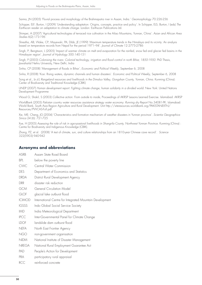Sarma, JN (2005) 'Fluvial process and morphology of the Brahmaputra river in Assam, India.' *Geomorphology* 70:226-256

Schipper, ELF; Burton, I (2009) 'Understanding adaptation: Origins, concepts, practice and policy'. In Schipper, ELS; Burton, I (eds) *The Earthscan reader on adaptation to climate change*. London: Earthscan Publications Ltd.

Shimpei, A (2007) 'Agricultural technologies of terraced rice cultivation in the Ailao Mountains, Yunnan, China'. *Asian and African Area Studies* 6(2):173-196

Shrestha, AB; Wake, CP; Mayewski, PA; Dibb, JE (1999) 'Maximum temperature trends in the Himalaya and its vicinity: An analysis based on temperature records from Nepal for the period 1971–94'*. Journal of Climate* 12:2775-2786

Singh, P; Bengtsson, L (2005) 'Impact of warmer climate on melt and evaporation for the rainfed, snow fed and glacier fed basins in the Himalayan region'. *Journal of Hydrology* 300:140-151

Singh, P (2003) *Colonising the rivers: Colonial technology, irrigation and flood control in north Bihar, 1850-1950*. PhD Thesis, Jawaharlal Nehru University, New Delhi, India

Sinha, CP (2008) 'Management of floods in Bihar', *Economic and Political Weekly*, September 6, 2008

Sinha, R (2008) 'Kosi: Rising waters, dynamic channels and human disasters'. *Economic and Political Weekly*, September 6, 2008

Song et al., (n.d.) *Rangeland resources and livelihoods in the Dimaluo Valley, Gongshan County, Yunnan, China.* Kunming (China): Center of Biodiversity and Traditional Knowledge (CBIK)

UNDP (2007) *Human development report: Fighting climate change, human solidarity in a divided world.* New York: United Nations Development Programme

Wood G; Shakil, S (2003) *Collective action: From outside to inside*, Proceedings of AKRSP Lessons Learned Exercise. Islamabad: AKRSP

WorldBank (2005) *Pakistan country water resources assistance strategy water economy: Running dry* Report No.34081-PK. Islamabad: World Bank, South Asia Region Agriculture and Rural Development. Unit http://siteresources.worldbank.org/PAKISTANEXTN/ Resources/PWCAS-Full.pdf

Xie, ME; Cheng, JG (2004) 'Characteristics and formation mechanism of weather disasters in Yunnan province'. *Scientia Geographica Sinica* 24 (6): 721-725

Xue, H (2005) *Assessing the role of risk in agro-pastoral livelihoods in Shangrila County, Northwest Yunnan Province*. Kunming (China) : Centre for Biodiversity and Indigenous Knowledge (CBIK).

Zhang, PZ; et al. (2008) 'A test of climate, sun, and culture relationships from an 1810-year Chinese cave record'. *Science* 322(5903):940-942

#### **Acronyms and abbreviations**

| ASRB          | Assam State Road Board                                   |
|---------------|----------------------------------------------------------|
| <b>BPL</b>    | below the poverty line                                   |
| <b>CWC</b>    | Central Water Commission                                 |
| DES           | Department of Economics and Statistics                   |
| <b>DRDA</b>   | District Rural Development Agency                        |
| <b>DRR</b>    | disaster risk reduction                                  |
| <b>GCM</b>    | <b>General Circulation Model</b>                         |
| <b>GLOF</b>   | glacial lake outburst flood                              |
| <b>ICIMOD</b> | International Centre for Integrated Mountain Development |
| <b>IGSSS</b>  | Indo Global Social Service Society                       |
| <b>IMD</b>    | India Meteorological Department                          |
|               |                                                          |
| <b>IPCC</b>   | Inter-Governmental Panel for Climate Change              |
| <b>LDOF</b>   | landslide dam outburst flood                             |
| <b>NEFA</b>   | North East Frontier Agency                               |
| <b>NGO</b>    | non-government organisation                              |
| <b>NIDM</b>   | National Institute of Disaster Management                |
| <b>NREGA</b>  | National Rural Employment Guarantee Act                  |
| <b>PAD</b>    | People's Action for Development                          |
| <b>PRA</b>    | participatory rural appraisal                            |
| RCC           | reinforced concrete                                      |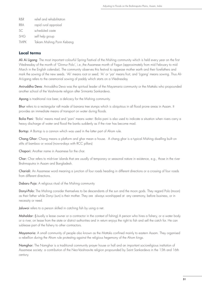R&R relief and rehabilitation RRA rapid rural appraisal SC scheduled caste SHG self help group TMPK Takam Mishing Porin Kebang

## **Local terms**

Ali Ai Ligang: The most important colourful Spring Festival of the Mishing community which is held every year on the first Wednesday of the month of 'Ginmur Polo', i.e.,the Assamese month of Fagun (approximately from mid February to mid March in the English calendar). The community observes this festival to appease mother earth and their forefathers and mark the sowing of the new seeds. 'Ali' means root or seed; 'Ai' or 'yai' means fruit, and 'Ligang' means sowing. Thus Ali-Ai-Ligang refers to the ceremonial sowing of paddy which starts on a Wednesday

Aniruddha Deva: Aniruddha Deva was the spiritual leader of the Mayamaria community or the Mattaks who propounded another school of the Vaishnavite religion after Srimanta Sankardeva.

Apong is traditional rice beer, a delicacy for the Mishing community.

Bhur refers to a rectangular raft made of banana tree stumps which is ubiquitous in all flood prone areas in Assam. It provides an immediate means of transport on water during floods.

Bolia Pani: 'Bolia' means mad and 'pani' means water: Bolia pani is also used to indicate a situation when rivers carry a heavy discharge of water and flood the banks suddenly as if the river has become mad.

Bortop: A Bortop is a cannon which was used in the latter part of Ahom rule.

Chang Ghar: Chang means a platform and ghar mean a house. A chang ghar is a typical Mishing dwelling built on stilts of bamboo or wood (now-a-days with RCC pillars)

Chapori: Another name in Assamese for the char.

Char: Char refers to mid-river islands that are usually of temporary or seasonal nature in existence, e.g., those in the river Brahmaputra in Assam and Bangladesh.

Chariali: An Assamese word meaning a junction of four roads heading in different directions or a crossing of four roads from different directions.

Dabaru Puja: A religious ritual of the Mishing community

Donyi-Polo: The Mishing consider themselves to be descendants of the sun and the moon gods. They regard Polo (moon) as their father while Donyi (sun) is their mother. They are always worshipped at any ceremony, before business, or in necessity or need.

Jaluwoi refers to a person skilled in catching fish by using a net.

Mahaldar: (Usually a lease owner or a contractor in the context of fishing) A person who hires a fishery, or a water body or a river, on lease from the state or district authorities and in return enjoys the right to fish and sell the catch for. He can sublease part of the fishery to other contractors.

Mayamoria: A small community of people also known as the Mattaks confined mainly to eastern Assam. They organised a rebellion during the Ahom rule protesting against the religious hegemony of the Ahom kings.

Namghar: The Namghar is a traditional community prayer house or hall and an important socioreligious institution of Assamese society: a contribution of the Neo-Vaishnavite religion propounded by Saint Sankardeva in the 15th and 16th century.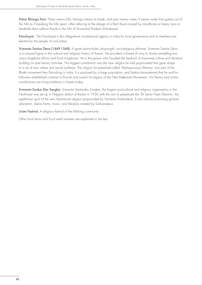Pahar Bhanga Pani: Pahar means hills, bhanga means to break, and pani means water. It means water that gushes out of the hills as if breaking the hills apart, often referring to the deluge of a flash flood caused by cloudbursts or heavy rains or landslide dam outburst floods in the hills of Arunachal Pradesh (Himalayas)

Panchayat: The Panchayat is the village-level constitutional agency in India for local governance and its members are elected by the people of rural areas.

Srimanta Sankar Deva (1449-1568): A great saint-scholar, playwright, socioreligious reformer, Srimanta Sankar Deva is a colossal figure in the cultural and religious history of Assam. He provided a thread of unity to Assam straddling two major kingdoms (Ahom and Koch kingdoms). He is the person who founded the bedrock of Assamese culture and literature building on past literary activities. His biggest contribution was the new religion he had propounded that gave shape to a set of new values and social synthesis. The religion he preached called 'Mahapuruxiya Dharma' was part of the Bhakti movement then flourishing in India. It is practised by a large population, and Sattras (monasteries) that he and his followers established continue to flourish and sustain his legacy of the Neo-Vaisnavite Movement. His literary and artistic contributions are living traditions in Assam today.

Srimanta Sankar Dev Sangha: Srimanta Sankardev Sangha, the largest sociocultural and religious organisation in the North-east was set up in Nagaon district of Assam in 1930 with the aim to perpetuate the 'Ek Saran Nam Dharma', the egalitarian spirit of the new Vaishanvite religion propounded by Srimanta Sankardeva. It runs schools promoting spiritual education, dance forms, music, and literature created by Sankaradeva.

Uram Festival: A religious festival of the Mishing community

Other local terms and local seed varieties are explained in the text.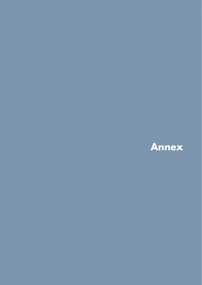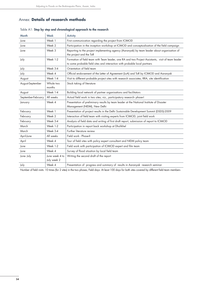## Annex: **Details of research methods**

| Month              | Week                          | <b>Activity</b>                                                                                                                                                                |
|--------------------|-------------------------------|--------------------------------------------------------------------------------------------------------------------------------------------------------------------------------|
| June               | Week 1                        | First communication regarding the project from ICIMOD                                                                                                                          |
| June               | Week 2                        | Participation in the inception workshop at ICIMOD and conceptualisation of the field campaign                                                                                  |
| June               | Week 3                        | Reporting to the project implementing agency (Aaranyak) by team leader about organisation of<br>the project and the ToR                                                        |
| July               | <b>Week 1-2</b>               | Formation of field team with Team leader, one RA and two Project Assistants, visit of team leader<br>to some probable field sites and interaction with probable local partners |
| July               | Week 3-4                      | Orientation of field team                                                                                                                                                      |
| July               | Week 4                        | Official endorsement of the Letter of Agreement (LoA) and ToR by ICIMOD and Aaranyak                                                                                           |
| August             | Week 1-4                      | Visit to different probable project sites with research associates; RRA, site identification                                                                                   |
| August-September   | Whole two<br>months           | Stock taking of literature                                                                                                                                                     |
| August             | Week 1-4                      | Building local network of partner organisations and facilitators                                                                                                               |
| September-February | All weeks                     | Actual field work in two sites; viz., participatory research- phase-I                                                                                                          |
| January            | Week 4                        | Presentation of preliminary results by team leader at the National Institute of Disaster<br>Management (NIDM), New Delhi                                                       |
| February           | Week 1                        | Presentation of project results in the Delhi Sustainable Development Summit (DSDS)-2009                                                                                        |
| February           | Week 2                        | Interaction of field team with visiting experts from ICIMOD; joint field work                                                                                                  |
| February           | Week 3-4                      | Analysis of field data and writing of first draft report, submission of report to ICIMOD                                                                                       |
| March              | Week 1-2                      | Participation in report back workshop at Dhulikhel                                                                                                                             |
| March              | Week 3-4                      | Further literature review                                                                                                                                                      |
| April-June         | All weeks                     | Field work - Phase-II                                                                                                                                                          |
| April              | Week 4                        | Tour of field sites with policy expert consultant and NIDM policy team                                                                                                         |
| June               | Week 1-2                      | Field work with participation of ICIMOD expert and film team                                                                                                                   |
| June               | Week 4                        | Survey of flood situation by local field team                                                                                                                                  |
| June- July         | June week 4 to<br>July week 2 | Writing the second draft of the report                                                                                                                                         |
| July               | Week 4                        | Presentation of progress and summary of results in Aaranyak research seminar                                                                                                   |

## Table A1: **Step by step and chronological approach to the research**

Number of field visits: 10 times (for 2 sites) in the two phases; Field days: At least 100 days for both sites covered by different field team members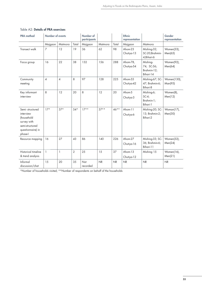| <b>PRA</b> method                                                                                            | Number of events |              |                | Number of<br>participants |         |         | <b>Ethnic</b><br>representation | Gender<br>representation                               |                        |
|--------------------------------------------------------------------------------------------------------------|------------------|--------------|----------------|---------------------------|---------|---------|---------------------------------|--------------------------------------------------------|------------------------|
|                                                                                                              | Majgaon          | Matmora      | Total          | Majgaon                   | Matmora | Total   | Majgaon                         | Matmora                                                |                        |
| <b>Transect walk</b>                                                                                         | 7                | 12           | 19             | 36                        | 62      | 98      | Ahom- $23$<br>Chutiya-13        | Mishing-32;<br>SC-20;Brahmin-<br>4;Bihari-6            | Women(33),<br>Men(65)  |
| Focus group                                                                                                  | 16               | 22           | 38             | 132                       | 156     | 288     | Ahom-78,<br>Chutiya-54          | Mishing-<br>74; SC-56;<br>Brahmin-12;<br>Bihari-14     | Women(92),<br>Men(64)  |
| Community<br>meeting                                                                                         | $\overline{4}$   | 4            | 8              | 97                        | 128     | 225     | Ahom-55<br>Chutiya-42           | Mishing-67; SC-<br>47; Brahmin-6;<br>Bihari-8          | Women(130),<br>Man(95) |
| Key informant<br>interview                                                                                   | 8                | 12           | 20             | 8                         | 12      | 20      | Ahom-5<br>Chutiya-3             | Mishing-6;<br>$SC-4;$<br>Brahmin-1;<br><b>Bihari-1</b> | Women(8),<br>Men(12)   |
| Semi-structured<br>interview<br>(household<br>survey with<br>semi-structured<br>questionnaire) in<br>phase-l | $17*$            | $37*$        | $54*$          | $17**$                    | $37**$  | $46***$ | Ahom-11<br>Chutiya-6            | Mishing-20; SC-<br>13; Brahmin-2;<br>Bihari-2          | Woman(17),<br>Men(30)  |
| Resource mapping                                                                                             | 16               | 27           | 43             | 86                        | 140     | 226     | Ahom-27<br>Chutiya-16           | Mishing-33; SC-<br>36; Brahmin-6;<br>Bihari-11         | Women(32),<br>Men(24)  |
| Historical timeline<br>& trend analysis                                                                      | $\mathbf{1}$     | $\mathbf{1}$ | $\overline{2}$ | 25                        | 15      | 37      | Ahom-13<br>Chutiya-12           | Mishing 15                                             | Women(16),<br>Men(21)  |
| Informal<br>discussion/chat                                                                                  | 15               | 20           | 35             | Not<br>recorded           | NR      | NR      | NR                              | <b>NR</b>                                              | NR                     |

## Table A2: **Details of PRA exercises**

\*Number of households visited; \*\*Number of respondents on behalf of the households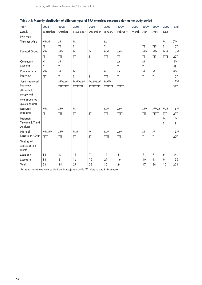| Year                                   | 2008        | 2008             | 2008             | 2008           | 2009            | 2009         | 2009  | 2009       | 2009           | 2009        | <b>Total</b>    |
|----------------------------------------|-------------|------------------|------------------|----------------|-----------------|--------------|-------|------------|----------------|-------------|-----------------|
| Month                                  | September   | October          | November         | December       | January         | February     | March | April      | May            | June        |                 |
| PRA type                               |             |                  |                  |                |                 |              |       |            |                |             |                 |
| <b>Transect Walk</b>                   | <b>MMM</b>  | M                | M                |                | M               |              |       |            |                | M           | 7M              |
|                                        | <b>TT</b>   | TT               | Τ                |                | Τ               |              |       | TT         | <b>TTT</b>     | T           | 12T             |
| <b>Focused Group</b>                   | <b>MM</b>   | <b>MM</b>        | M                | M              | <b>MM</b>       | <b>MM</b>    |       | <b>MM</b>  | <b>MM</b>      | <b>MM</b>   | 16M             |
|                                        | <b>TT</b>   | <b>TTT</b>       | TT               | Τ              | <b>TTT</b>      | TT           |       | TT         | <b>TTT</b>     | <b>TTTT</b> | 22T             |
| Community                              | M           | M                |                  |                |                 | M            |       | M          |                |             | 4M              |
| Meeting                                | T           | Τ                |                  |                |                 | T            |       | T          |                |             | 4T              |
| Key Informant                          | <b>MM</b>   | M                | M                |                | M               | M            |       | M          | M              |             | 8M              |
| Interview                              | <b>TTT</b>  | Τ                | T                | Τ              | <b>TTT</b>      | Τ            |       | T          | Τ              |             | 12T             |
| Semi-structured                        |             | <b>MMMM</b>      | <b>MMMMM</b>     | <b>MMMMM</b>   | <b>MMM</b>      |              |       |            |                |             | 17 <sub>M</sub> |
| Interview                              |             | <b>TTTTTTTTT</b> | <b>TTTTTTTTT</b> | TTTTTTTT       | <b>TTTTTTTT</b> | <b>TTTTT</b> |       |            |                |             | 37T             |
| (Household<br>survey with              |             |                  |                  |                |                 |              |       |            |                |             |                 |
| semi-structured<br>questionnaire)      |             |                  |                  |                |                 |              |       |            |                |             |                 |
| Resource                               | <b>MM</b>   | <b>MM</b>        | M                |                | <b>MM</b>       | <b>MM</b>    |       | <b>MM</b>  | <b>MMM</b>     | <b>MM</b>   | 16M             |
| mapping                                | <b>TT</b>   | <b>TTT</b>       | TT               | TT             | <b>TTT</b>      | <b>TTTT</b>  |       | <b>TTT</b> | <b>TITTT</b>   | <b>TTT</b>  | 27T             |
| Historical                             |             |                  |                  |                |                 |              |       |            |                | M           | 1M              |
| Timeline & Trend<br>Analysis           |             |                  |                  |                |                 |              |       |            |                | Τ           | 1T              |
| Informal                               | <b>MMMM</b> | <b>MM</b>        | <b>MM</b>        | M              | <b>MM</b>       | <b>MM</b>    |       | M          | M              |             | 15M             |
| Discussion/Chat                        | <b>TTTT</b> | <b>TTT</b>       | <b>TT</b>        | TT             | <b>TTTT</b>     | <b>TTT</b>   |       | T          | T              |             | <b>20T</b>      |
| Total no of<br>exercises in a<br>month |             |                  |                  |                |                 |              |       |            |                |             |                 |
| Majgaon                                | 14          | 13               | 11               | $\overline{7}$ | 11              | 8            |       | 7          | $\overline{7}$ | 6           | 84              |
| Matmora                                | 14          | 21               | 16               | 15             | 21              | 16           |       | 10         | 13             | 9           | 135             |
| Total                                  | 28          | 34               | 27               | 22             | 32              | 24           |       | 17         | 20             | 15          | 221             |

#### Table A3: **Monthly distribution of different types of PRA exercises conducted during the study period**

'M' refers to an exercise carried out in Majgaon while 'T' refers to one in Matmora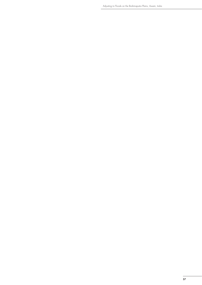Adjusting to Floods on the Brahmaputra Plains, Assam, India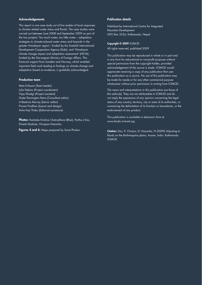#### **Acknowledgements**

This report is one case study out of five studies of local responses to climate related water stress and floods. The case studies were carried out between June 2008 and September 2009 as part of the two projects 'Too much water, too little water – adaptation strategies to climate-induced water stress and hazards in the greater Himalayan region', funded by the Swedish International Development Cooperation Agency (Sida), and 'Himalayan climate change impact and adaptation assessment' (HICIA), funded by the Norwegian Ministry of Foreign Affairs. This financial support from Sweden and Norway, which enabled important field work leading to findings on climate change and adaptation based on evidence, is gratefully acknowledged.

#### **Production team**

Mats Eriksson (Team leader) Julie Dekens (Project coordinator) Vijay Khadgi (Project assistant) Greta Pennington Rana (Consultant editor) A Beatrice Murray (Senior editor) Punam Pradhan (Layout and design) Asha Kaji Thaku (Editorial assistance)

**Photos:** Keshaba Krishna Chatradhara (Bhai), Partha J Das, Dinesh Deokota, Nirupam Hazarika

**Figures 4 and 6:** Maps prepared by Sarat Phukan

#### **Publication details**

Published by International Centre for Integrated Mountain Development GPO Box 3226, Kathmandu, Nepal

#### **Copyright © 2009** ICIMOD

All rights reserved, published 2009

This publication may be reproduced in whole or in part and in any form for educational or non-profit purposes without special permission from the copyright holder, provided acknowledgement of the source is made. ICIMOD would appreciate receiving a copy of any publication that uses this publication as a source. No use of this publication may be made for resale or for any other commercial purpose whatsoever without prior permission in writing from ICIMOD.

The views and interpretations in this publication are those of the author(s). They are not attributable to ICIMOD and do not imply the expression of any opinion concerning the legal status of any country, territory, city or area of its authorities, or concerning the delimitation of its frontiers or boundaries, or the endorsement of any product.

This publication is available in electronic form at www.books.icimod.org.

**Citation:** Das, P; Chutiya, D; Hazarika, N (2009) Adjusting to floods on the Brahmaputra plains, Assam, India. Kathmandu: ICIMOD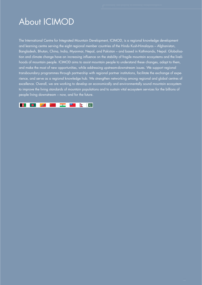# About ICIMOD

The International Centre for Integrated Mountain Development, ICIMOD, is a regional knowledge development and learning centre serving the eight regional member countries of the Hindu Kush-Himalayas – Afghanistan, Bangladesh, Bhutan, China, India, Myanmar, Nepal, and Pakistan – and based in Kathmandu, Nepal. Globalisation and climate change have an increasing influence on the stability of fragile mountain ecosystems and the livelihoods of mountain people. ICIMOD aims to assist mountain people to understand these changes, adapt to them, and make the most of new opportunities, while addressing upstream-downstream issues. We support regional transboundary programmes through partnership with regional partner institutions, facilitate the exchange of experience, and serve as a regional knowledge hub. We strengthen networking among regional and global centres of excellence. Overall, we are working to develop an economically and environmentally sound mountain ecosystem to improve the living standards of mountain populations and to sustain vital ecosystem services for the billions of people living downstream – now, and for the future.